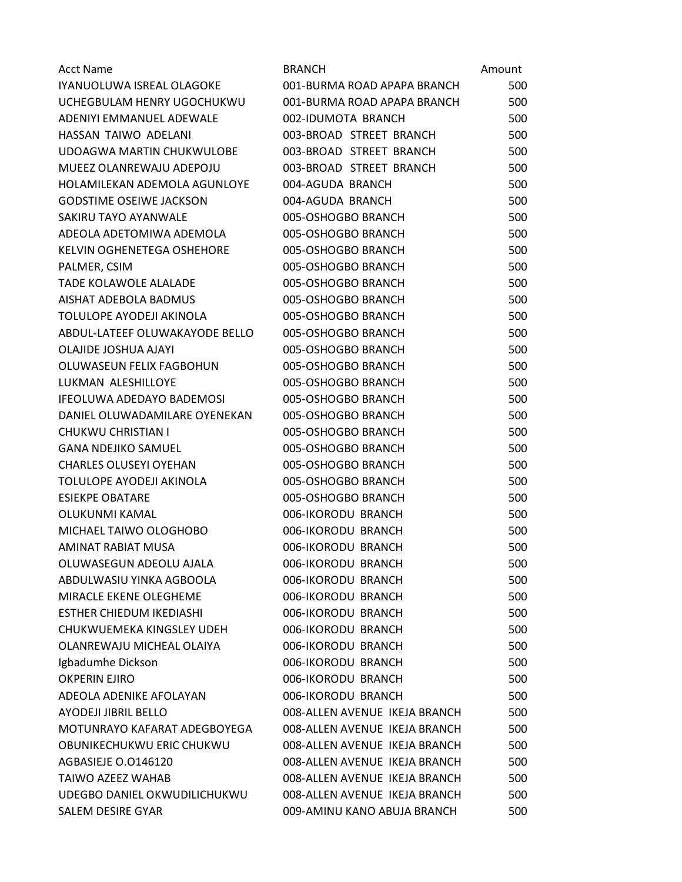| <b>Acct Name</b>                  | <b>BRANCH</b>                 | Amount |
|-----------------------------------|-------------------------------|--------|
| IYANUOLUWA ISREAL OLAGOKE         | 001-BURMA ROAD APAPA BRANCH   | 500    |
| UCHEGBULAM HENRY UGOCHUKWU        | 001-BURMA ROAD APAPA BRANCH   | 500    |
| ADENIYI EMMANUEL ADEWALE          | 002-IDUMOTA BRANCH            | 500    |
| HASSAN TAIWO ADELANI              | 003-BROAD STREET BRANCH       | 500    |
| UDOAGWA MARTIN CHUKWULOBE         | 003-BROAD STREET BRANCH       | 500    |
| MUEEZ OLANREWAJU ADEPOJU          | 003-BROAD STREET BRANCH       | 500    |
| HOLAMILEKAN ADEMOLA AGUNLOYE      | 004-AGUDA BRANCH              | 500    |
| <b>GODSTIME OSEIWE JACKSON</b>    | 004-AGUDA BRANCH              | 500    |
| SAKIRU TAYO AYANWALE              | 005-OSHOGBO BRANCH            | 500    |
| ADEOLA ADETOMIWA ADEMOLA          | 005-OSHOGBO BRANCH            | 500    |
| <b>KELVIN OGHENETEGA OSHEHORE</b> | 005-OSHOGBO BRANCH            | 500    |
| PALMER, CSIM                      | 005-OSHOGBO BRANCH            | 500    |
| <b>TADE KOLAWOLE ALALADE</b>      | 005-OSHOGBO BRANCH            | 500    |
| AISHAT ADEBOLA BADMUS             | 005-OSHOGBO BRANCH            | 500    |
| TOLULOPE AYODEJI AKINOLA          | 005-OSHOGBO BRANCH            | 500    |
| ABDUL-LATEEF OLUWAKAYODE BELLO    | 005-OSHOGBO BRANCH            | 500    |
| <b>OLAJIDE JOSHUA AJAYI</b>       | 005-OSHOGBO BRANCH            | 500    |
| OLUWASEUN FELIX FAGBOHUN          | 005-OSHOGBO BRANCH            | 500    |
| LUKMAN ALESHILLOYE                | 005-OSHOGBO BRANCH            | 500    |
| <b>IFEOLUWA ADEDAYO BADEMOSI</b>  | 005-OSHOGBO BRANCH            | 500    |
| DANIEL OLUWADAMILARE OYENEKAN     | 005-OSHOGBO BRANCH            | 500    |
| CHUKWU CHRISTIAN I                | 005-OSHOGBO BRANCH            | 500    |
| <b>GANA NDEJIKO SAMUEL</b>        | 005-OSHOGBO BRANCH            | 500    |
| <b>CHARLES OLUSEYI OYEHAN</b>     | 005-OSHOGBO BRANCH            | 500    |
| TOLULOPE AYODEJI AKINOLA          | 005-OSHOGBO BRANCH            | 500    |
| <b>ESIEKPE OBATARE</b>            | 005-OSHOGBO BRANCH            | 500    |
| OLUKUNMI KAMAL                    | 006-IKORODU BRANCH            | 500    |
| MICHAEL TAIWO OLOGHOBO            | 006-IKORODU BRANCH            | 500    |
| AMINAT RABIAT MUSA                | 006-IKORODU BRANCH            | 500    |
| OLUWASEGUN ADEOLU AJALA           | 006-IKORODU BRANCH            | 500    |
| ABDULWASIU YINKA AGBOOLA          | 006-IKORODU BRANCH            | 500    |
| MIRACLE EKENE OLEGHEME            | 006-IKORODU BRANCH            | 500    |
| ESTHER CHIEDUM IKEDIASHI          | 006-IKORODU BRANCH            | 500    |
| CHUKWUEMEKA KINGSLEY UDEH         | 006-IKORODU BRANCH            | 500    |
| OLANREWAJU MICHEAL OLAIYA         | 006-IKORODU BRANCH            | 500    |
| Igbadumhe Dickson                 | 006-IKORODU BRANCH            | 500    |
| <b>OKPERIN EJIRO</b>              | 006-IKORODU BRANCH            | 500    |
| ADEOLA ADENIKE AFOLAYAN           | 006-IKORODU BRANCH            | 500    |
| <b>AYODEJI JIBRIL BELLO</b>       | 008-ALLEN AVENUE IKEJA BRANCH | 500    |
| MOTUNRAYO KAFARAT ADEGBOYEGA      | 008-ALLEN AVENUE IKEJA BRANCH | 500    |
| OBUNIKECHUKWU ERIC CHUKWU         | 008-ALLEN AVENUE IKEJA BRANCH | 500    |
| AGBASIEJE O.0146120               | 008-ALLEN AVENUE IKEJA BRANCH | 500    |
| <b>TAIWO AZEEZ WAHAB</b>          | 008-ALLEN AVENUE IKEJA BRANCH | 500    |
| UDEGBO DANIEL OKWUDILICHUKWU      | 008-ALLEN AVENUE IKEJA BRANCH | 500    |
| SALEM DESIRE GYAR                 | 009-AMINU KANO ABUJA BRANCH   | 500    |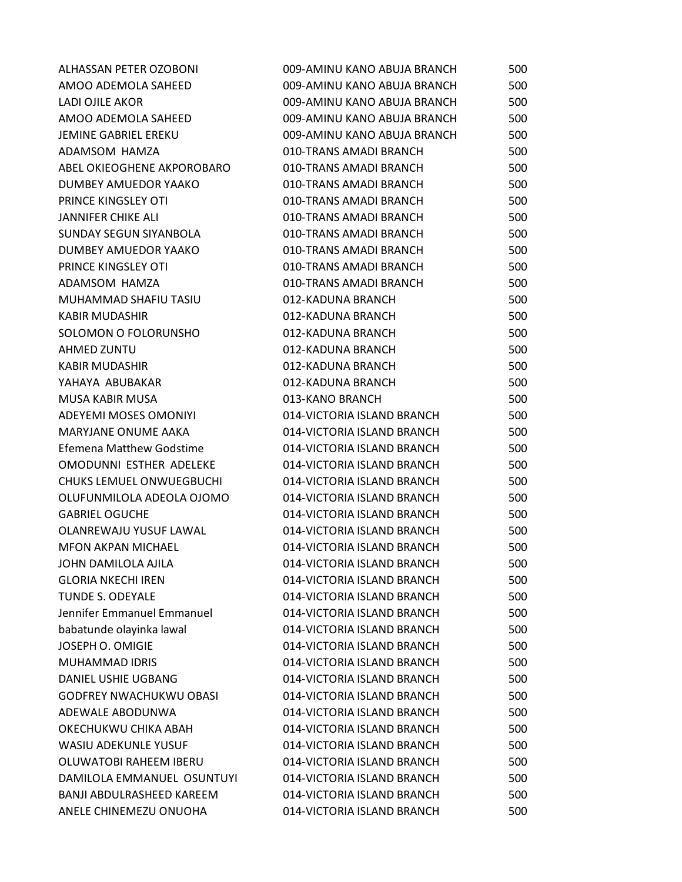| ALHASSAN PETER OZOBONI         | 009-AMINU KANO ABUJA BRANCH | 500 |
|--------------------------------|-----------------------------|-----|
| AMOO ADEMOLA SAHEED            | 009-AMINU KANO ABUJA BRANCH | 500 |
| LADI OJILE AKOR                | 009-AMINU KANO ABUJA BRANCH | 500 |
| AMOO ADEMOLA SAHEED            | 009-AMINU KANO ABUJA BRANCH | 500 |
| <b>JEMINE GABRIEL EREKU</b>    | 009-AMINU KANO ABUJA BRANCH | 500 |
| ADAMSOM HAMZA                  | 010-TRANS AMADI BRANCH      | 500 |
| ABEL OKIEOGHENE AKPOROBARO     | 010-TRANS AMADI BRANCH      | 500 |
| DUMBEY AMUEDOR YAAKO           | 010-TRANS AMADI BRANCH      | 500 |
| PRINCE KINGSLEY OTI            | 010-TRANS AMADI BRANCH      | 500 |
| <b>JANNIFER CHIKE ALI</b>      | 010-TRANS AMADI BRANCH      | 500 |
| SUNDAY SEGUN SIYANBOLA         | 010-TRANS AMADI BRANCH      | 500 |
| DUMBEY AMUEDOR YAAKO           | 010-TRANS AMADI BRANCH      | 500 |
| PRINCE KINGSLEY OTI            | 010-TRANS AMADI BRANCH      | 500 |
| ADAMSOM HAMZA                  | 010-TRANS AMADI BRANCH      | 500 |
| MUHAMMAD SHAFIU TASIU          | 012-KADUNA BRANCH           | 500 |
| <b>KABIR MUDASHIR</b>          | 012-KADUNA BRANCH           | 500 |
| SOLOMON O FOLORUNSHO           | 012-KADUNA BRANCH           | 500 |
| <b>AHMED ZUNTU</b>             | 012-KADUNA BRANCH           | 500 |
| KABIR MUDASHIR                 | 012-KADUNA BRANCH           | 500 |
| YAHAYA ABUBAKAR                | 012-KADUNA BRANCH           | 500 |
| <b>MUSA KABIR MUSA</b>         | 013-KANO BRANCH             | 500 |
| ADEYEMI MOSES OMONIYI          | 014-VICTORIA ISLAND BRANCH  | 500 |
| <b>MARYJANE ONUME AAKA</b>     | 014-VICTORIA ISLAND BRANCH  | 500 |
| Efemena Matthew Godstime       | 014-VICTORIA ISLAND BRANCH  | 500 |
| OMODUNNI ESTHER ADELEKE        | 014-VICTORIA ISLAND BRANCH  | 500 |
| CHUKS LEMUEL ONWUEGBUCHI       | 014-VICTORIA ISLAND BRANCH  | 500 |
| OLUFUNMILOLA ADEOLA OJOMO      | 014-VICTORIA ISLAND BRANCH  | 500 |
| <b>GABRIEL OGUCHE</b>          | 014-VICTORIA ISLAND BRANCH  | 500 |
| <b>OLANREWAJU YUSUF LAWAL</b>  | 014-VICTORIA ISLAND BRANCH  | 500 |
| <b>MFON AKPAN MICHAEL</b>      | 014-VICTORIA ISLAND BRANCH  | 500 |
| JOHN DAMILOLA AJILA            | 014-VICTORIA ISLAND BRANCH  | 500 |
| <b>GLORIA NKECHI IREN</b>      | 014-VICTORIA ISLAND BRANCH  | 500 |
| <b>TUNDE S. ODEYALE</b>        | 014-VICTORIA ISLAND BRANCH  | 500 |
| Jennifer Emmanuel Emmanuel     | 014-VICTORIA ISLAND BRANCH  | 500 |
| babatunde olayinka lawal       | 014-VICTORIA ISLAND BRANCH  | 500 |
| JOSEPH O. OMIGIE               | 014-VICTORIA ISLAND BRANCH  | 500 |
| MUHAMMAD IDRIS                 | 014-VICTORIA ISLAND BRANCH  | 500 |
| DANIEL USHIE UGBANG            | 014-VICTORIA ISLAND BRANCH  | 500 |
| <b>GODFREY NWACHUKWU OBASI</b> | 014-VICTORIA ISLAND BRANCH  | 500 |
| ADEWALE ABODUNWA               | 014-VICTORIA ISLAND BRANCH  | 500 |
| OKECHUKWU CHIKA ABAH           | 014-VICTORIA ISLAND BRANCH  | 500 |
| <b>WASIU ADEKUNLE YUSUF</b>    | 014-VICTORIA ISLAND BRANCH  | 500 |
| OLUWATOBI RAHEEM IBERU         | 014-VICTORIA ISLAND BRANCH  | 500 |
| DAMILOLA EMMANUEL OSUNTUYI     | 014-VICTORIA ISLAND BRANCH  | 500 |
| BANJI ABDULRASHEED KAREEM      | 014-VICTORIA ISLAND BRANCH  | 500 |
| ANELE CHINEMEZU ONUOHA         | 014-VICTORIA ISLAND BRANCH  | 500 |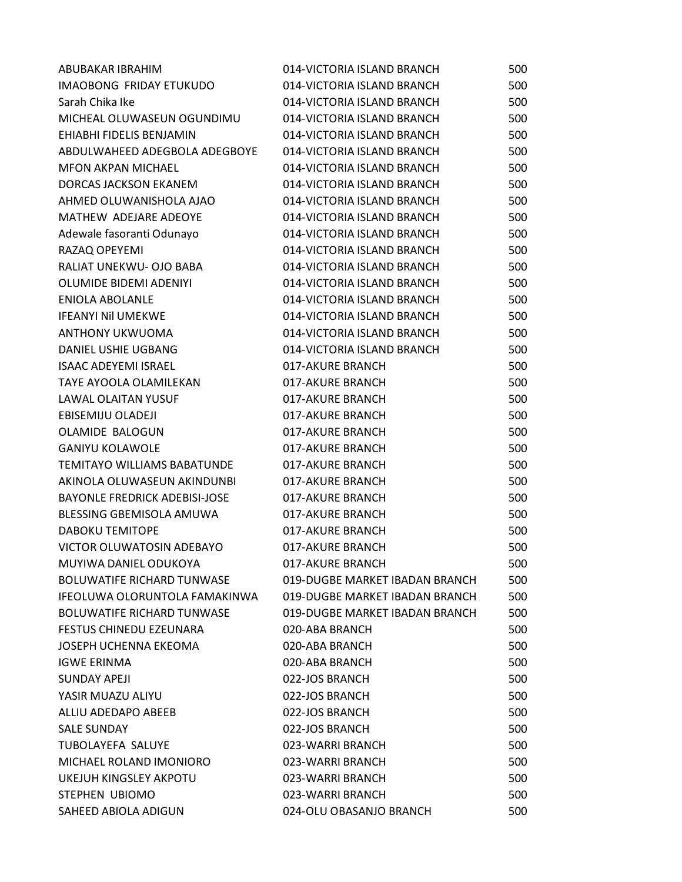| ABUBAKAR IBRAHIM                     | 014-VICTORIA ISLAND BRANCH     | 500 |
|--------------------------------------|--------------------------------|-----|
| <b>IMAOBONG FRIDAY ETUKUDO</b>       | 014-VICTORIA ISLAND BRANCH     | 500 |
| Sarah Chika Ike                      | 014-VICTORIA ISLAND BRANCH     | 500 |
| MICHEAL OLUWASEUN OGUNDIMU           | 014-VICTORIA ISLAND BRANCH     | 500 |
| EHIABHI FIDELIS BENJAMIN             | 014-VICTORIA ISLAND BRANCH     | 500 |
| ABDULWAHEED ADEGBOLA ADEGBOYE        | 014-VICTORIA ISLAND BRANCH     | 500 |
| <b>MFON AKPAN MICHAEL</b>            | 014-VICTORIA ISLAND BRANCH     | 500 |
| DORCAS JACKSON EKANEM                | 014-VICTORIA ISLAND BRANCH     | 500 |
| AHMED OLUWANISHOLA AJAO              | 014-VICTORIA ISLAND BRANCH     | 500 |
| MATHEW ADEJARE ADEOYE                | 014-VICTORIA ISLAND BRANCH     | 500 |
| Adewale fasoranti Odunayo            | 014-VICTORIA ISLAND BRANCH     | 500 |
| RAZAQ OPEYEMI                        | 014-VICTORIA ISLAND BRANCH     | 500 |
| RALIAT UNEKWU- OJO BABA              | 014-VICTORIA ISLAND BRANCH     | 500 |
| <b>OLUMIDE BIDEMI ADENIYI</b>        | 014-VICTORIA ISLAND BRANCH     | 500 |
| <b>ENIOLA ABOLANLE</b>               | 014-VICTORIA ISLAND BRANCH     | 500 |
| <b>IFEANYI NII UMEKWE</b>            | 014-VICTORIA ISLAND BRANCH     | 500 |
| ANTHONY UKWUOMA                      | 014-VICTORIA ISLAND BRANCH     | 500 |
| DANIEL USHIE UGBANG                  | 014-VICTORIA ISLAND BRANCH     | 500 |
| <b>ISAAC ADEYEMI ISRAEL</b>          | 017-AKURE BRANCH               | 500 |
| TAYE AYOOLA OLAMILEKAN               | 017-AKURE BRANCH               | 500 |
| <b>LAWAL OLAITAN YUSUF</b>           | 017-AKURE BRANCH               | 500 |
| EBISEMIJU OLADEJI                    | 017-AKURE BRANCH               | 500 |
| OLAMIDE BALOGUN                      | 017-AKURE BRANCH               | 500 |
| <b>GANIYU KOLAWOLE</b>               | 017-AKURE BRANCH               | 500 |
| <b>TEMITAYO WILLIAMS BABATUNDE</b>   | 017-AKURE BRANCH               | 500 |
| AKINOLA OLUWASEUN AKINDUNBI          | 017-AKURE BRANCH               | 500 |
| <b>BAYONLE FREDRICK ADEBISI-JOSE</b> | 017-AKURE BRANCH               | 500 |
| BLESSING GBEMISOLA AMUWA             | 017-AKURE BRANCH               | 500 |
| <b>DABOKU TEMITOPE</b>               | 017-AKURE BRANCH               | 500 |
| VICTOR OLUWATOSIN ADEBAYO            | 017-AKURE BRANCH               | 500 |
| MUYIWA DANIEL ODUKOYA                | 017-AKURE BRANCH               | 500 |
| <b>BOLUWATIFE RICHARD TUNWASE</b>    | 019-DUGBE MARKET IBADAN BRANCH | 500 |
| IFEOLUWA OLORUNTOLA FAMAKINWA        | 019-DUGBE MARKET IBADAN BRANCH | 500 |
| <b>BOLUWATIFE RICHARD TUNWASE</b>    | 019-DUGBE MARKET IBADAN BRANCH | 500 |
| <b>FESTUS CHINEDU EZEUNARA</b>       | 020-ABA BRANCH                 | 500 |
| JOSEPH UCHENNA EKEOMA                | 020-ABA BRANCH                 | 500 |
| <b>IGWE ERINMA</b>                   | 020-ABA BRANCH                 | 500 |
| <b>SUNDAY APEJI</b>                  | 022-JOS BRANCH                 | 500 |
| YASIR MUAZU ALIYU                    | 022-JOS BRANCH                 | 500 |
| ALLIU ADEDAPO ABEEB                  | 022-JOS BRANCH                 | 500 |
| <b>SALE SUNDAY</b>                   | 022-JOS BRANCH                 | 500 |
| <b>TUBOLAYEFA SALUYE</b>             | 023-WARRI BRANCH               | 500 |
| MICHAEL ROLAND IMONIORO              | 023-WARRI BRANCH               | 500 |
| UKEJUH KINGSLEY AKPOTU               | 023-WARRI BRANCH               | 500 |
| STEPHEN UBIOMO                       | 023-WARRI BRANCH               | 500 |
| SAHEED ABIOLA ADIGUN                 | 024-OLU OBASANJO BRANCH        | 500 |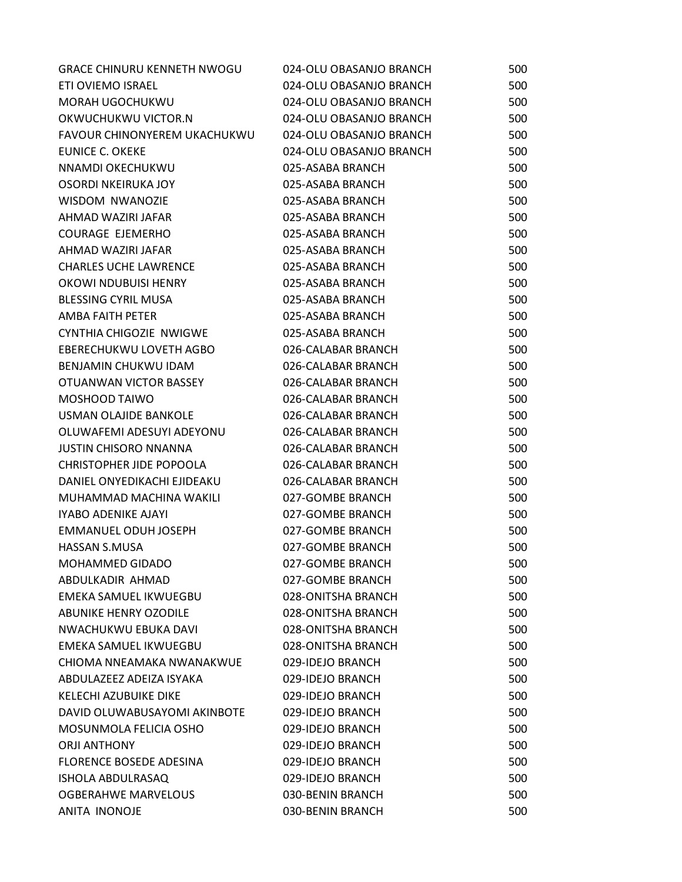| <b>GRACE CHINURU KENNETH NWOGU</b> | 024-OLU OBASANJO BRANCH | 500 |
|------------------------------------|-------------------------|-----|
| ETI OVIEMO ISRAEL                  | 024-OLU OBASANJO BRANCH | 500 |
| MORAH UGOCHUKWU                    | 024-OLU OBASANJO BRANCH | 500 |
| OKWUCHUKWU VICTOR.N                | 024-OLU OBASANJO BRANCH | 500 |
| FAVOUR CHINONYEREM UKACHUKWU       | 024-OLU OBASANJO BRANCH | 500 |
| EUNICE C. OKEKE                    | 024-OLU OBASANJO BRANCH | 500 |
| NNAMDI OKECHUKWU                   | 025-ASABA BRANCH        | 500 |
| <b>OSORDI NKEIRUKA JOY</b>         | 025-ASABA BRANCH        | 500 |
| <b>WISDOM NWANOZIE</b>             | 025-ASABA BRANCH        | 500 |
| AHMAD WAZIRI JAFAR                 | 025-ASABA BRANCH        | 500 |
| <b>COURAGE EJEMERHO</b>            | 025-ASABA BRANCH        | 500 |
| AHMAD WAZIRI JAFAR                 | 025-ASABA BRANCH        | 500 |
| <b>CHARLES UCHE LAWRENCE</b>       | 025-ASABA BRANCH        | 500 |
| OKOWI NDUBUISI HENRY               | 025-ASABA BRANCH        | 500 |
| <b>BLESSING CYRIL MUSA</b>         | 025-ASABA BRANCH        | 500 |
| AMBA FAITH PETER                   | 025-ASABA BRANCH        | 500 |
| CYNTHIA CHIGOZIE NWIGWE            | 025-ASABA BRANCH        | 500 |
| EBERECHUKWU LOVETH AGBO            | 026-CALABAR BRANCH      | 500 |
| BENJAMIN CHUKWU IDAM               | 026-CALABAR BRANCH      | 500 |
| OTUANWAN VICTOR BASSEY             | 026-CALABAR BRANCH      | 500 |
| MOSHOOD TAIWO                      | 026-CALABAR BRANCH      | 500 |
| USMAN OLAJIDE BANKOLE              | 026-CALABAR BRANCH      | 500 |
| OLUWAFEMI ADESUYI ADEYONU          | 026-CALABAR BRANCH      | 500 |
| <b>JUSTIN CHISORO NNANNA</b>       | 026-CALABAR BRANCH      | 500 |
| CHRISTOPHER JIDE POPOOLA           | 026-CALABAR BRANCH      | 500 |
| DANIEL ONYEDIKACHI EJIDEAKU        | 026-CALABAR BRANCH      | 500 |
| MUHAMMAD MACHINA WAKILI            | 027-GOMBE BRANCH        | 500 |
| <b>IYABO ADENIKE AJAYI</b>         | 027-GOMBE BRANCH        | 500 |
| <b>EMMANUEL ODUH JOSEPH</b>        | 027-GOMBE BRANCH        | 500 |
| HASSAN S.MUSA                      | 027-GOMBE BRANCH        | 500 |
| MOHAMMED GIDADO                    | 027-GOMBE BRANCH        | 500 |
| ABDULKADIR AHMAD                   | 027-GOMBE BRANCH        | 500 |
| EMEKA SAMUEL IKWUEGBU              | 028-ONITSHA BRANCH      | 500 |
| ABUNIKE HENRY OZODILE              | 028-ONITSHA BRANCH      | 500 |
| NWACHUKWU EBUKA DAVI               | 028-ONITSHA BRANCH      | 500 |
| EMEKA SAMUEL IKWUEGBU              | 028-ONITSHA BRANCH      | 500 |
| CHIOMA NNEAMAKA NWANAKWUE          | 029-IDEJO BRANCH        | 500 |
| ABDULAZEEZ ADEIZA ISYAKA           | 029-IDEJO BRANCH        | 500 |
| <b>KELECHI AZUBUIKE DIKE</b>       | 029-IDEJO BRANCH        | 500 |
| DAVID OLUWABUSAYOMI AKINBOTE       | 029-IDEJO BRANCH        | 500 |
| MOSUNMOLA FELICIA OSHO             | 029-IDEJO BRANCH        | 500 |
| <b>ORJI ANTHONY</b>                | 029-IDEJO BRANCH        | 500 |
| <b>FLORENCE BOSEDE ADESINA</b>     | 029-IDEJO BRANCH        | 500 |
| <b>ISHOLA ABDULRASAQ</b>           | 029-IDEJO BRANCH        | 500 |
| <b>OGBERAHWE MARVELOUS</b>         | 030-BENIN BRANCH        | 500 |
| ANITA INONOJE                      | 030-BENIN BRANCH        | 500 |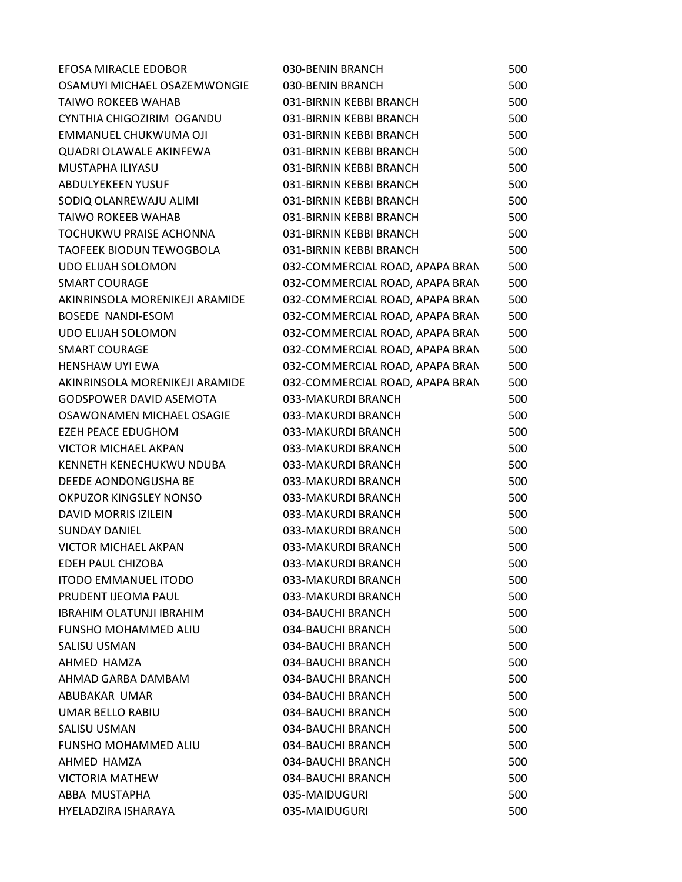| EFOSA MIRACLE EDOBOR            | 030-BENIN BRANCH                | 500 |
|---------------------------------|---------------------------------|-----|
| OSAMUYI MICHAEL OSAZEMWONGIE    | 030-BENIN BRANCH                | 500 |
| <b>TAIWO ROKEEB WAHAB</b>       | 031-BIRNIN KEBBI BRANCH         | 500 |
| CYNTHIA CHIGOZIRIM OGANDU       | 031-BIRNIN KEBBI BRANCH         | 500 |
| EMMANUEL CHUKWUMA OJI           | 031-BIRNIN KEBBI BRANCH         | 500 |
| QUADRI OLAWALE AKINFEWA         | 031-BIRNIN KEBBI BRANCH         | 500 |
| MUSTAPHA ILIYASU                | 031-BIRNIN KEBBI BRANCH         | 500 |
| <b>ABDULYEKEEN YUSUF</b>        | 031-BIRNIN KEBBI BRANCH         | 500 |
| SODIQ OLANREWAJU ALIMI          | 031-BIRNIN KEBBI BRANCH         | 500 |
| <b>TAIWO ROKEEB WAHAB</b>       | 031-BIRNIN KEBBI BRANCH         | 500 |
| TOCHUKWU PRAISE ACHONNA         | 031-BIRNIN KEBBI BRANCH         | 500 |
| <b>TAOFEEK BIODUN TEWOGBOLA</b> | 031-BIRNIN KEBBI BRANCH         | 500 |
| <b>UDO ELIJAH SOLOMON</b>       | 032-COMMERCIAL ROAD, APAPA BRAN | 500 |
| <b>SMART COURAGE</b>            | 032-COMMERCIAL ROAD, APAPA BRAN | 500 |
| AKINRINSOLA MORENIKEJI ARAMIDE  | 032-COMMERCIAL ROAD, APAPA BRAN | 500 |
| <b>BOSEDE NANDI-ESOM</b>        | 032-COMMERCIAL ROAD, APAPA BRAN | 500 |
| <b>UDO ELIJAH SOLOMON</b>       | 032-COMMERCIAL ROAD, APAPA BRAN | 500 |
| <b>SMART COURAGE</b>            | 032-COMMERCIAL ROAD, APAPA BRAN | 500 |
| <b>HENSHAW UYI EWA</b>          | 032-COMMERCIAL ROAD, APAPA BRAN | 500 |
| AKINRINSOLA MORENIKEJI ARAMIDE  | 032-COMMERCIAL ROAD, APAPA BRAN | 500 |
| <b>GODSPOWER DAVID ASEMOTA</b>  | 033-MAKURDI BRANCH              | 500 |
| OSAWONAMEN MICHAEL OSAGIE       | 033-MAKURDI BRANCH              | 500 |
| EZEH PEACE EDUGHOM              | 033-MAKURDI BRANCH              | 500 |
| <b>VICTOR MICHAEL AKPAN</b>     | 033-MAKURDI BRANCH              | 500 |
| KENNETH KENECHUKWU NDUBA        | 033-MAKURDI BRANCH              | 500 |
| DEEDE AONDONGUSHA BE            | 033-MAKURDI BRANCH              | 500 |
| OKPUZOR KINGSLEY NONSO          | 033-MAKURDI BRANCH              | 500 |
| DAVID MORRIS IZILEIN            | 033-MAKURDI BRANCH              | 500 |
| <b>SUNDAY DANIEL</b>            | 033-MAKURDI BRANCH              | 500 |
| <b>VICTOR MICHAEL AKPAN</b>     | 033-MAKURDI BRANCH              | 500 |
| <b>EDEH PAUL CHIZOBA</b>        | 033-MAKURDI BRANCH              | 500 |
| <b>ITODO EMMANUEL ITODO</b>     | 033-MAKURDI BRANCH              | 500 |
| PRUDENT IJEOMA PAUL             | 033-MAKURDI BRANCH              | 500 |
| <b>IBRAHIM OLATUNJI IBRAHIM</b> | 034-BAUCHI BRANCH               | 500 |
| FUNSHO MOHAMMED ALIU            | 034-BAUCHI BRANCH               | 500 |
| SALISU USMAN                    | 034-BAUCHI BRANCH               | 500 |
| AHMED HAMZA                     | 034-BAUCHI BRANCH               | 500 |
| AHMAD GARBA DAMBAM              | 034-BAUCHI BRANCH               | 500 |
| ABUBAKAR UMAR                   | 034-BAUCHI BRANCH               | 500 |
| <b>UMAR BELLO RABIU</b>         | 034-BAUCHI BRANCH               | 500 |
| <b>SALISU USMAN</b>             | 034-BAUCHI BRANCH               | 500 |
| <b>FUNSHO MOHAMMED ALIU</b>     | 034-BAUCHI BRANCH               | 500 |
| AHMED HAMZA                     | 034-BAUCHI BRANCH               | 500 |
| <b>VICTORIA MATHEW</b>          | 034-BAUCHI BRANCH               | 500 |
| ABBA MUSTAPHA                   | 035-MAIDUGURI                   | 500 |
| HYELADZIRA ISHARAYA             | 035-MAIDUGURI                   | 500 |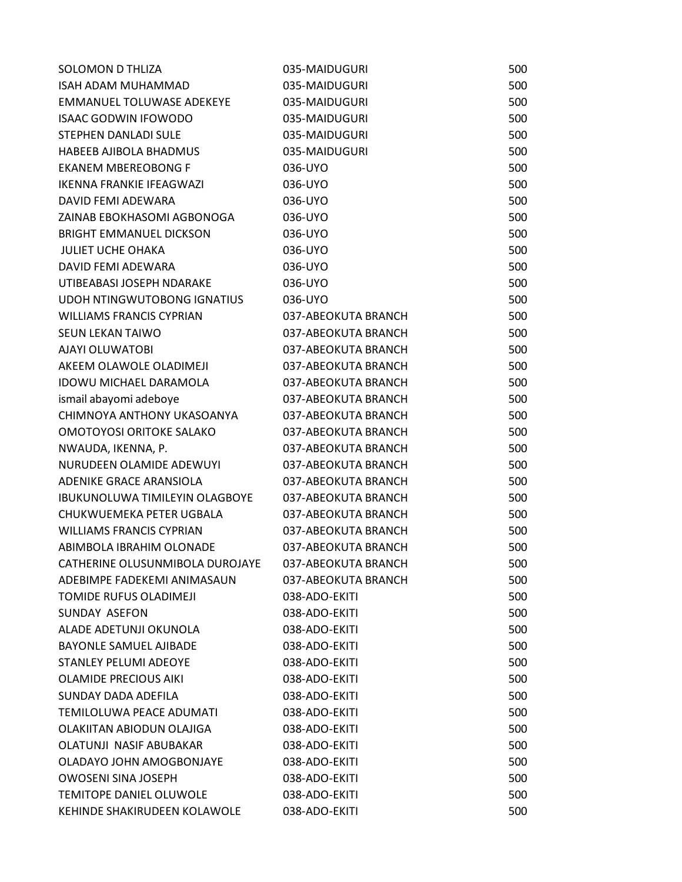| <b>SOLOMON D THLIZA</b>               | 035-MAIDUGURI       | 500 |
|---------------------------------------|---------------------|-----|
| ISAH ADAM MUHAMMAD                    | 035-MAIDUGURI       | 500 |
| EMMANUEL TOLUWASE ADEKEYE             | 035-MAIDUGURI       | 500 |
| <b>ISAAC GODWIN IFOWODO</b>           | 035-MAIDUGURI       | 500 |
| STEPHEN DANLADI SULE                  | 035-MAIDUGURI       | 500 |
| HABEEB AJIBOLA BHADMUS                | 035-MAIDUGURI       | 500 |
| <b>EKANEM MBEREOBONG F</b>            | 036-UYO             | 500 |
| IKENNA FRANKIE IFEAGWAZI              | 036-UYO             | 500 |
| DAVID FEMI ADEWARA                    | 036-UYO             | 500 |
| ZAINAB EBOKHASOMI AGBONOGA            | 036-UYO             | 500 |
| <b>BRIGHT EMMANUEL DICKSON</b>        | 036-UYO             | 500 |
| <b>JULIET UCHE OHAKA</b>              | 036-UYO             | 500 |
| DAVID FEMI ADEWARA                    | 036-UYO             | 500 |
| UTIBEABASI JOSEPH NDARAKE             | 036-UYO             | 500 |
| UDOH NTINGWUTOBONG IGNATIUS           | 036-UYO             | 500 |
| <b>WILLIAMS FRANCIS CYPRIAN</b>       | 037-ABEOKUTA BRANCH | 500 |
| SEUN LEKAN TAIWO                      | 037-ABEOKUTA BRANCH | 500 |
| AJAYI OLUWATOBI                       | 037-ABEOKUTA BRANCH | 500 |
| AKEEM OLAWOLE OLADIMEJI               | 037-ABEOKUTA BRANCH | 500 |
| <b>IDOWU MICHAEL DARAMOLA</b>         | 037-ABEOKUTA BRANCH | 500 |
| ismail abayomi adeboye                | 037-ABEOKUTA BRANCH | 500 |
| CHIMNOYA ANTHONY UKASOANYA            | 037-ABEOKUTA BRANCH | 500 |
| <b>OMOTOYOSI ORITOKE SALAKO</b>       | 037-ABEOKUTA BRANCH | 500 |
| NWAUDA, IKENNA, P.                    | 037-ABEOKUTA BRANCH | 500 |
| NURUDEEN OLAMIDE ADEWUYI              | 037-ABEOKUTA BRANCH | 500 |
| ADENIKE GRACE ARANSIOLA               | 037-ABEOKUTA BRANCH | 500 |
| <b>IBUKUNOLUWA TIMILEYIN OLAGBOYE</b> | 037-ABEOKUTA BRANCH | 500 |
| CHUKWUEMEKA PETER UGBALA              | 037-ABEOKUTA BRANCH | 500 |
| <b>WILLIAMS FRANCIS CYPRIAN</b>       | 037-ABEOKUTA BRANCH | 500 |
| ABIMBOLA IBRAHIM OLONADE              | 037-ABEOKUTA BRANCH | 500 |
| CATHERINE OLUSUNMIBOLA DUROJAYE       | 037-ABEOKUTA BRANCH | 500 |
| ADEBIMPE FADEKEMI ANIMASAUN           | 037-ABEOKUTA BRANCH | 500 |
| <b>TOMIDE RUFUS OLADIMEJI</b>         | 038-ADO-EKITI       | 500 |
| SUNDAY ASEFON                         | 038-ADO-EKITI       | 500 |
| ALADE ADETUNJI OKUNOLA                | 038-ADO-EKITI       | 500 |
| <b>BAYONLE SAMUEL AJIBADE</b>         | 038-ADO-EKITI       | 500 |
| <b>STANLEY PELUMI ADEOYE</b>          | 038-ADO-EKITI       | 500 |
| <b>OLAMIDE PRECIOUS AIKI</b>          | 038-ADO-EKITI       | 500 |
| SUNDAY DADA ADEFILA                   | 038-ADO-EKITI       | 500 |
| TEMILOLUWA PEACE ADUMATI              | 038-ADO-EKITI       | 500 |
| OLAKIITAN ABIODUN OLAJIGA             | 038-ADO-EKITI       | 500 |
| <b>OLATUNJI NASIF ABUBAKAR</b>        | 038-ADO-EKITI       | 500 |
| OLADAYO JOHN AMOGBONJAYE              | 038-ADO-EKITI       | 500 |
| <b>OWOSENI SINA JOSEPH</b>            | 038-ADO-EKITI       | 500 |
| <b>TEMITOPE DANIEL OLUWOLE</b>        | 038-ADO-EKITI       | 500 |
| KEHINDE SHAKIRUDEEN KOLAWOLE          | 038-ADO-EKITI       | 500 |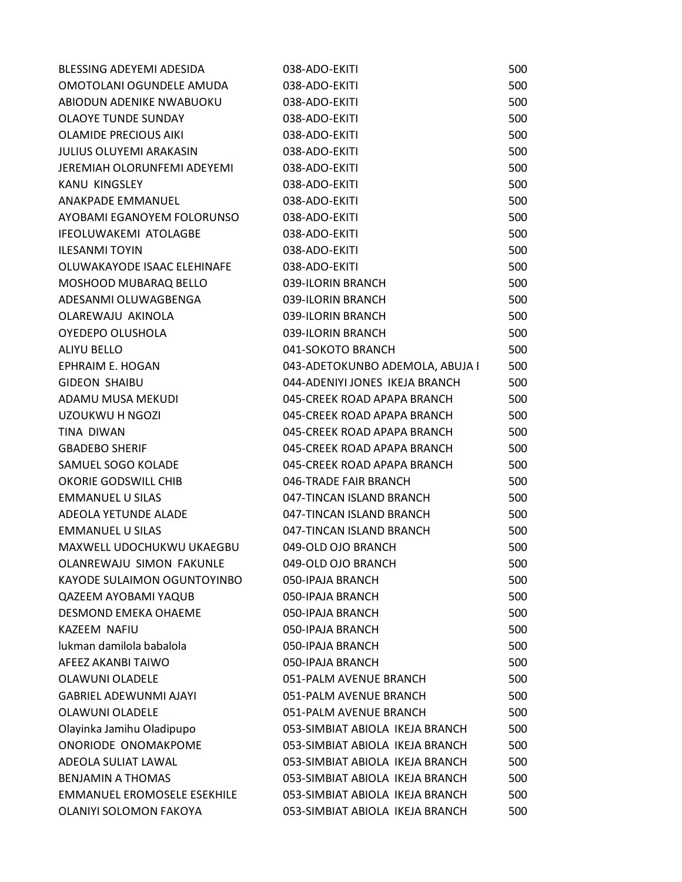| BLESSING ADEYEMI ADESIDA           | 038-ADO-EKITI                   | 500 |
|------------------------------------|---------------------------------|-----|
| OMOTOLANI OGUNDELE AMUDA           | 038-ADO-EKITI                   | 500 |
| ABIODUN ADENIKE NWABUOKU           | 038-ADO-EKITI                   | 500 |
| <b>OLAOYE TUNDE SUNDAY</b>         | 038-ADO-EKITI                   | 500 |
| <b>OLAMIDE PRECIOUS AIKI</b>       | 038-ADO-EKITI                   | 500 |
| <b>JULIUS OLUYEMI ARAKASIN</b>     | 038-ADO-EKITI                   | 500 |
| JEREMIAH OLORUNFEMI ADEYEMI        | 038-ADO-EKITI                   | 500 |
| KANU KINGSLEY                      | 038-ADO-EKITI                   | 500 |
| ANAKPADE EMMANUEL                  | 038-ADO-EKITI                   | 500 |
| AYOBAMI EGANOYEM FOLORUNSO         | 038-ADO-EKITI                   | 500 |
| IFEOLUWAKEMI ATOLAGBE              | 038-ADO-EKITI                   | 500 |
| <b>ILESANMI TOYIN</b>              | 038-ADO-EKITI                   | 500 |
| OLUWAKAYODE ISAAC ELEHINAFE        | 038-ADO-EKITI                   | 500 |
| MOSHOOD MUBARAQ BELLO              | 039-ILORIN BRANCH               | 500 |
| ADESANMI OLUWAGBENGA               | 039-ILORIN BRANCH               | 500 |
| OLAREWAJU AKINOLA                  | 039-ILORIN BRANCH               | 500 |
| OYEDEPO OLUSHOLA                   | 039-ILORIN BRANCH               | 500 |
| ALIYU BELLO                        | 041-SOKOTO BRANCH               | 500 |
| <b>EPHRAIM E. HOGAN</b>            | 043-ADETOKUNBO ADEMOLA, ABUJA I | 500 |
| <b>GIDEON SHAIBU</b>               | 044-ADENIYI JONES IKEJA BRANCH  | 500 |
| ADAMU MUSA MEKUDI                  | 045-CREEK ROAD APAPA BRANCH     | 500 |
| UZOUKWU H NGOZI                    | 045-CREEK ROAD APAPA BRANCH     | 500 |
| <b>TINA DIWAN</b>                  | 045-CREEK ROAD APAPA BRANCH     | 500 |
| <b>GBADEBO SHERIF</b>              | 045-CREEK ROAD APAPA BRANCH     | 500 |
| SAMUEL SOGO KOLADE                 | 045-CREEK ROAD APAPA BRANCH     | 500 |
| OKORIE GODSWILL CHIB               | 046-TRADE FAIR BRANCH           | 500 |
| <b>EMMANUEL U SILAS</b>            | 047-TINCAN ISLAND BRANCH        | 500 |
| ADEOLA YETUNDE ALADE               | 047-TINCAN ISLAND BRANCH        | 500 |
| <b>EMMANUEL U SILAS</b>            | 047-TINCAN ISLAND BRANCH        | 500 |
| MAXWELL UDOCHUKWU UKAEGBU          | 049-OLD OJO BRANCH              | 500 |
| <b>OLANREWAJU SIMON FAKUNLE</b>    | 049-OLD OJO BRANCH              | 500 |
| <b>KAYODE SULAIMON OGUNTOYINBO</b> | 050-IPAJA BRANCH                | 500 |
| <b>QAZEEM AYOBAMI YAQUB</b>        | 050-IPAJA BRANCH                | 500 |
| DESMOND EMEKA OHAEME               | 050-IPAJA BRANCH                | 500 |
| KAZEEM NAFIU                       | 050-IPAJA BRANCH                | 500 |
| lukman damilola babalola           | 050-IPAJA BRANCH                | 500 |
| AFEEZ AKANBI TAIWO                 | 050-IPAJA BRANCH                | 500 |
| <b>OLAWUNI OLADELE</b>             | 051-PALM AVENUE BRANCH          | 500 |
| <b>GABRIEL ADEWUNMI AJAYI</b>      | 051-PALM AVENUE BRANCH          | 500 |
| <b>OLAWUNI OLADELE</b>             | 051-PALM AVENUE BRANCH          | 500 |
| Olayinka Jamihu Oladipupo          | 053-SIMBIAT ABIOLA IKEJA BRANCH | 500 |
| ONORIODE ONOMAKPOME                | 053-SIMBIAT ABIOLA IKEJA BRANCH | 500 |
| ADEOLA SULIAT LAWAL                | 053-SIMBIAT ABIOLA IKEJA BRANCH | 500 |
| <b>BENJAMIN A THOMAS</b>           | 053-SIMBIAT ABIOLA IKEJA BRANCH | 500 |
| <b>EMMANUEL EROMOSELE ESEKHILE</b> | 053-SIMBIAT ABIOLA IKEJA BRANCH | 500 |
| OLANIYI SOLOMON FAKOYA             | 053-SIMBIAT ABIOLA IKEJA BRANCH | 500 |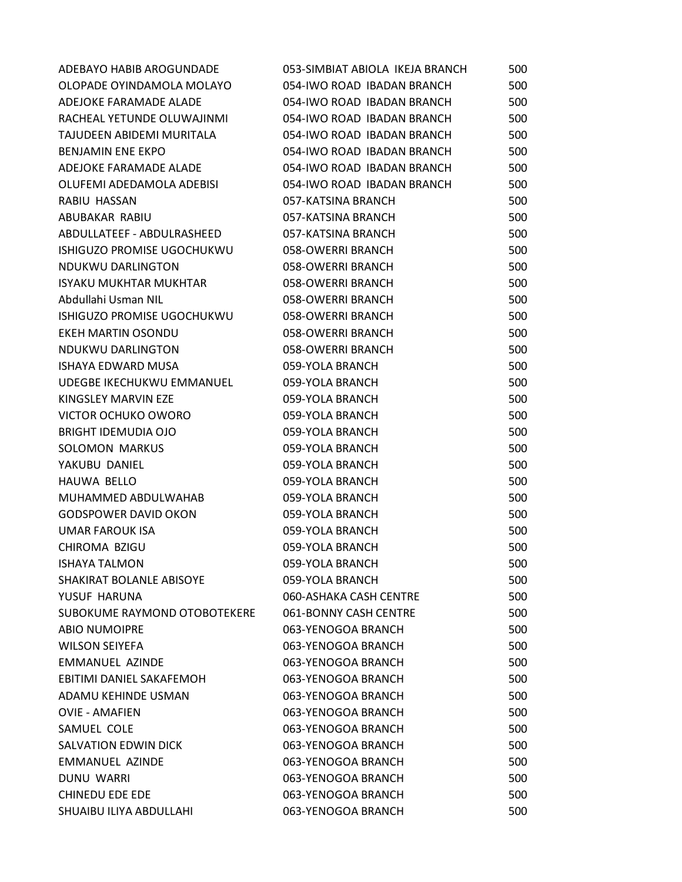| ADEBAYO HABIB AROGUNDADE     | 053-SIMBIAT ABIOLA IKEJA BRANCH | 500 |
|------------------------------|---------------------------------|-----|
| OLOPADE OYINDAMOLA MOLAYO    | 054-IWO ROAD IBADAN BRANCH      | 500 |
| ADEJOKE FARAMADE ALADE       | 054-IWO ROAD IBADAN BRANCH      | 500 |
| RACHEAL YETUNDE OLUWAJINMI   | 054-IWO ROAD IBADAN BRANCH      | 500 |
| TAJUDEEN ABIDEMI MURITALA    | 054-IWO ROAD IBADAN BRANCH      | 500 |
| <b>BENJAMIN ENE EKPO</b>     | 054-IWO ROAD IBADAN BRANCH      | 500 |
| ADEJOKE FARAMADE ALADE       | 054-IWO ROAD IBADAN BRANCH      | 500 |
| OLUFEMI ADEDAMOLA ADEBISI    | 054-IWO ROAD IBADAN BRANCH      | 500 |
| RABIU HASSAN                 | 057-KATSINA BRANCH              | 500 |
| ABUBAKAR RABIU               | 057-KATSINA BRANCH              | 500 |
| ABDULLATEEF - ABDULRASHEED   | 057-KATSINA BRANCH              | 500 |
| ISHIGUZO PROMISE UGOCHUKWU   | 058-OWERRI BRANCH               | 500 |
| NDUKWU DARLINGTON            | 058-OWERRI BRANCH               | 500 |
| ISYAKU MUKHTAR MUKHTAR       | 058-OWERRI BRANCH               | 500 |
| Abdullahi Usman NIL          | 058-OWERRI BRANCH               | 500 |
| ISHIGUZO PROMISE UGOCHUKWU   | 058-OWERRI BRANCH               | 500 |
| EKEH MARTIN OSONDU           | 058-OWERRI BRANCH               | 500 |
| NDUKWU DARLINGTON            | 058-OWERRI BRANCH               | 500 |
| <b>ISHAYA EDWARD MUSA</b>    | 059-YOLA BRANCH                 | 500 |
| UDEGBE IKECHUKWU EMMANUEL    | 059-YOLA BRANCH                 | 500 |
| KINGSLEY MARVIN EZE          | 059-YOLA BRANCH                 | 500 |
| VICTOR OCHUKO OWORO          | 059-YOLA BRANCH                 | 500 |
| <b>BRIGHT IDEMUDIA OJO</b>   | 059-YOLA BRANCH                 | 500 |
| <b>SOLOMON MARKUS</b>        | 059-YOLA BRANCH                 | 500 |
| YAKUBU DANIEL                | 059-YOLA BRANCH                 | 500 |
| HAUWA BELLO                  | 059-YOLA BRANCH                 | 500 |
| MUHAMMED ABDULWAHAB          | 059-YOLA BRANCH                 | 500 |
| <b>GODSPOWER DAVID OKON</b>  | 059-YOLA BRANCH                 | 500 |
| <b>UMAR FAROUK ISA</b>       | 059-YOLA BRANCH                 | 500 |
| CHIROMA BZIGU                | 059-YOLA BRANCH                 | 500 |
| <b>ISHAYA TALMON</b>         | 059-YOLA BRANCH                 | 500 |
| SHAKIRAT BOLANLE ABISOYE     | 059-YOLA BRANCH                 | 500 |
| YUSUF HARUNA                 | 060-ASHAKA CASH CENTRE          | 500 |
| SUBOKUME RAYMOND OTOBOTEKERE | 061-BONNY CASH CENTRE           | 500 |
| <b>ABIO NUMOIPRE</b>         | 063-YENOGOA BRANCH              | 500 |
| <b>WILSON SEIYEFA</b>        | 063-YENOGOA BRANCH              | 500 |
| EMMANUEL AZINDE              | 063-YENOGOA BRANCH              | 500 |
| EBITIMI DANIEL SAKAFEMOH     | 063-YENOGOA BRANCH              | 500 |
| ADAMU KEHINDE USMAN          | 063-YENOGOA BRANCH              | 500 |
| <b>OVIE - AMAFIEN</b>        | 063-YENOGOA BRANCH              | 500 |
| SAMUEL COLE                  | 063-YENOGOA BRANCH              | 500 |
| SALVATION EDWIN DICK         | 063-YENOGOA BRANCH              | 500 |
| EMMANUEL AZINDE              | 063-YENOGOA BRANCH              | 500 |
| DUNU WARRI                   | 063-YENOGOA BRANCH              | 500 |
| <b>CHINEDU EDE EDE</b>       | 063-YENOGOA BRANCH              | 500 |
| SHUAIBU ILIYA ABDULLAHI      | 063-YENOGOA BRANCH              | 500 |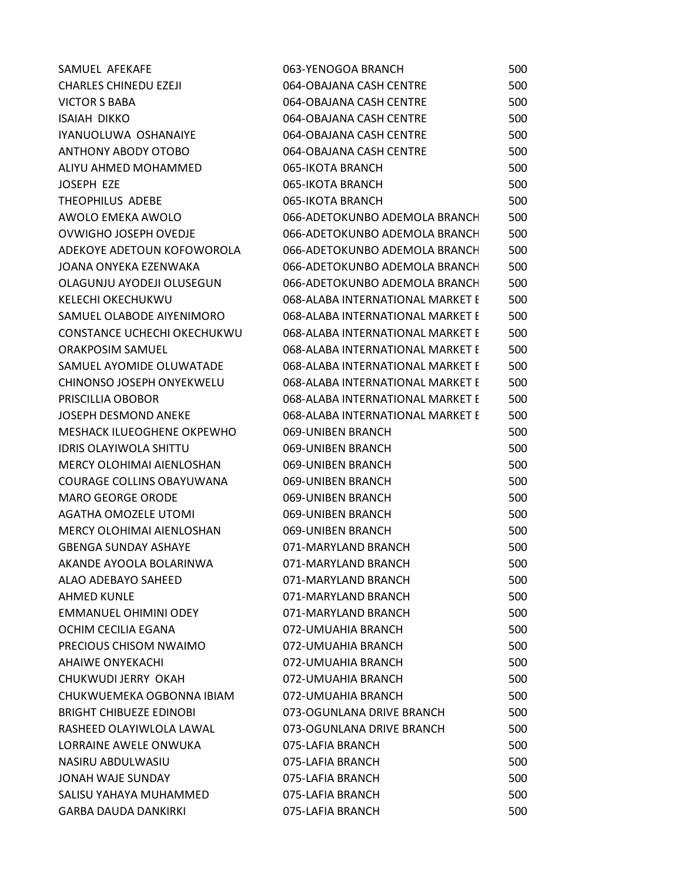| SAMUEL AFEKAFE                     | 063-YENOGOA BRANCH               | 500 |
|------------------------------------|----------------------------------|-----|
| <b>CHARLES CHINEDU EZEJI</b>       | 064-OBAJANA CASH CENTRE          | 500 |
| <b>VICTOR S BABA</b>               | 064-OBAJANA CASH CENTRE          | 500 |
| <b>ISAIAH DIKKO</b>                | 064-OBAJANA CASH CENTRE          | 500 |
| IYANUOLUWA OSHANAIYE               | 064-OBAJANA CASH CENTRE          | 500 |
| <b>ANTHONY ABODY OTOBO</b>         | 064-OBAJANA CASH CENTRE          | 500 |
| ALIYU AHMED MOHAMMED               | 065-IKOTA BRANCH                 | 500 |
| JOSEPH EZE                         | 065-IKOTA BRANCH                 | 500 |
| THEOPHILUS ADEBE                   | 065-IKOTA BRANCH                 | 500 |
| AWOLO EMEKA AWOLO                  | 066-ADETOKUNBO ADEMOLA BRANCH    | 500 |
| OVWIGHO JOSEPH OVEDJE              | 066-ADETOKUNBO ADEMOLA BRANCH    | 500 |
| ADEKOYE ADETOUN KOFOWOROLA         | 066-ADETOKUNBO ADEMOLA BRANCH    | 500 |
| JOANA ONYEKA EZENWAKA              | 066-ADETOKUNBO ADEMOLA BRANCH    | 500 |
| OLAGUNJU AYODEJI OLUSEGUN          | 066-ADETOKUNBO ADEMOLA BRANCH    | 500 |
| <b>KELECHI OKECHUKWU</b>           | 068-ALABA INTERNATIONAL MARKET E | 500 |
| SAMUEL OLABODE AIYENIMORO          | 068-ALABA INTERNATIONAL MARKET E | 500 |
| <b>CONSTANCE UCHECHI OKECHUKWU</b> | 068-ALABA INTERNATIONAL MARKET E | 500 |
| <b>ORAKPOSIM SAMUEL</b>            | 068-ALABA INTERNATIONAL MARKET E | 500 |
| SAMUEL AYOMIDE OLUWATADE           | 068-ALABA INTERNATIONAL MARKET E | 500 |
| CHINONSO JOSEPH ONYEKWELU          | 068-ALABA INTERNATIONAL MARKET E | 500 |
| PRISCILLIA OBOBOR                  | 068-ALABA INTERNATIONAL MARKET E | 500 |
| <b>JOSEPH DESMOND ANEKE</b>        | 068-ALABA INTERNATIONAL MARKET E | 500 |
| MESHACK ILUEOGHENE OKPEWHO         | 069-UNIBEN BRANCH                | 500 |
| <b>IDRIS OLAYIWOLA SHITTU</b>      | 069-UNIBEN BRANCH                | 500 |
| MERCY OLOHIMAI AIENLOSHAN          | 069-UNIBEN BRANCH                | 500 |
| COURAGE COLLINS OBAYUWANA          | 069-UNIBEN BRANCH                | 500 |
| <b>MARO GEORGE ORODE</b>           | 069-UNIBEN BRANCH                | 500 |
| <b>AGATHA OMOZELE UTOMI</b>        | 069-UNIBEN BRANCH                | 500 |
| <b>MERCY OLOHIMAI AIENLOSHAN</b>   | 069-UNIBEN BRANCH                | 500 |
| <b>GBENGA SUNDAY ASHAYE</b>        | 071-MARYLAND BRANCH              | 500 |
| AKANDE AYOOLA BOLARINWA            | 071-MARYLAND BRANCH              | 500 |
| ALAO ADEBAYO SAHEED                | 071-MARYLAND BRANCH              | 500 |
| <b>AHMED KUNLE</b>                 | 071-MARYLAND BRANCH              | 500 |
| EMMANUEL OHIMINI ODEY              | 071-MARYLAND BRANCH              | 500 |
| OCHIM CECILIA EGANA                | 072-UMUAHIA BRANCH               | 500 |
| PRECIOUS CHISOM NWAIMO             | 072-UMUAHIA BRANCH               | 500 |
| AHAIWE ONYEKACHI                   | 072-UMUAHIA BRANCH               | 500 |
| CHUKWUDI JERRY OKAH                | 072-UMUAHIA BRANCH               | 500 |
| CHUKWUEMEKA OGBONNA IBIAM          | 072-UMUAHIA BRANCH               | 500 |
| <b>BRIGHT CHIBUEZE EDINOBI</b>     | 073-OGUNLANA DRIVE BRANCH        | 500 |
| RASHEED OLAYIWLOLA LAWAL           | 073-OGUNLANA DRIVE BRANCH        | 500 |
| LORRAINE AWELE ONWUKA              | 075-LAFIA BRANCH                 | 500 |
| NASIRU ABDULWASIU                  | 075-LAFIA BRANCH                 | 500 |
| JONAH WAJE SUNDAY                  | 075-LAFIA BRANCH                 | 500 |
| SALISU YAHAYA MUHAMMED             | 075-LAFIA BRANCH                 | 500 |
| <b>GARBA DAUDA DANKIRKI</b>        | 075-LAFIA BRANCH                 | 500 |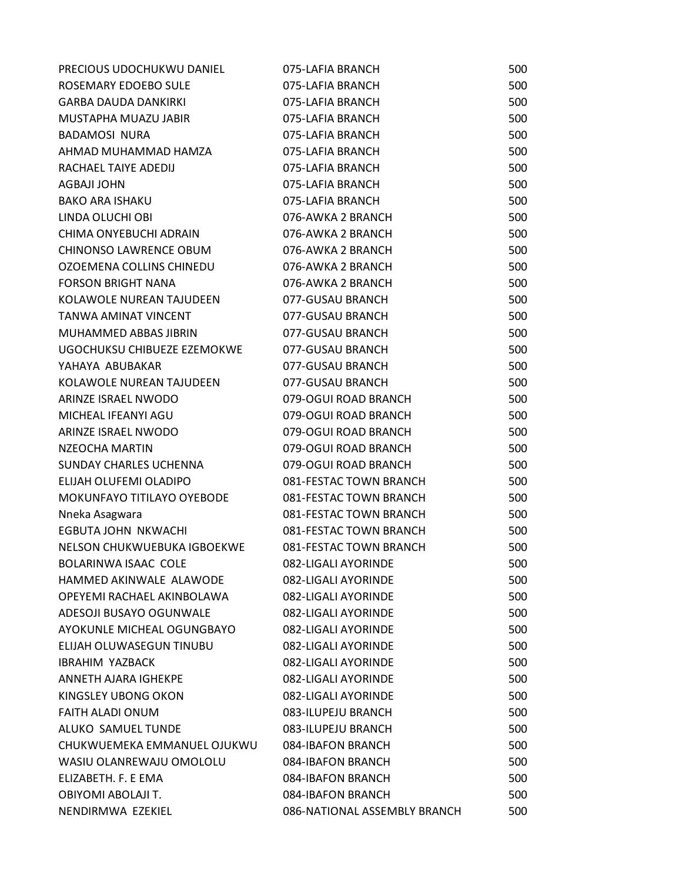| PRECIOUS UDOCHUKWU DANIEL       | 075-LAFIA BRANCH             | 500 |
|---------------------------------|------------------------------|-----|
| ROSEMARY EDOEBO SULE            | 075-LAFIA BRANCH             | 500 |
| <b>GARBA DAUDA DANKIRKI</b>     | 075-LAFIA BRANCH             | 500 |
| MUSTAPHA MUAZU JABIR            | 075-LAFIA BRANCH             | 500 |
| <b>BADAMOSI NURA</b>            | 075-LAFIA BRANCH             | 500 |
| AHMAD MUHAMMAD HAMZA            | 075-LAFIA BRANCH             | 500 |
| RACHAEL TAIYE ADEDIJ            | 075-LAFIA BRANCH             | 500 |
| <b>AGBAJI JOHN</b>              | 075-LAFIA BRANCH             | 500 |
| <b>BAKO ARA ISHAKU</b>          | 075-LAFIA BRANCH             | 500 |
| LINDA OLUCHI OBI                | 076-AWKA 2 BRANCH            | 500 |
| CHIMA ONYEBUCHI ADRAIN          | 076-AWKA 2 BRANCH            | 500 |
| <b>CHINONSO LAWRENCE OBUM</b>   | 076-AWKA 2 BRANCH            | 500 |
| OZOEMENA COLLINS CHINEDU        | 076-AWKA 2 BRANCH            | 500 |
| <b>FORSON BRIGHT NANA</b>       | 076-AWKA 2 BRANCH            | 500 |
| KOLAWOLE NUREAN TAJUDEEN        | 077-GUSAU BRANCH             | 500 |
| TANWA AMINAT VINCENT            | 077-GUSAU BRANCH             | 500 |
| MUHAMMED ABBAS JIBRIN           | 077-GUSAU BRANCH             | 500 |
| UGOCHUKSU CHIBUEZE EZEMOKWE     | 077-GUSAU BRANCH             | 500 |
| YAHAYA ABUBAKAR                 | 077-GUSAU BRANCH             | 500 |
| KOLAWOLE NUREAN TAJUDEEN        | 077-GUSAU BRANCH             | 500 |
| ARINZE ISRAEL NWODO             | 079-OGUI ROAD BRANCH         | 500 |
| MICHEAL IFEANYI AGU             | 079-OGUI ROAD BRANCH         | 500 |
| ARINZE ISRAEL NWODO             | 079-OGUI ROAD BRANCH         | 500 |
| NZEOCHA MARTIN                  | 079-OGUI ROAD BRANCH         | 500 |
| <b>SUNDAY CHARLES UCHENNA</b>   | 079-OGUI ROAD BRANCH         | 500 |
| ELIJAH OLUFEMI OLADIPO          | 081-FESTAC TOWN BRANCH       | 500 |
| MOKUNFAYO TITILAYO OYEBODE      | 081-FESTAC TOWN BRANCH       | 500 |
| Nneka Asagwara                  | 081-FESTAC TOWN BRANCH       | 500 |
| EGBUTA JOHN NKWACHI             | 081-FESTAC TOWN BRANCH       | 500 |
| NELSON CHUKWUEBUKA IGBOEKWE     | 081-FESTAC TOWN BRANCH       | 500 |
| BOLARINWA ISAAC COLE            | 082-LIGALI AYORINDE          | 500 |
| HAMMED AKINWALE ALAWODE         | 082-LIGALI AYORINDE          | 500 |
| OPEYEMI RACHAEL AKINBOLAWA      | 082-LIGALI AYORINDE          | 500 |
| ADESOJI BUSAYO OGUNWALE         | 082-LIGALI AYORINDE          | 500 |
| AYOKUNLE MICHEAL OGUNGBAYO      | 082-LIGALI AYORINDE          | 500 |
| <b>ELIJAH OLUWASEGUN TINUBU</b> | 082-LIGALI AYORINDE          | 500 |
| <b>IBRAHIM YAZBACK</b>          | 082-LIGALI AYORINDE          | 500 |
| ANNETH AJARA IGHEKPE            | 082-LIGALI AYORINDE          | 500 |
| KINGSLEY UBONG OKON             | 082-LIGALI AYORINDE          | 500 |
| <b>FAITH ALADI ONUM</b>         | 083-ILUPEJU BRANCH           | 500 |
| ALUKO SAMUEL TUNDE              | 083-ILUPEJU BRANCH           | 500 |
| CHUKWUEMEKA EMMANUEL OJUKWU     | 084-IBAFON BRANCH            | 500 |
| WASIU OLANREWAJU OMOLOLU        | 084-IBAFON BRANCH            | 500 |
| ELIZABETH. F. E EMA             | 084-IBAFON BRANCH            | 500 |
| OBIYOMI ABOLAJI T.              | 084-IBAFON BRANCH            | 500 |
| NENDIRMWA EZEKIEL               | 086-NATIONAL ASSEMBLY BRANCH | 500 |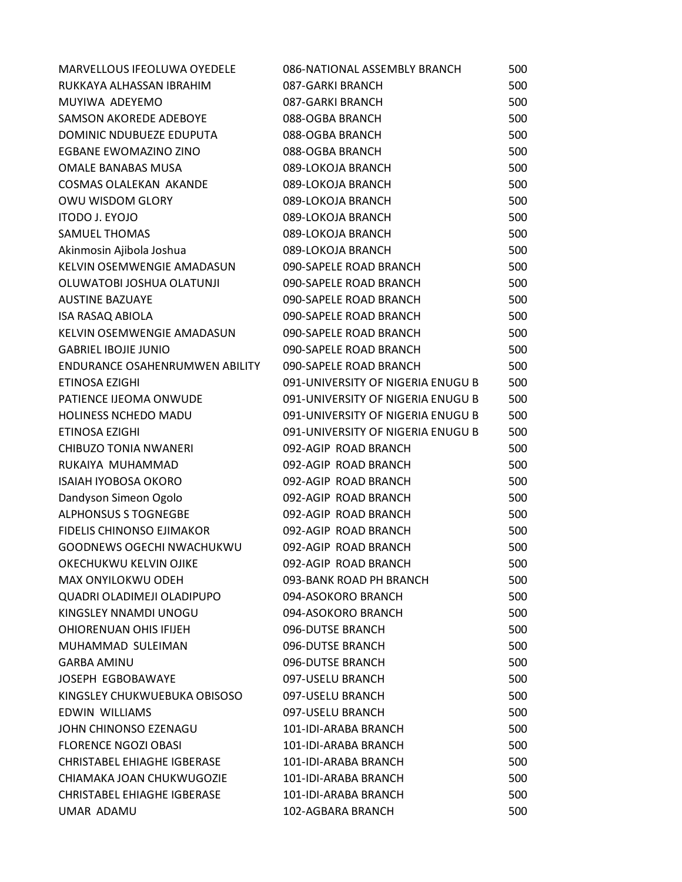| MARVELLOUS IFEOLUWA OYEDELE           | 086-NATIONAL ASSEMBLY BRANCH      | 500 |
|---------------------------------------|-----------------------------------|-----|
| RUKKAYA ALHASSAN IBRAHIM              | 087-GARKI BRANCH                  | 500 |
| MUYIWA ADEYEMO                        | 087-GARKI BRANCH                  | 500 |
| <b>SAMSON AKOREDE ADEBOYE</b>         | 088-OGBA BRANCH                   | 500 |
| DOMINIC NDUBUEZE EDUPUTA              | 088-OGBA BRANCH                   | 500 |
| EGBANE EWOMAZINO ZINO                 | 088-OGBA BRANCH                   | 500 |
| <b>OMALE BANABAS MUSA</b>             | 089-LOKOJA BRANCH                 | 500 |
| <b>COSMAS OLALEKAN AKANDE</b>         | 089-LOKOJA BRANCH                 | 500 |
| OWU WISDOM GLORY                      | 089-LOKOJA BRANCH                 | 500 |
| ITODO J. EYOJO                        | 089-LOKOJA BRANCH                 | 500 |
| <b>SAMUEL THOMAS</b>                  | 089-LOKOJA BRANCH                 | 500 |
| Akinmosin Ajibola Joshua              | 089-LOKOJA BRANCH                 | 500 |
| KELVIN OSEMWENGIE AMADASUN            | 090-SAPELE ROAD BRANCH            | 500 |
| OLUWATOBI JOSHUA OLATUNJI             | 090-SAPELE ROAD BRANCH            | 500 |
| <b>AUSTINE BAZUAYE</b>                | 090-SAPELE ROAD BRANCH            | 500 |
| <b>ISA RASAQ ABIOLA</b>               | 090-SAPELE ROAD BRANCH            | 500 |
| KELVIN OSEMWENGIE AMADASUN            | 090-SAPELE ROAD BRANCH            | 500 |
| <b>GABRIEL IBOJIE JUNIO</b>           | 090-SAPELE ROAD BRANCH            | 500 |
| <b>ENDURANCE OSAHENRUMWEN ABILITY</b> | 090-SAPELE ROAD BRANCH            | 500 |
| ETINOSA EZIGHI                        | 091-UNIVERSITY OF NIGERIA ENUGU B | 500 |
| PATIENCE IJEOMA ONWUDE                | 091-UNIVERSITY OF NIGERIA ENUGU B | 500 |
| HOLINESS NCHEDO MADU                  | 091-UNIVERSITY OF NIGERIA ENUGU B | 500 |
| ETINOSA EZIGHI                        | 091-UNIVERSITY OF NIGERIA ENUGU B | 500 |
| <b>CHIBUZO TONIA NWANERI</b>          | 092-AGIP ROAD BRANCH              | 500 |
| RUKAIYA MUHAMMAD                      | 092-AGIP ROAD BRANCH              | 500 |
| <b>ISAIAH IYOBOSA OKORO</b>           | 092-AGIP ROAD BRANCH              | 500 |
| Dandyson Simeon Ogolo                 | 092-AGIP ROAD BRANCH              | 500 |
| <b>ALPHONSUS S TOGNEGBE</b>           | 092-AGIP ROAD BRANCH              | 500 |
| <b>FIDELIS CHINONSO EJIMAKOR</b>      | 092-AGIP ROAD BRANCH              | 500 |
| GOODNEWS OGECHI NWACHUKWU             | 092-AGIP ROAD BRANCH              | 500 |
| OKECHUKWU KELVIN OJIKE                | 092-AGIP ROAD BRANCH              | 500 |
| MAX ONYILOKWU ODEH                    | 093-BANK ROAD PH BRANCH           | 500 |
| QUADRI OLADIMEJI OLADIPUPO            | 094-ASOKORO BRANCH                | 500 |
| KINGSLEY NNAMDI UNOGU                 | 094-ASOKORO BRANCH                | 500 |
| <b>OHIORENUAN OHIS IFIJEH</b>         | 096-DUTSE BRANCH                  | 500 |
| MUHAMMAD SULEIMAN                     | 096-DUTSE BRANCH                  | 500 |
| <b>GARBA AMINU</b>                    | 096-DUTSE BRANCH                  | 500 |
| JOSEPH EGBOBAWAYE                     | 097-USELU BRANCH                  | 500 |
| KINGSLEY CHUKWUEBUKA OBISOSO          | 097-USELU BRANCH                  | 500 |
| EDWIN WILLIAMS                        | 097-USELU BRANCH                  | 500 |
| JOHN CHINONSO EZENAGU                 | 101-IDI-ARABA BRANCH              | 500 |
| <b>FLORENCE NGOZI OBASI</b>           | 101-IDI-ARABA BRANCH              | 500 |
| <b>CHRISTABEL EHIAGHE IGBERASE</b>    | 101-IDI-ARABA BRANCH              | 500 |
| CHIAMAKA JOAN CHUKWUGOZIE             | 101-IDI-ARABA BRANCH              | 500 |
| <b>CHRISTABEL EHIAGHE IGBERASE</b>    | 101-IDI-ARABA BRANCH              | 500 |
| UMAR ADAMU                            | 102-AGBARA BRANCH                 | 500 |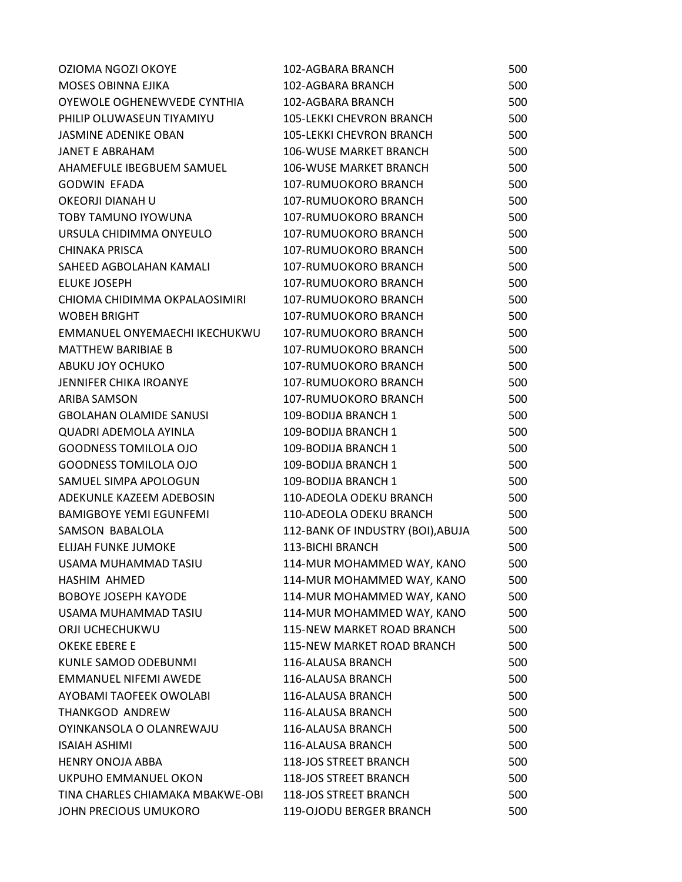| OZIOMA NGOZI OKOYE               | 102-AGBARA BRANCH                 | 500 |
|----------------------------------|-----------------------------------|-----|
| MOSES OBINNA EJIKA               | 102-AGBARA BRANCH                 | 500 |
| OYEWOLE OGHENEWVEDE CYNTHIA      | 102-AGBARA BRANCH                 | 500 |
| PHILIP OLUWASEUN TIYAMIYU        | <b>105-LEKKI CHEVRON BRANCH</b>   | 500 |
| <b>JASMINE ADENIKE OBAN</b>      | <b>105-LEKKI CHEVRON BRANCH</b>   | 500 |
| <b>JANET E ABRAHAM</b>           | <b>106-WUSE MARKET BRANCH</b>     | 500 |
| AHAMEFULE IBEGBUEM SAMUEL        | 106-WUSE MARKET BRANCH            | 500 |
| <b>GODWIN EFADA</b>              | 107-RUMUOKORO BRANCH              | 500 |
| OKEORJI DIANAH U                 | 107-RUMUOKORO BRANCH              | 500 |
| TOBY TAMUNO IYOWUNA              | 107-RUMUOKORO BRANCH              | 500 |
| URSULA CHIDIMMA ONYEULO          | 107-RUMUOKORO BRANCH              | 500 |
| <b>CHINAKA PRISCA</b>            | 107-RUMUOKORO BRANCH              | 500 |
| SAHEED AGBOLAHAN KAMALI          | 107-RUMUOKORO BRANCH              | 500 |
| <b>ELUKE JOSEPH</b>              | 107-RUMUOKORO BRANCH              | 500 |
| CHIOMA CHIDIMMA OKPALAOSIMIRI    | 107-RUMUOKORO BRANCH              | 500 |
| <b>WOBEH BRIGHT</b>              | 107-RUMUOKORO BRANCH              | 500 |
| EMMANUEL ONYEMAECHI IKECHUKWU    | 107-RUMUOKORO BRANCH              | 500 |
| <b>MATTHEW BARIBIAE B</b>        | 107-RUMUOKORO BRANCH              | 500 |
| ABUKU JOY OCHUKO                 | 107-RUMUOKORO BRANCH              | 500 |
| <b>JENNIFER CHIKA IROANYE</b>    | 107-RUMUOKORO BRANCH              | 500 |
| <b>ARIBA SAMSON</b>              | 107-RUMUOKORO BRANCH              | 500 |
| <b>GBOLAHAN OLAMIDE SANUSI</b>   | 109-BODIJA BRANCH 1               | 500 |
| <b>QUADRI ADEMOLA AYINLA</b>     | 109-BODIJA BRANCH 1               | 500 |
| <b>GOODNESS TOMILOLA OJO</b>     | 109-BODIJA BRANCH 1               | 500 |
| <b>GOODNESS TOMILOLA OJO</b>     | 109-BODIJA BRANCH 1               | 500 |
| SAMUEL SIMPA APOLOGUN            | 109-BODIJA BRANCH 1               | 500 |
| ADEKUNLE KAZEEM ADEBOSIN         | 110-ADEOLA ODEKU BRANCH           | 500 |
| <b>BAMIGBOYE YEMI EGUNFEMI</b>   | 110-ADEOLA ODEKU BRANCH           | 500 |
| SAMSON BABALOLA                  | 112-BANK OF INDUSTRY (BOI), ABUJA | 500 |
| <b>ELIJAH FUNKE JUMOKE</b>       | 113-BICHI BRANCH                  | 500 |
| USAMA MUHAMMAD TASIU             | 114-MUR MOHAMMED WAY, KANO        | 500 |
| HASHIM AHMED                     | 114-MUR MOHAMMED WAY, KANO        | 500 |
| <b>BOBOYE JOSEPH KAYODE</b>      | 114-MUR MOHAMMED WAY, KANO        | 500 |
| USAMA MUHAMMAD TASIU             | 114-MUR MOHAMMED WAY, KANO        | 500 |
| ORJI UCHECHUKWU                  | 115-NEW MARKET ROAD BRANCH        | 500 |
| <b>OKEKE EBERE E</b>             | 115-NEW MARKET ROAD BRANCH        | 500 |
| KUNLE SAMOD ODEBUNMI             | 116-ALAUSA BRANCH                 | 500 |
| <b>EMMANUEL NIFEMI AWEDE</b>     | 116-ALAUSA BRANCH                 | 500 |
| AYOBAMI TAOFEEK OWOLABI          | 116-ALAUSA BRANCH                 | 500 |
| <b>THANKGOD ANDREW</b>           | 116-ALAUSA BRANCH                 | 500 |
| OYINKANSOLA O OLANREWAJU         | 116-ALAUSA BRANCH                 | 500 |
| <b>ISAIAH ASHIMI</b>             | 116-ALAUSA BRANCH                 | 500 |
| <b>HENRY ONOJA ABBA</b>          | 118-JOS STREET BRANCH             | 500 |
| UKPUHO EMMANUEL OKON             | 118-JOS STREET BRANCH             | 500 |
| TINA CHARLES CHIAMAKA MBAKWE-OBI | 118-JOS STREET BRANCH             | 500 |
| JOHN PRECIOUS UMUKORO            | 119-OJODU BERGER BRANCH           | 500 |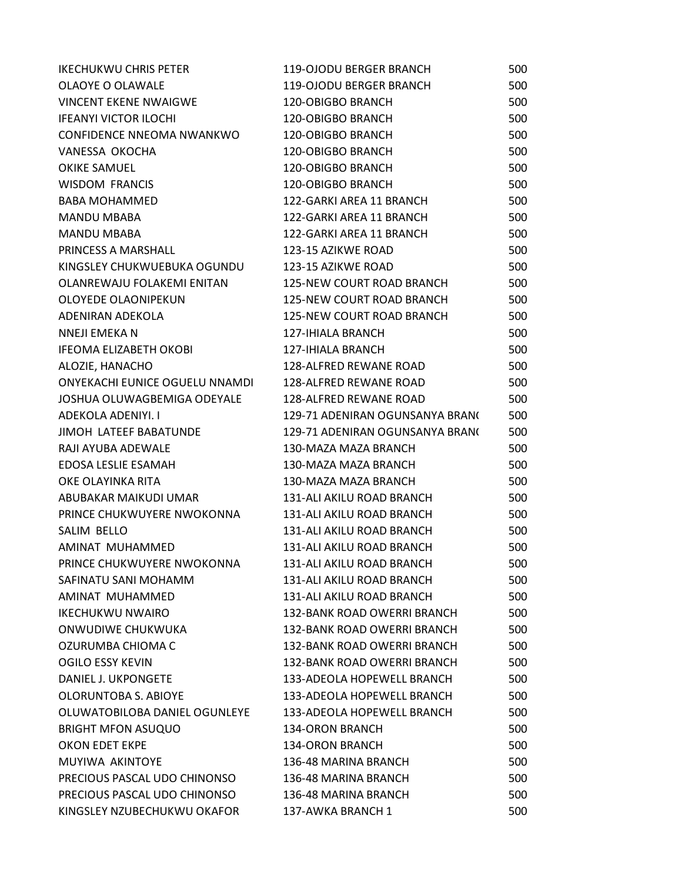| <b>IKECHUKWU CHRIS PETER</b>   | 119-OJODU BERGER BRANCH            | 500 |
|--------------------------------|------------------------------------|-----|
| OLAOYE O OLAWALE               | 119-OJODU BERGER BRANCH            | 500 |
| <b>VINCENT EKENE NWAIGWE</b>   | <b>120-OBIGBO BRANCH</b>           | 500 |
| <b>IFEANYI VICTOR ILOCHI</b>   | <b>120-OBIGBO BRANCH</b>           | 500 |
| CONFIDENCE NNEOMA NWANKWO      | <b>120-OBIGBO BRANCH</b>           | 500 |
| VANESSA OKOCHA                 | <b>120-OBIGBO BRANCH</b>           | 500 |
| <b>OKIKE SAMUEL</b>            | 120-OBIGBO BRANCH                  | 500 |
| <b>WISDOM FRANCIS</b>          | 120-OBIGBO BRANCH                  | 500 |
| <b>BABA MOHAMMED</b>           | 122-GARKI AREA 11 BRANCH           | 500 |
| <b>MANDU MBABA</b>             | 122-GARKI AREA 11 BRANCH           | 500 |
| <b>MANDU MBABA</b>             | 122-GARKI AREA 11 BRANCH           | 500 |
| PRINCESS A MARSHALL            | 123-15 AZIKWE ROAD                 | 500 |
| KINGSLEY CHUKWUEBUKA OGUNDU    | 123-15 AZIKWE ROAD                 | 500 |
| OLANREWAJU FOLAKEMI ENITAN     | 125-NEW COURT ROAD BRANCH          | 500 |
| OLOYEDE OLAONIPEKUN            | 125-NEW COURT ROAD BRANCH          | 500 |
| ADENIRAN ADEKOLA               | <b>125-NEW COURT ROAD BRANCH</b>   | 500 |
| <b>NNEJI EMEKAN</b>            | <b>127-IHIALA BRANCH</b>           | 500 |
| IFEOMA ELIZABETH OKOBI         | 127-IHIALA BRANCH                  | 500 |
| ALOZIE, HANACHO                | 128-ALFRED REWANE ROAD             | 500 |
| ONYEKACHI EUNICE OGUELU NNAMDI | 128-ALFRED REWANE ROAD             | 500 |
| JOSHUA OLUWAGBEMIGA ODEYALE    | 128-ALFRED REWANE ROAD             | 500 |
| ADEKOLA ADENIYI. I             | 129-71 ADENIRAN OGUNSANYA BRAN(    | 500 |
| <b>JIMOH LATEEF BABATUNDE</b>  | 129-71 ADENIRAN OGUNSANYA BRAN(    | 500 |
| RAJI AYUBA ADEWALE             | 130-MAZA MAZA BRANCH               | 500 |
| EDOSA LESLIE ESAMAH            | 130-MAZA MAZA BRANCH               | 500 |
| OKE OLAYINKA RITA              | 130-MAZA MAZA BRANCH               | 500 |
| ABUBAKAR MAIKUDI UMAR          | 131-ALI AKILU ROAD BRANCH          | 500 |
| PRINCE CHUKWUYERE NWOKONNA     | 131-ALI AKILU ROAD BRANCH          | 500 |
| SALIM BELLO                    | <b>131-ALI AKILU ROAD BRANCH</b>   | 500 |
| AMINAT MUHAMMED                | 131-ALI AKILU ROAD BRANCH          | 500 |
| PRINCE CHUKWUYERE NWOKONNA     | 131-ALI AKILU ROAD BRANCH          | 500 |
| SAFINATU SANI MOHAMM           | 131-ALI AKILU ROAD BRANCH          | 500 |
| AMINAT MUHAMMED                | 131-ALI AKILU ROAD BRANCH          | 500 |
| <b>IKECHUKWU NWAIRO</b>        | 132-BANK ROAD OWERRI BRANCH        | 500 |
| ONWUDIWE CHUKWUKA              | <b>132-BANK ROAD OWERRI BRANCH</b> | 500 |
| OZURUMBA CHIOMA C              | <b>132-BANK ROAD OWERRI BRANCH</b> | 500 |
| OGILO ESSY KEVIN               | <b>132-BANK ROAD OWERRI BRANCH</b> | 500 |
| DANIEL J. UKPONGETE            | 133-ADEOLA HOPEWELL BRANCH         | 500 |
| OLORUNTOBA S. ABIOYE           | 133-ADEOLA HOPEWELL BRANCH         | 500 |
| OLUWATOBILOBA DANIEL OGUNLEYE  | 133-ADEOLA HOPEWELL BRANCH         | 500 |
| <b>BRIGHT MFON ASUQUO</b>      | 134-ORON BRANCH                    | 500 |
| OKON EDET EKPE                 | <b>134-ORON BRANCH</b>             | 500 |
| MUYIWA AKINTOYE                | 136-48 MARINA BRANCH               | 500 |
| PRECIOUS PASCAL UDO CHINONSO   | 136-48 MARINA BRANCH               | 500 |
| PRECIOUS PASCAL UDO CHINONSO   | 136-48 MARINA BRANCH               | 500 |
| KINGSLEY NZUBECHUKWU OKAFOR    | 137-AWKA BRANCH 1                  | 500 |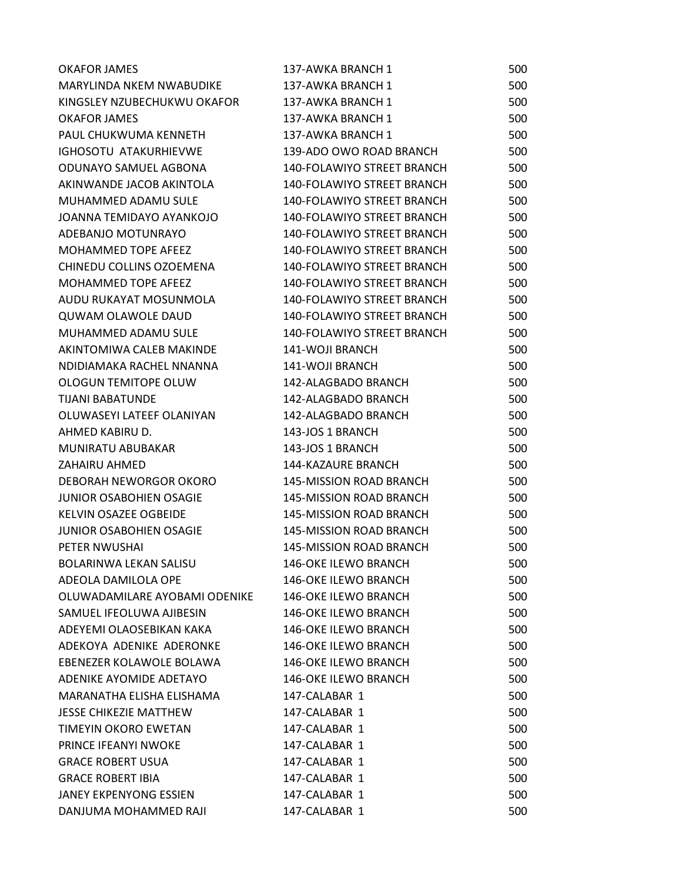| <b>OKAFOR JAMES</b>             | 137-AWKA BRANCH 1                 | 500 |
|---------------------------------|-----------------------------------|-----|
| <b>MARYLINDA NKEM NWABUDIKE</b> | 137-AWKA BRANCH 1                 | 500 |
| KINGSLEY NZUBECHUKWU OKAFOR     | 137-AWKA BRANCH 1                 | 500 |
| <b>OKAFOR JAMES</b>             | 137-AWKA BRANCH 1                 | 500 |
| PAUL CHUKWUMA KENNETH           | 137-AWKA BRANCH 1                 | 500 |
| IGHOSOTU ATAKURHIEVWE           | 139-ADO OWO ROAD BRANCH           | 500 |
| ODUNAYO SAMUEL AGBONA           | 140-FOLAWIYO STREET BRANCH        | 500 |
| AKINWANDE JACOB AKINTOLA        | 140-FOLAWIYO STREET BRANCH        | 500 |
| MUHAMMED ADAMU SULE             | 140-FOLAWIYO STREET BRANCH        | 500 |
| JOANNA TEMIDAYO AYANKOJO        | <b>140-FOLAWIYO STREET BRANCH</b> | 500 |
| ADEBANJO MOTUNRAYO              | 140-FOLAWIYO STREET BRANCH        | 500 |
| MOHAMMED TOPE AFEEZ             | 140-FOLAWIYO STREET BRANCH        | 500 |
| CHINEDU COLLINS OZOEMENA        | 140-FOLAWIYO STREET BRANCH        | 500 |
| <b>MOHAMMED TOPE AFEEZ</b>      | 140-FOLAWIYO STREET BRANCH        | 500 |
| AUDU RUKAYAT MOSUNMOLA          | 140-FOLAWIYO STREET BRANCH        | 500 |
| <b>QUWAM OLAWOLE DAUD</b>       | 140-FOLAWIYO STREET BRANCH        | 500 |
| MUHAMMED ADAMU SULE             | 140-FOLAWIYO STREET BRANCH        | 500 |
| AKINTOMIWA CALEB MAKINDE        | 141-WOJI BRANCH                   | 500 |
| NDIDIAMAKA RACHEL NNANNA        | 141-WOJI BRANCH                   | 500 |
| OLOGUN TEMITOPE OLUW            | 142-ALAGBADO BRANCH               | 500 |
| <b>TIJANI BABATUNDE</b>         | 142-ALAGBADO BRANCH               | 500 |
| OLUWASEYI LATEEF OLANIYAN       | 142-ALAGBADO BRANCH               | 500 |
| AHMED KABIRU D.                 | 143-JOS 1 BRANCH                  | 500 |
| MUNIRATU ABUBAKAR               | 143-JOS 1 BRANCH                  | 500 |
| <b>ZAHAIRU AHMED</b>            | 144-KAZAURE BRANCH                | 500 |
| DEBORAH NEWORGOR OKORO          | <b>145-MISSION ROAD BRANCH</b>    | 500 |
| <b>JUNIOR OSABOHIEN OSAGIE</b>  | <b>145-MISSION ROAD BRANCH</b>    | 500 |
| KELVIN OSAZEE OGBEIDE           | <b>145-MISSION ROAD BRANCH</b>    | 500 |
| <b>JUNIOR OSABOHIEN OSAGIE</b>  | 145-MISSION ROAD BRANCH           | 500 |
| PETER NWUSHAI                   | 145-MISSION ROAD BRANCH           | 500 |
| BOLARINWA LEKAN SALISU          | 146-OKE ILEWO BRANCH              | 500 |
| ADEOLA DAMILOLA OPE             | 146-OKE ILEWO BRANCH              | 500 |
| OLUWADAMILARE AYOBAMI ODENIKE   | <b>146-OKE ILEWO BRANCH</b>       | 500 |
| SAMUEL IFEOLUWA AJIBESIN        | <b>146-OKE ILEWO BRANCH</b>       | 500 |
| ADEYEMI OLAOSEBIKAN KAKA        | <b>146-OKE ILEWO BRANCH</b>       | 500 |
| ADEKOYA ADENIKE ADERONKE        | <b>146-OKE ILEWO BRANCH</b>       | 500 |
| EBENEZER KOLAWOLE BOLAWA        | <b>146-OKE ILEWO BRANCH</b>       | 500 |
| ADENIKE AYOMIDE ADETAYO         | <b>146-OKE ILEWO BRANCH</b>       | 500 |
| MARANATHA ELISHA ELISHAMA       | 147-CALABAR 1                     | 500 |
| <b>JESSE CHIKEZIE MATTHEW</b>   | 147-CALABAR 1                     | 500 |
| <b>TIMEYIN OKORO EWETAN</b>     | 147-CALABAR 1                     | 500 |
| PRINCE IFEANYI NWOKE            | 147-CALABAR 1                     | 500 |
| <b>GRACE ROBERT USUA</b>        | 147-CALABAR 1                     | 500 |
| <b>GRACE ROBERT IBIA</b>        | 147-CALABAR 1                     | 500 |
| <b>JANEY EKPENYONG ESSIEN</b>   | 147-CALABAR 1                     | 500 |
| DANJUMA MOHAMMED RAJI           | 147-CALABAR 1                     | 500 |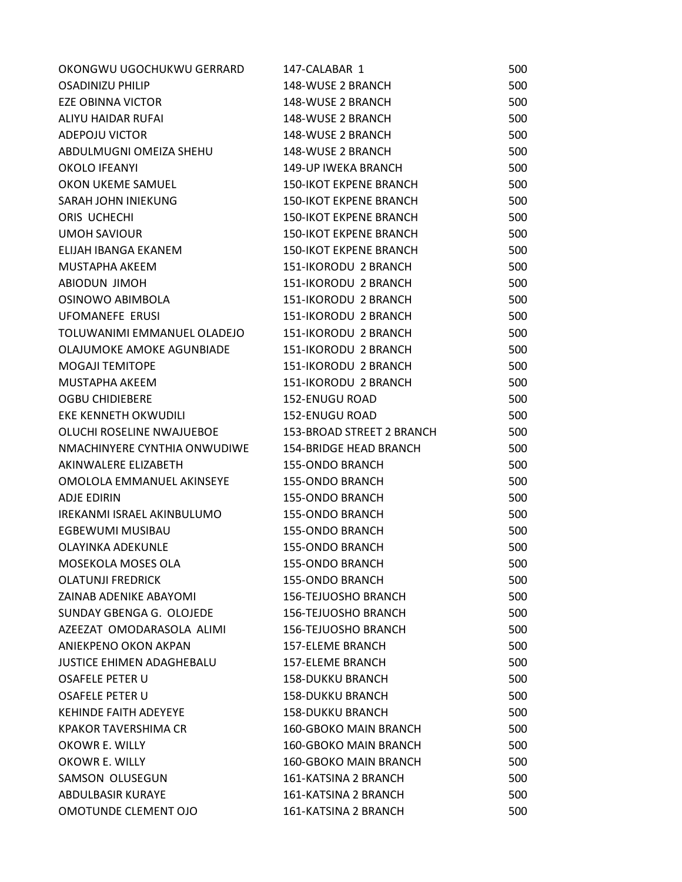| OKONGWU UGOCHUKWU GERRARD        | 147-CALABAR 1                 | 500 |
|----------------------------------|-------------------------------|-----|
| <b>OSADINIZU PHILIP</b>          | 148-WUSE 2 BRANCH             | 500 |
| <b>EZE OBINNA VICTOR</b>         | 148-WUSE 2 BRANCH             | 500 |
| ALIYU HAIDAR RUFAI               | 148-WUSE 2 BRANCH             | 500 |
| <b>ADEPOJU VICTOR</b>            | 148-WUSE 2 BRANCH             | 500 |
| ABDULMUGNI OMEIZA SHEHU          | 148-WUSE 2 BRANCH             | 500 |
| <b>OKOLO IFEANYI</b>             | <b>149-UP IWEKA BRANCH</b>    | 500 |
| OKON UKEME SAMUEL                | <b>150-IKOT EKPENE BRANCH</b> | 500 |
| SARAH JOHN INIEKUNG              | <b>150-IKOT EKPENE BRANCH</b> | 500 |
| ORIS UCHECHI                     | <b>150-IKOT EKPENE BRANCH</b> | 500 |
| <b>UMOH SAVIOUR</b>              | <b>150-IKOT EKPENE BRANCH</b> | 500 |
| ELIJAH IBANGA EKANEM             | <b>150-IKOT EKPENE BRANCH</b> | 500 |
| MUSTAPHA AKEEM                   | 151-IKORODU 2 BRANCH          | 500 |
| ABIODUN JIMOH                    | 151-IKORODU 2 BRANCH          | 500 |
| OSINOWO ABIMBOLA                 | 151-IKORODU 2 BRANCH          | 500 |
| <b>UFOMANEFE ERUSI</b>           | 151-IKORODU 2 BRANCH          | 500 |
| TOLUWANIMI EMMANUEL OLADEJO      | 151-IKORODU 2 BRANCH          | 500 |
| OLAJUMOKE AMOKE AGUNBIADE        | 151-IKORODU 2 BRANCH          | 500 |
| <b>MOGAJI TEMITOPE</b>           | 151-IKORODU 2 BRANCH          | 500 |
| MUSTAPHA AKEEM                   | 151-IKORODU 2 BRANCH          | 500 |
| <b>OGBU CHIDIEBERE</b>           | 152-ENUGU ROAD                | 500 |
| EKE KENNETH OKWUDILI             | 152-ENUGU ROAD                | 500 |
| OLUCHI ROSELINE NWAJUEBOE        | 153-BROAD STREET 2 BRANCH     | 500 |
| NMACHINYERE CYNTHIA ONWUDIWE     | <b>154-BRIDGE HEAD BRANCH</b> | 500 |
| AKINWALERE ELIZABETH             | <b>155-ONDO BRANCH</b>        | 500 |
| OMOLOLA EMMANUEL AKINSEYE        | <b>155-ONDO BRANCH</b>        | 500 |
| <b>ADJE EDIRIN</b>               | <b>155-ONDO BRANCH</b>        | 500 |
| IREKANMI ISRAEL AKINBULUMO       | 155-ONDO BRANCH               | 500 |
| <b>EGBEWUMI MUSIBAU</b>          | 155-ONDO BRANCH               | 500 |
| <b>OLAYINKA ADEKUNLE</b>         | 155-ONDO BRANCH               | 500 |
| <b>MOSEKOLA MOSES OLA</b>        | 155-ONDO BRANCH               | 500 |
| <b>OLATUNJI FREDRICK</b>         | <b>155-ONDO BRANCH</b>        | 500 |
| ZAINAB ADENIKE ABAYOMI           | <b>156-TEJUOSHO BRANCH</b>    | 500 |
| SUNDAY GBENGA G. OLOJEDE         | <b>156-TEJUOSHO BRANCH</b>    | 500 |
| AZEEZAT OMODARASOLA ALIMI        | <b>156-TEJUOSHO BRANCH</b>    | 500 |
| ANIEKPENO OKON AKPAN             | <b>157-ELEME BRANCH</b>       | 500 |
| <b>JUSTICE EHIMEN ADAGHEBALU</b> | 157-ELEME BRANCH              | 500 |
| OSAFELE PETER U                  | <b>158-DUKKU BRANCH</b>       | 500 |
| OSAFELE PETER U                  | <b>158-DUKKU BRANCH</b>       | 500 |
| KEHINDE FAITH ADEYEYE            | <b>158-DUKKU BRANCH</b>       | 500 |
| <b>KPAKOR TAVERSHIMA CR</b>      | <b>160-GBOKO MAIN BRANCH</b>  | 500 |
| OKOWR E. WILLY                   | <b>160-GBOKO MAIN BRANCH</b>  | 500 |
| OKOWR E. WILLY                   | 160-GBOKO MAIN BRANCH         | 500 |
| SAMSON OLUSEGUN                  | 161-KATSINA 2 BRANCH          | 500 |
| ABDULBASIR KURAYE                | 161-KATSINA 2 BRANCH          | 500 |
| <b>OMOTUNDE CLEMENT OJO</b>      | 161-KATSINA 2 BRANCH          | 500 |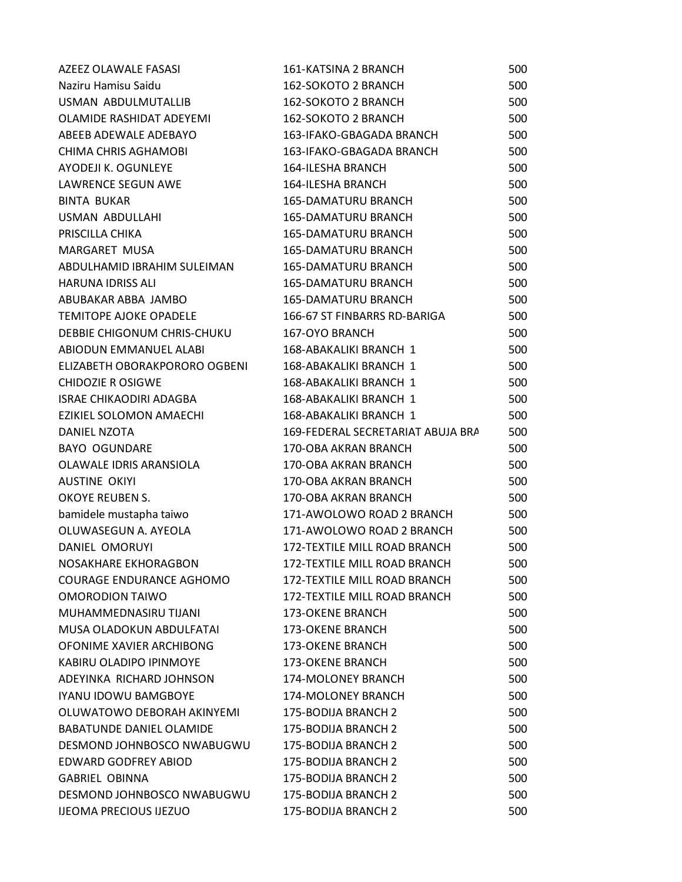| AZEEZ OLAWALE FASASI            | 161-KATSINA 2 BRANCH                | 500 |
|---------------------------------|-------------------------------------|-----|
| Naziru Hamisu Saidu             | 162-SOKOTO 2 BRANCH                 | 500 |
| USMAN ABDULMUTALLIB             | 162-SOKOTO 2 BRANCH                 | 500 |
| OLAMIDE RASHIDAT ADEYEMI        | 162-SOKOTO 2 BRANCH                 | 500 |
| ABEEB ADEWALE ADEBAYO           | 163-IFAKO-GBAGADA BRANCH            | 500 |
| <b>CHIMA CHRIS AGHAMOBI</b>     | 163-IFAKO-GBAGADA BRANCH            | 500 |
| AYODEJI K. OGUNLEYE             | <b>164-ILESHA BRANCH</b>            | 500 |
| <b>LAWRENCE SEGUN AWE</b>       | <b>164-ILESHA BRANCH</b>            | 500 |
| <b>BINTA BUKAR</b>              | 165-DAMATURU BRANCH                 | 500 |
| USMAN ABDULLAHI                 | <b>165-DAMATURU BRANCH</b>          | 500 |
| PRISCILLA CHIKA                 | <b>165-DAMATURU BRANCH</b>          | 500 |
| MARGARET MUSA                   | <b>165-DAMATURU BRANCH</b>          | 500 |
| ABDULHAMID IBRAHIM SULEIMAN     | <b>165-DAMATURU BRANCH</b>          | 500 |
| <b>HARUNA IDRISS ALI</b>        | <b>165-DAMATURU BRANCH</b>          | 500 |
| ABUBAKAR ABBA JAMBO             | <b>165-DAMATURU BRANCH</b>          | 500 |
| TEMITOPE AJOKE OPADELE          | 166-67 ST FINBARRS RD-BARIGA        | 500 |
| DEBBIE CHIGONUM CHRIS-CHUKU     | 167-OYO BRANCH                      | 500 |
| ABIODUN EMMANUEL ALABI          | 168-ABAKALIKI BRANCH 1              | 500 |
| ELIZABETH OBORAKPORORO OGBENI   | 168-ABAKALIKI BRANCH 1              | 500 |
| <b>CHIDOZIE R OSIGWE</b>        | 168-ABAKALIKI BRANCH 1              | 500 |
| <b>ISRAE CHIKAODIRI ADAGBA</b>  | 168-ABAKALIKI BRANCH 1              | 500 |
| EZIKIEL SOLOMON AMAECHI         | 168-ABAKALIKI BRANCH 1              | 500 |
| DANIEL NZOTA                    | 169-FEDERAL SECRETARIAT ABUJA BRA   | 500 |
| <b>BAYO OGUNDARE</b>            | 170-OBA AKRAN BRANCH                | 500 |
| OLAWALE IDRIS ARANSIOLA         | 170-OBA AKRAN BRANCH                | 500 |
| <b>AUSTINE OKIYI</b>            | 170-OBA AKRAN BRANCH                | 500 |
| OKOYE REUBEN S.                 | 170-OBA AKRAN BRANCH                | 500 |
| bamidele mustapha taiwo         | 171-AWOLOWO ROAD 2 BRANCH           | 500 |
| OLUWASEGUN A. AYEOLA            | 171-AWOLOWO ROAD 2 BRANCH           | 500 |
| DANIEL OMORUYI                  | 172-TEXTILE MILL ROAD BRANCH        | 500 |
| NOSAKHARE EKHORAGBON            | 172-TEXTILE MILL ROAD BRANCH        | 500 |
| COURAGE ENDURANCE AGHOMO        | <b>172-TEXTILE MILL ROAD BRANCH</b> | 500 |
| <b>OMORODION TAIWO</b>          | <b>172-TEXTILE MILL ROAD BRANCH</b> | 500 |
| MUHAMMEDNASIRU TIJANI           | <b>173-OKENE BRANCH</b>             | 500 |
| MUSA OLADOKUN ABDULFATAI        | <b>173-OKENE BRANCH</b>             | 500 |
| OFONIME XAVIER ARCHIBONG        | <b>173-OKENE BRANCH</b>             | 500 |
| KABIRU OLADIPO IPINMOYE         | <b>173-OKENE BRANCH</b>             | 500 |
| ADEYINKA RICHARD JOHNSON        | 174-MOLONEY BRANCH                  | 500 |
| <b>IYANU IDOWU BAMGBOYE</b>     | 174-MOLONEY BRANCH                  | 500 |
| OLUWATOWO DEBORAH AKINYEMI      | 175-BODIJA BRANCH 2                 | 500 |
| <b>BABATUNDE DANIEL OLAMIDE</b> | 175-BODIJA BRANCH 2                 | 500 |
| DESMOND JOHNBOSCO NWABUGWU      | 175-BODIJA BRANCH 2                 | 500 |
| <b>EDWARD GODFREY ABIOD</b>     | 175-BODIJA BRANCH 2                 | 500 |
| <b>GABRIEL OBINNA</b>           | 175-BODIJA BRANCH 2                 | 500 |
| DESMOND JOHNBOSCO NWABUGWU      | 175-BODIJA BRANCH 2                 | 500 |
| <b>IJEOMA PRECIOUS IJEZUO</b>   | 175-BODIJA BRANCH 2                 | 500 |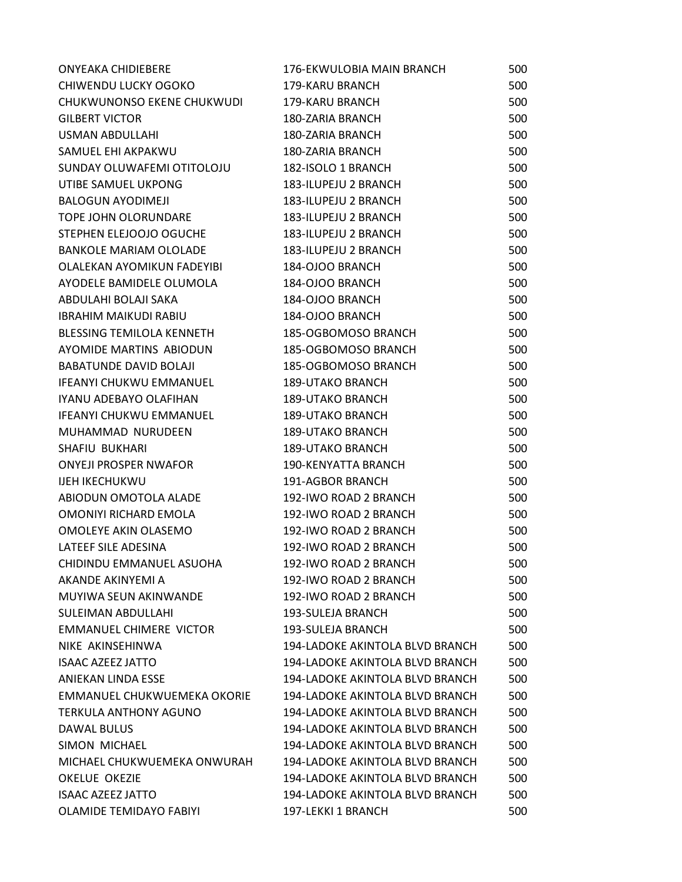| <b>ONYEAKA CHIDIEBERE</b>         | 176-EKWULOBIA MAIN BRANCH       | 500 |
|-----------------------------------|---------------------------------|-----|
| CHIWENDU LUCKY OGOKO              | 179-KARU BRANCH                 | 500 |
| CHUKWUNONSO EKENE CHUKWUDI        | <b>179-KARU BRANCH</b>          | 500 |
| <b>GILBERT VICTOR</b>             | 180-ZARIA BRANCH                | 500 |
| <b>USMAN ABDULLAHI</b>            | 180-ZARIA BRANCH                | 500 |
| SAMUEL EHI AKPAKWU                | <b>180-ZARIA BRANCH</b>         | 500 |
| SUNDAY OLUWAFEMI OTITOLOJU        | 182-ISOLO 1 BRANCH              | 500 |
| UTIBE SAMUEL UKPONG               | 183-ILUPEJU 2 BRANCH            | 500 |
| <b>BALOGUN AYODIMEJI</b>          | 183-ILUPEJU 2 BRANCH            | 500 |
| <b>TOPE JOHN OLORUNDARE</b>       | 183-ILUPEJU 2 BRANCH            | 500 |
| STEPHEN ELEJOOJO OGUCHE           | 183-ILUPEJU 2 BRANCH            | 500 |
| <b>BANKOLE MARIAM OLOLADE</b>     | 183-ILUPEJU 2 BRANCH            | 500 |
| <b>OLALEKAN AYOMIKUN FADEYIBI</b> | 184-OJOO BRANCH                 | 500 |
| AYODELE BAMIDELE OLUMOLA          | 184-OJOO BRANCH                 | 500 |
| ABDULAHI BOLAJI SAKA              | 184-OJOO BRANCH                 | 500 |
| <b>IBRAHIM MAIKUDI RABIU</b>      | 184-OJOO BRANCH                 | 500 |
| BLESSING TEMILOLA KENNETH         | 185-OGBOMOSO BRANCH             | 500 |
| AYOMIDE MARTINS ABIODUN           | 185-OGBOMOSO BRANCH             | 500 |
| <b>BABATUNDE DAVID BOLAJI</b>     | 185-OGBOMOSO BRANCH             | 500 |
| <b>IFEANYI CHUKWU EMMANUEL</b>    | <b>189-UTAKO BRANCH</b>         | 500 |
| IYANU ADEBAYO OLAFIHAN            | <b>189-UTAKO BRANCH</b>         | 500 |
| <b>IFEANYI CHUKWU EMMANUEL</b>    | <b>189-UTAKO BRANCH</b>         | 500 |
| MUHAMMAD NURUDEEN                 | <b>189-UTAKO BRANCH</b>         | 500 |
| SHAFIU BUKHARI                    | <b>189-UTAKO BRANCH</b>         | 500 |
| <b>ONYEJI PROSPER NWAFOR</b>      | 190-KENYATTA BRANCH             | 500 |
| <b>IJEH IKECHUKWU</b>             | 191-AGBOR BRANCH                | 500 |
| ABIODUN OMOTOLA ALADE             | 192-IWO ROAD 2 BRANCH           | 500 |
| OMONIYI RICHARD EMOLA             | 192-IWO ROAD 2 BRANCH           | 500 |
| OMOLEYE AKIN OLASEMO              | 192-IWO ROAD 2 BRANCH           | 500 |
| LATEEF SILE ADESINA               | 192-IWO ROAD 2 BRANCH           | 500 |
| CHIDINDU EMMANUEL ASUOHA          | 192-IWO ROAD 2 BRANCH           | 500 |
| AKANDE AKINYEMI A                 | 192-IWO ROAD 2 BRANCH           | 500 |
| MUYIWA SEUN AKINWANDE             | 192-IWO ROAD 2 BRANCH           | 500 |
| SULEIMAN ABDULLAHI                | 193-SULEJA BRANCH               | 500 |
| <b>EMMANUEL CHIMERE VICTOR</b>    | 193-SULEJA BRANCH               | 500 |
| NIKE AKINSEHINWA                  | 194-LADOKE AKINTOLA BLVD BRANCH | 500 |
| <b>ISAAC AZEEZ JATTO</b>          | 194-LADOKE AKINTOLA BLVD BRANCH | 500 |
| ANIEKAN LINDA ESSE                | 194-LADOKE AKINTOLA BLVD BRANCH | 500 |
| EMMANUEL CHUKWUEMEKA OKORIE       | 194-LADOKE AKINTOLA BLVD BRANCH | 500 |
| <b>TERKULA ANTHONY AGUNO</b>      | 194-LADOKE AKINTOLA BLVD BRANCH | 500 |
| DAWAL BULUS                       | 194-LADOKE AKINTOLA BLVD BRANCH | 500 |
| SIMON MICHAEL                     | 194-LADOKE AKINTOLA BLVD BRANCH | 500 |
| MICHAEL CHUKWUEMEKA ONWURAH       | 194-LADOKE AKINTOLA BLVD BRANCH | 500 |
| <b>OKELUE OKEZIE</b>              | 194-LADOKE AKINTOLA BLVD BRANCH | 500 |
| <b>ISAAC AZEEZ JATTO</b>          | 194-LADOKE AKINTOLA BLVD BRANCH | 500 |
| <b>OLAMIDE TEMIDAYO FABIYI</b>    | 197-LEKKI 1 BRANCH              | 500 |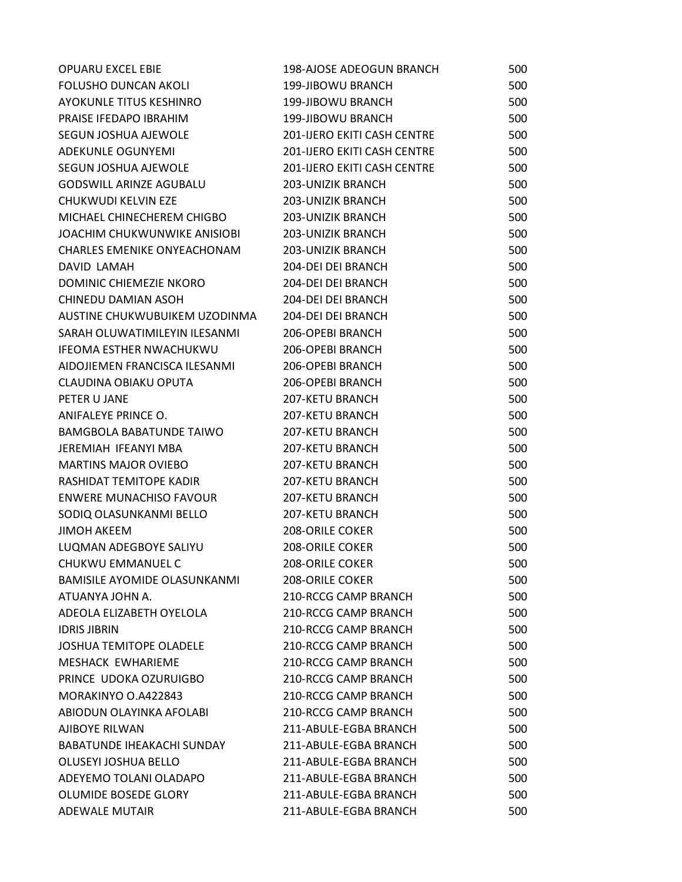| <b>OPUARU EXCEL EBIE</b>           | 198-AJOSE ADEOGUN BRANCH    | 500 |
|------------------------------------|-----------------------------|-----|
| <b>FOLUSHO DUNCAN AKOLI</b>        | 199-JIBOWU BRANCH           | 500 |
| AYOKUNLE TITUS KESHINRO            | 199-JIBOWU BRANCH           | 500 |
| PRAISE IFEDAPO IBRAHIM             | 199-JIBOWU BRANCH           | 500 |
| SEGUN JOSHUA AJEWOLE               | 201-IJERO EKITI CASH CENTRE | 500 |
| ADEKUNLE OGUNYEMI                  | 201-IJERO EKITI CASH CENTRE | 500 |
| SEGUN JOSHUA AJEWOLE               | 201-IJERO EKITI CASH CENTRE | 500 |
| <b>GODSWILL ARINZE AGUBALU</b>     | 203-UNIZIK BRANCH           | 500 |
| CHUKWUDI KELVIN EZE                | 203-UNIZIK BRANCH           | 500 |
| MICHAEL CHINECHEREM CHIGBO         | <b>203-UNIZIK BRANCH</b>    | 500 |
| JOACHIM CHUKWUNWIKE ANISIOBI       | 203-UNIZIK BRANCH           | 500 |
| <b>CHARLES EMENIKE ONYEACHONAM</b> | <b>203-UNIZIK BRANCH</b>    | 500 |
| DAVID LAMAH                        | 204-DEI DEI BRANCH          | 500 |
| DOMINIC CHIEMEZIE NKORO            | 204-DEI DEI BRANCH          | 500 |
| CHINEDU DAMIAN ASOH                | 204-DEI DEI BRANCH          | 500 |
| AUSTINE CHUKWUBUIKEM UZODINMA      | 204-DEI DEI BRANCH          | 500 |
| SARAH OLUWATIMILEYIN ILESANMI      | 206-OPEBI BRANCH            | 500 |
| <b>IFEOMA ESTHER NWACHUKWU</b>     | 206-OPEBI BRANCH            | 500 |
| AIDOJIEMEN FRANCISCA ILESANMI      | 206-OPEBI BRANCH            | 500 |
| CLAUDINA OBIAKU OPUTA              | 206-OPEBI BRANCH            | 500 |
| PETER U JANE                       | 207-KETU BRANCH             | 500 |
| ANIFALEYE PRINCE O.                | <b>207-KETU BRANCH</b>      | 500 |
| <b>BAMGBOLA BABATUNDE TAIWO</b>    | <b>207-KETU BRANCH</b>      | 500 |
| JEREMIAH IFEANYI MBA               | <b>207-KETU BRANCH</b>      | 500 |
| <b>MARTINS MAJOR OVIEBO</b>        | <b>207-KETU BRANCH</b>      | 500 |
| RASHIDAT TEMITOPE KADIR            | 207-KETU BRANCH             | 500 |
| <b>ENWERE MUNACHISO FAVOUR</b>     | <b>207-KETU BRANCH</b>      | 500 |
| SODIQ OLASUNKANMI BELLO            | 207-KETU BRANCH             | 500 |
| <b>JIMOH AKEEM</b>                 | <b>208-ORILE COKER</b>      | 500 |
| LUQMAN ADEGBOYE SALIYU             | <b>208-ORILE COKER</b>      | 500 |
| CHUKWU EMMANUEL C                  | 208-ORILE COKER             | 500 |
| BAMISILE AYOMIDE OLASUNKANMI       | <b>208-ORILE COKER</b>      | 500 |
| ATUANYA JOHN A.                    | <b>210-RCCG CAMP BRANCH</b> | 500 |
| ADEOLA ELIZABETH OYELOLA           | <b>210-RCCG CAMP BRANCH</b> | 500 |
| <b>IDRIS JIBRIN</b>                | <b>210-RCCG CAMP BRANCH</b> | 500 |
| <b>JOSHUA TEMITOPE OLADELE</b>     | 210-RCCG CAMP BRANCH        | 500 |
| MESHACK EWHARIEME                  | <b>210-RCCG CAMP BRANCH</b> | 500 |
| PRINCE UDOKA OZURUIGBO             | <b>210-RCCG CAMP BRANCH</b> | 500 |
| MORAKINYO O.A422843                | <b>210-RCCG CAMP BRANCH</b> | 500 |
| ABIODUN OLAYINKA AFOLABI           | 210-RCCG CAMP BRANCH        | 500 |
| AJIBOYE RILWAN                     | 211-ABULE-EGBA BRANCH       | 500 |
| BABATUNDE IHEAKACHI SUNDAY         | 211-ABULE-EGBA BRANCH       | 500 |
| OLUSEYI JOSHUA BELLO               | 211-ABULE-EGBA BRANCH       | 500 |
| ADEYEMO TOLANI OLADAPO             | 211-ABULE-EGBA BRANCH       | 500 |
| OLUMIDE BOSEDE GLORY               | 211-ABULE-EGBA BRANCH       | 500 |
| <b>ADEWALE MUTAIR</b>              | 211-ABULE-EGBA BRANCH       | 500 |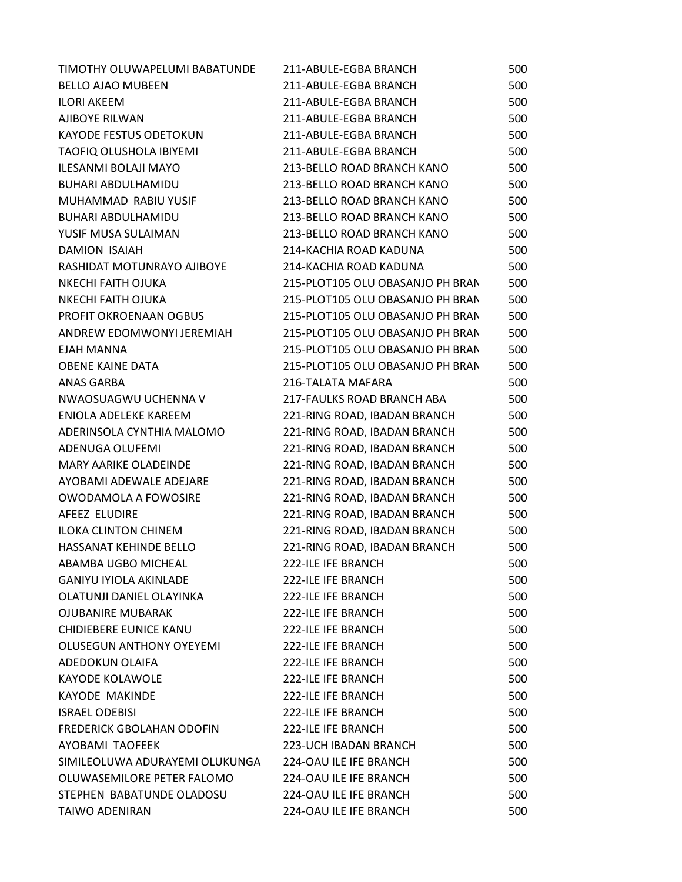| TIMOTHY OLUWAPELUMI BABATUNDE    | 211-ABULE-EGBA BRANCH            | 500 |
|----------------------------------|----------------------------------|-----|
| <b>BELLO AJAO MUBEEN</b>         | 211-ABULE-EGBA BRANCH            | 500 |
| <b>ILORI AKEEM</b>               | 211-ABULE-EGBA BRANCH            | 500 |
| AJIBOYE RILWAN                   | 211-ABULE-EGBA BRANCH            | 500 |
| KAYODE FESTUS ODETOKUN           | 211-ABULE-EGBA BRANCH            | 500 |
| TAOFIQ OLUSHOLA IBIYEMI          | 211-ABULE-EGBA BRANCH            | 500 |
| <b>ILESANMI BOLAJI MAYO</b>      | 213-BELLO ROAD BRANCH KANO       | 500 |
| BUHARI ABDULHAMIDU               | 213-BELLO ROAD BRANCH KANO       | 500 |
| MUHAMMAD RABIU YUSIF             | 213-BELLO ROAD BRANCH KANO       | 500 |
| <b>BUHARI ABDULHAMIDU</b>        | 213-BELLO ROAD BRANCH KANO       | 500 |
| YUSIF MUSA SULAIMAN              | 213-BELLO ROAD BRANCH KANO       | 500 |
| <b>DAMION ISAIAH</b>             | 214-KACHIA ROAD KADUNA           | 500 |
| RASHIDAT MOTUNRAYO AJIBOYE       | 214-KACHIA ROAD KADUNA           | 500 |
| <b>NKECHI FAITH OJUKA</b>        | 215-PLOT105 OLU OBASANJO PH BRAN | 500 |
| <b>NKECHI FAITH OJUKA</b>        | 215-PLOT105 OLU OBASANJO PH BRAN | 500 |
| PROFIT OKROENAAN OGBUS           | 215-PLOT105 OLU OBASANJO PH BRAN | 500 |
| ANDREW EDOMWONYI JEREMIAH        | 215-PLOT105 OLU OBASANJO PH BRAN | 500 |
| <b>EJAH MANNA</b>                | 215-PLOT105 OLU OBASANJO PH BRAN | 500 |
| <b>OBENE KAINE DATA</b>          | 215-PLOT105 OLU OBASANJO PH BRAN | 500 |
| <b>ANAS GARBA</b>                | 216-TALATA MAFARA                | 500 |
| NWAOSUAGWU UCHENNA V             | 217-FAULKS ROAD BRANCH ABA       | 500 |
| ENIOLA ADELEKE KAREEM            | 221-RING ROAD, IBADAN BRANCH     | 500 |
| ADERINSOLA CYNTHIA MALOMO        | 221-RING ROAD, IBADAN BRANCH     | 500 |
| ADENUGA OLUFEMI                  | 221-RING ROAD, IBADAN BRANCH     | 500 |
| <b>MARY AARIKE OLADEINDE</b>     | 221-RING ROAD, IBADAN BRANCH     | 500 |
| AYOBAMI ADEWALE ADEJARE          | 221-RING ROAD, IBADAN BRANCH     | 500 |
| <b>OWODAMOLA A FOWOSIRE</b>      | 221-RING ROAD, IBADAN BRANCH     | 500 |
| AFEEZ ELUDIRE                    | 221-RING ROAD, IBADAN BRANCH     | 500 |
| <b>ILOKA CLINTON CHINEM</b>      | 221-RING ROAD, IBADAN BRANCH     | 500 |
| HASSANAT KEHINDE BELLO           | 221-RING ROAD, IBADAN BRANCH     | 500 |
| ABAMBA UGBO MICHEAL              | 222-ILE IFE BRANCH               | 500 |
| <b>GANIYU IYIOLA AKINLADE</b>    | 222-ILE IFE BRANCH               | 500 |
| OLATUNJI DANIEL OLAYINKA         | <b>222-ILE IFE BRANCH</b>        | 500 |
| <b>OJUBANIRE MUBARAK</b>         | 222-ILE IFE BRANCH               | 500 |
| CHIDIEBERE EUNICE KANU           | 222-ILE IFE BRANCH               | 500 |
| <b>OLUSEGUN ANTHONY OYEYEMI</b>  | <b>222-ILE IFE BRANCH</b>        | 500 |
| ADEDOKUN OLAIFA                  | <b>222-ILE IFE BRANCH</b>        | 500 |
| <b>KAYODE KOLAWOLE</b>           | 222-ILE IFE BRANCH               | 500 |
| <b>KAYODE MAKINDE</b>            | 222-ILE IFE BRANCH               | 500 |
| <b>ISRAEL ODEBISI</b>            | 222-ILE IFE BRANCH               | 500 |
| <b>FREDERICK GBOLAHAN ODOFIN</b> | <b>222-ILE IFE BRANCH</b>        | 500 |
| AYOBAMI TAOFEEK                  | 223-UCH IBADAN BRANCH            | 500 |
| SIMILEOLUWA ADURAYEMI OLUKUNGA   | 224-OAU ILE IFE BRANCH           | 500 |
| OLUWASEMILORE PETER FALOMO       | 224-OAU ILE IFE BRANCH           | 500 |
| STEPHEN BABATUNDE OLADOSU        | 224-OAU ILE IFE BRANCH           | 500 |
| <b>TAIWO ADENIRAN</b>            | 224-OAU ILE IFE BRANCH           | 500 |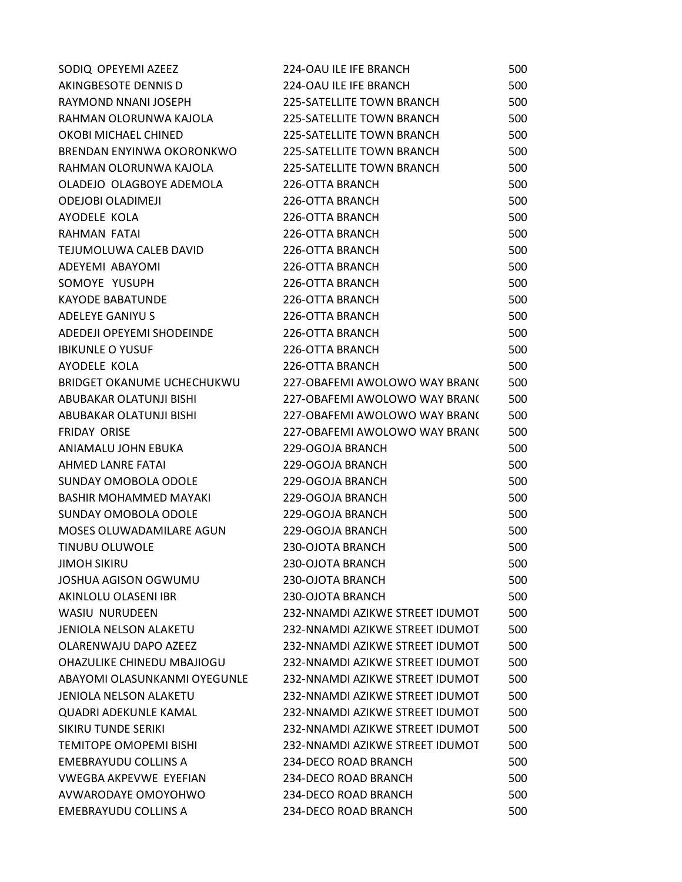| SODIQ OPEYEMI AZEEZ           | 224-OAU ILE IFE BRANCH          | 500 |
|-------------------------------|---------------------------------|-----|
| AKINGBESOTE DENNIS D          | 224-OAU ILE IFE BRANCH          | 500 |
| RAYMOND NNANI JOSEPH          | 225-SATELLITE TOWN BRANCH       | 500 |
| RAHMAN OLORUNWA KAJOLA        | 225-SATELLITE TOWN BRANCH       | 500 |
| OKOBI MICHAEL CHINED          | 225-SATELLITE TOWN BRANCH       | 500 |
| BRENDAN ENYINWA OKORONKWO     | 225-SATELLITE TOWN BRANCH       | 500 |
| RAHMAN OLORUNWA KAJOLA        | 225-SATELLITE TOWN BRANCH       | 500 |
| OLADEJO OLAGBOYE ADEMOLA      | 226-OTTA BRANCH                 | 500 |
| <b>ODEJOBI OLADIMEJI</b>      | 226-OTTA BRANCH                 | 500 |
| AYODELE KOLA                  | 226-OTTA BRANCH                 | 500 |
| RAHMAN FATAI                  | 226-OTTA BRANCH                 | 500 |
| TEJUMOLUWA CALEB DAVID        | 226-OTTA BRANCH                 | 500 |
| ADEYEMI ABAYOMI               | 226-OTTA BRANCH                 | 500 |
| SOMOYE YUSUPH                 | 226-OTTA BRANCH                 | 500 |
| <b>KAYODE BABATUNDE</b>       | 226-OTTA BRANCH                 | 500 |
| <b>ADELEYE GANIYU S</b>       | 226-OTTA BRANCH                 | 500 |
| ADEDEJI OPEYEMI SHODEINDE     | 226-OTTA BRANCH                 | 500 |
| <b>IBIKUNLE O YUSUF</b>       | 226-OTTA BRANCH                 | 500 |
| AYODELE KOLA                  | 226-OTTA BRANCH                 | 500 |
| BRIDGET OKANUME UCHECHUKWU    | 227-OBAFEMI AWOLOWO WAY BRANC   | 500 |
| ABUBAKAR OLATUNJI BISHI       | 227-OBAFEMI AWOLOWO WAY BRANC   | 500 |
| ABUBAKAR OLATUNJI BISHI       | 227-OBAFEMI AWOLOWO WAY BRAN(   | 500 |
| <b>FRIDAY ORISE</b>           | 227-OBAFEMI AWOLOWO WAY BRANC   | 500 |
| ANIAMALU JOHN EBUKA           | 229-OGOJA BRANCH                | 500 |
| <b>AHMED LANRE FATAI</b>      | 229-OGOJA BRANCH                | 500 |
| SUNDAY OMOBOLA ODOLE          | 229-OGOJA BRANCH                | 500 |
| BASHIR MOHAMMED MAYAKI        | 229-OGOJA BRANCH                | 500 |
| SUNDAY OMOBOLA ODOLE          | 229-OGOJA BRANCH                | 500 |
| MOSES OLUWADAMILARE AGUN      | 229-OGOJA BRANCH                | 500 |
| <b>TINUBU OLUWOLE</b>         | 230-OJOTA BRANCH                | 500 |
| <b>JIMOH SIKIRU</b>           | 230-OJOTA BRANCH                | 500 |
| <b>JOSHUA AGISON OGWUMU</b>   | 230-OJOTA BRANCH                | 500 |
| AKINLOLU OLASENI IBR          | 230-OJOTA BRANCH                | 500 |
| <b>WASIU NURUDEEN</b>         | 232-NNAMDI AZIKWE STREET IDUMOT | 500 |
| <b>JENIOLA NELSON ALAKETU</b> | 232-NNAMDI AZIKWE STREET IDUMOT | 500 |
| OLARENWAJU DAPO AZEEZ         | 232-NNAMDI AZIKWE STREET IDUMOT | 500 |
| OHAZULIKE CHINEDU MBAJIOGU    | 232-NNAMDI AZIKWE STREET IDUMOT | 500 |
| ABAYOMI OLASUNKANMI OYEGUNLE  | 232-NNAMDI AZIKWE STREET IDUMOT | 500 |
| <b>JENIOLA NELSON ALAKETU</b> | 232-NNAMDI AZIKWE STREET IDUMOT | 500 |
| <b>QUADRI ADEKUNLE KAMAL</b>  | 232-NNAMDI AZIKWE STREET IDUMOT | 500 |
| SIKIRU TUNDE SERIKI           | 232-NNAMDI AZIKWE STREET IDUMOT | 500 |
| <b>TEMITOPE OMOPEMI BISHI</b> | 232-NNAMDI AZIKWE STREET IDUMOT | 500 |
| EMEBRAYUDU COLLINS A          | 234-DECO ROAD BRANCH            | 500 |
| <b>VWEGBA AKPEVWE EYEFIAN</b> | 234-DECO ROAD BRANCH            | 500 |
| AVWARODAYE OMOYOHWO           | 234-DECO ROAD BRANCH            | 500 |
| <b>EMEBRAYUDU COLLINS A</b>   | 234-DECO ROAD BRANCH            | 500 |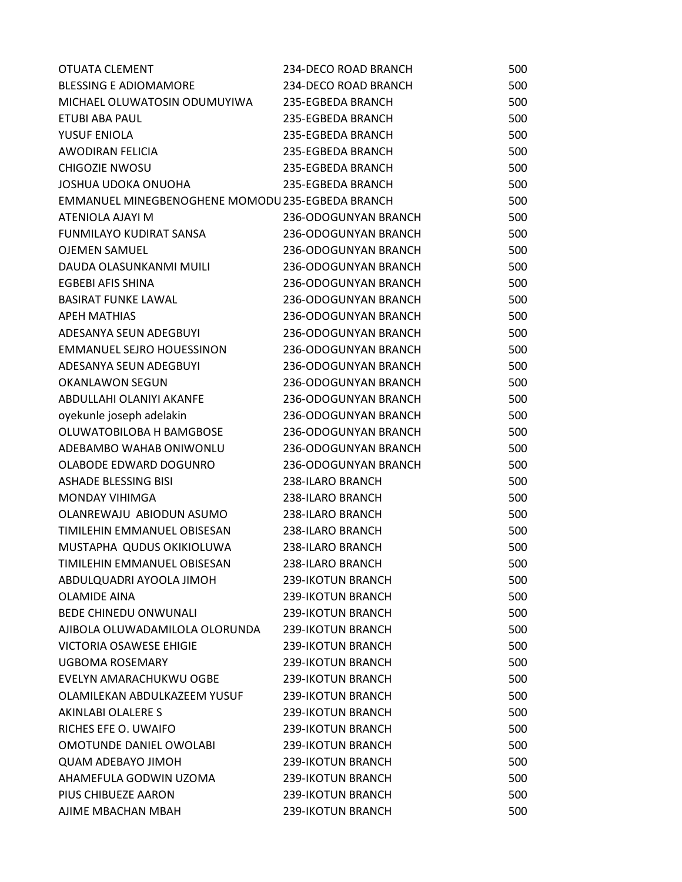| OTUATA CLEMENT                                   | 234-DECO ROAD BRANCH | 500 |
|--------------------------------------------------|----------------------|-----|
| <b>BLESSING E ADIOMAMORE</b>                     | 234-DECO ROAD BRANCH | 500 |
| MICHAEL OLUWATOSIN ODUMUYIWA                     | 235-EGBEDA BRANCH    | 500 |
| ETUBI ABA PAUL                                   | 235-EGBEDA BRANCH    | 500 |
| YUSUF ENIOLA                                     | 235-EGBEDA BRANCH    | 500 |
| AWODIRAN FELICIA                                 | 235-EGBEDA BRANCH    | 500 |
| <b>CHIGOZIE NWOSU</b>                            | 235-EGBEDA BRANCH    | 500 |
| <b>JOSHUA UDOKA ONUOHA</b>                       | 235-EGBEDA BRANCH    | 500 |
| EMMANUEL MINEGBENOGHENE MOMODU 235-EGBEDA BRANCH |                      | 500 |
| ATENIOLA AJAYI M                                 | 236-ODOGUNYAN BRANCH | 500 |
| FUNMILAYO KUDIRAT SANSA                          | 236-ODOGUNYAN BRANCH | 500 |
| <b>OJEMEN SAMUEL</b>                             | 236-ODOGUNYAN BRANCH | 500 |
| DAUDA OLASUNKANMI MUILI                          | 236-ODOGUNYAN BRANCH | 500 |
| EGBEBI AFIS SHINA                                | 236-ODOGUNYAN BRANCH | 500 |
| <b>BASIRAT FUNKE LAWAL</b>                       | 236-ODOGUNYAN BRANCH | 500 |
| <b>APEH MATHIAS</b>                              | 236-ODOGUNYAN BRANCH | 500 |
| ADESANYA SEUN ADEGBUYI                           | 236-ODOGUNYAN BRANCH | 500 |
| <b>EMMANUEL SEJRO HOUESSINON</b>                 | 236-ODOGUNYAN BRANCH | 500 |
| ADESANYA SEUN ADEGBUYI                           | 236-ODOGUNYAN BRANCH | 500 |
| <b>OKANLAWON SEGUN</b>                           | 236-ODOGUNYAN BRANCH | 500 |
| ABDULLAHI OLANIYI AKANFE                         | 236-ODOGUNYAN BRANCH | 500 |
| oyekunle joseph adelakin                         | 236-ODOGUNYAN BRANCH | 500 |
| OLUWATOBILOBA H BAMGBOSE                         | 236-ODOGUNYAN BRANCH | 500 |
| ADEBAMBO WAHAB ONIWONLU                          | 236-ODOGUNYAN BRANCH | 500 |
| OLABODE EDWARD DOGUNRO                           | 236-ODOGUNYAN BRANCH | 500 |
| ASHADE BLESSING BISI                             | 238-ILARO BRANCH     | 500 |
| <b>MONDAY VIHIMGA</b>                            | 238-ILARO BRANCH     | 500 |
| OLANREWAJU ABIODUN ASUMO                         | 238-ILARO BRANCH     | 500 |
| TIMILEHIN EMMANUEL OBISESAN                      | 238-ILARO BRANCH     | 500 |
| MUSTAPHA QUDUS OKIKIOLUWA                        | 238-ILARO BRANCH     | 500 |
| TIMILEHIN EMMANUEL OBISESAN                      | 238-ILARO BRANCH     | 500 |
| ABDULQUADRI AYOOLA JIMOH                         | 239-IKOTUN BRANCH    | 500 |
| <b>OLAMIDE AINA</b>                              | 239-IKOTUN BRANCH    | 500 |
| <b>BEDE CHINEDU ONWUNALI</b>                     | 239-IKOTUN BRANCH    | 500 |
| AJIBOLA OLUWADAMILOLA OLORUNDA                   | 239-IKOTUN BRANCH    | 500 |
| <b>VICTORIA OSAWESE EHIGIE</b>                   | 239-IKOTUN BRANCH    | 500 |
| UGBOMA ROSEMARY                                  | 239-IKOTUN BRANCH    | 500 |
| EVELYN AMARACHUKWU OGBE                          | 239-IKOTUN BRANCH    | 500 |
| OLAMILEKAN ABDULKAZEEM YUSUF                     | 239-IKOTUN BRANCH    | 500 |
| AKINLABI OLALERE S                               | 239-IKOTUN BRANCH    | 500 |
| RICHES EFE O. UWAIFO                             | 239-IKOTUN BRANCH    | 500 |
| <b>OMOTUNDE DANIEL OWOLABI</b>                   | 239-IKOTUN BRANCH    | 500 |
| <b>QUAM ADEBAYO JIMOH</b>                        | 239-IKOTUN BRANCH    | 500 |
| AHAMEFULA GODWIN UZOMA                           | 239-IKOTUN BRANCH    | 500 |
| PIUS CHIBUEZE AARON                              | 239-IKOTUN BRANCH    | 500 |
| AJIME MBACHAN MBAH                               | 239-IKOTUN BRANCH    | 500 |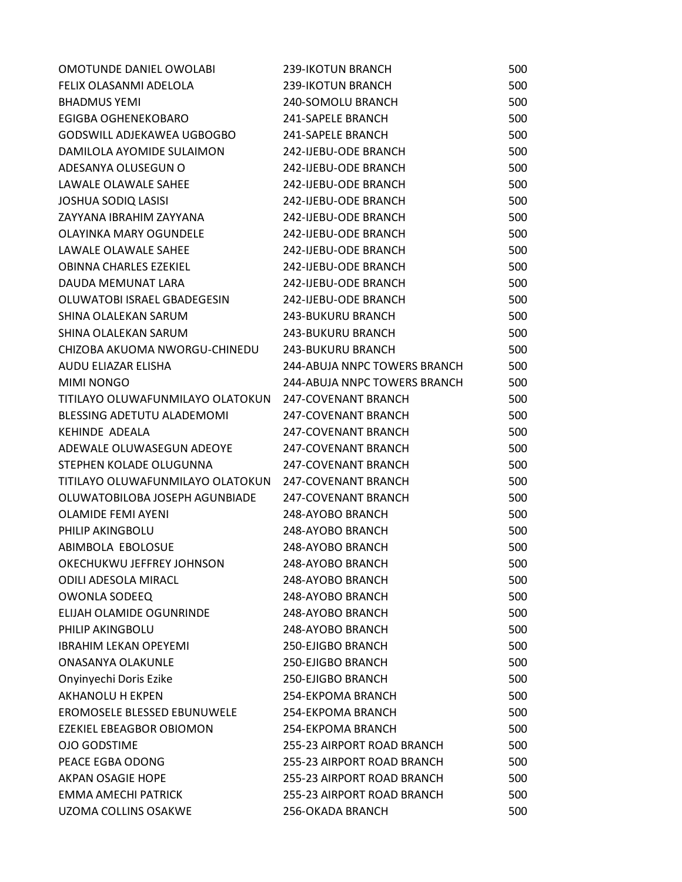| OMOTUNDE DANIEL OWOLABI          | 239-IKOTUN BRANCH            | 500 |
|----------------------------------|------------------------------|-----|
| FELIX OLASANMI ADELOLA           | 239-IKOTUN BRANCH            | 500 |
| <b>BHADMUS YEMI</b>              | 240-SOMOLU BRANCH            | 500 |
| EGIGBA OGHENEKOBARO              | 241-SAPELE BRANCH            | 500 |
| GODSWILL ADJEKAWEA UGBOGBO       | 241-SAPELE BRANCH            | 500 |
| DAMILOLA AYOMIDE SULAIMON        | 242-IJEBU-ODE BRANCH         | 500 |
| ADESANYA OLUSEGUN O              | 242-IJEBU-ODE BRANCH         | 500 |
| LAWALE OLAWALE SAHEE             | 242-IJEBU-ODE BRANCH         | 500 |
| <b>JOSHUA SODIQ LASISI</b>       | 242-IJEBU-ODE BRANCH         | 500 |
| ZAYYANA IBRAHIM ZAYYANA          | 242-IJEBU-ODE BRANCH         | 500 |
| OLAYINKA MARY OGUNDELE           | 242-IJEBU-ODE BRANCH         | 500 |
| LAWALE OLAWALE SAHEE             | 242-IJEBU-ODE BRANCH         | 500 |
| <b>OBINNA CHARLES EZEKIEL</b>    | 242-IJEBU-ODE BRANCH         | 500 |
| DAUDA MEMUNAT LARA               | 242-IJEBU-ODE BRANCH         | 500 |
| OLUWATOBI ISRAEL GBADEGESIN      | 242-IJEBU-ODE BRANCH         | 500 |
| SHINA OLALEKAN SARUM             | <b>243-BUKURU BRANCH</b>     | 500 |
| SHINA OLALEKAN SARUM             | 243-BUKURU BRANCH            | 500 |
| CHIZOBA AKUOMA NWORGU-CHINEDU    | <b>243-BUKURU BRANCH</b>     | 500 |
| AUDU ELIAZAR ELISHA              | 244-ABUJA NNPC TOWERS BRANCH | 500 |
| <b>MIMI NONGO</b>                | 244-ABUJA NNPC TOWERS BRANCH | 500 |
| TITILAYO OLUWAFUNMILAYO OLATOKUN | 247-COVENANT BRANCH          | 500 |
| BLESSING ADETUTU ALADEMOMI       | 247-COVENANT BRANCH          | 500 |
| KEHINDE ADEALA                   | 247-COVENANT BRANCH          | 500 |
| ADEWALE OLUWASEGUN ADEOYE        | 247-COVENANT BRANCH          | 500 |
| STEPHEN KOLADE OLUGUNNA          | 247-COVENANT BRANCH          | 500 |
| TITILAYO OLUWAFUNMILAYO OLATOKUN | 247-COVENANT BRANCH          | 500 |
| OLUWATOBILOBA JOSEPH AGUNBIADE   | <b>247-COVENANT BRANCH</b>   | 500 |
| <b>OLAMIDE FEMI AYENI</b>        | 248-AYOBO BRANCH             | 500 |
| PHILIP AKINGBOLU                 | 248-AYOBO BRANCH             | 500 |
| ABIMBOLA EBOLOSUE                | 248-AYOBO BRANCH             | 500 |
| OKECHUKWU JEFFREY JOHNSON        | 248-AYOBO BRANCH             | 500 |
| <b>ODILI ADESOLA MIRACL</b>      | 248-AYOBO BRANCH             | 500 |
| <b>OWONLA SODEEQ</b>             | 248-AYOBO BRANCH             | 500 |
| ELIJAH OLAMIDE OGUNRINDE         | 248-AYOBO BRANCH             | 500 |
| PHILIP AKINGBOLU                 | 248-AYOBO BRANCH             | 500 |
| <b>IBRAHIM LEKAN OPEYEMI</b>     | 250-EJIGBO BRANCH            | 500 |
| <b>ONASANYA OLAKUNLE</b>         | 250-EJIGBO BRANCH            | 500 |
| Onyinyechi Doris Ezike           | 250-EJIGBO BRANCH            | 500 |
| <b>AKHANOLU H EKPEN</b>          | 254-EKPOMA BRANCH            | 500 |
| EROMOSELE BLESSED EBUNUWELE      | 254-EKPOMA BRANCH            | 500 |
| EZEKIEL EBEAGBOR OBIOMON         | 254-EKPOMA BRANCH            | 500 |
| <b>OJO GODSTIME</b>              | 255-23 AIRPORT ROAD BRANCH   | 500 |
| PEACE EGBA ODONG                 | 255-23 AIRPORT ROAD BRANCH   | 500 |
| <b>AKPAN OSAGIE HOPE</b>         | 255-23 AIRPORT ROAD BRANCH   | 500 |
| <b>EMMA AMECHI PATRICK</b>       | 255-23 AIRPORT ROAD BRANCH   | 500 |
| UZOMA COLLINS OSAKWE             | 256-OKADA BRANCH             | 500 |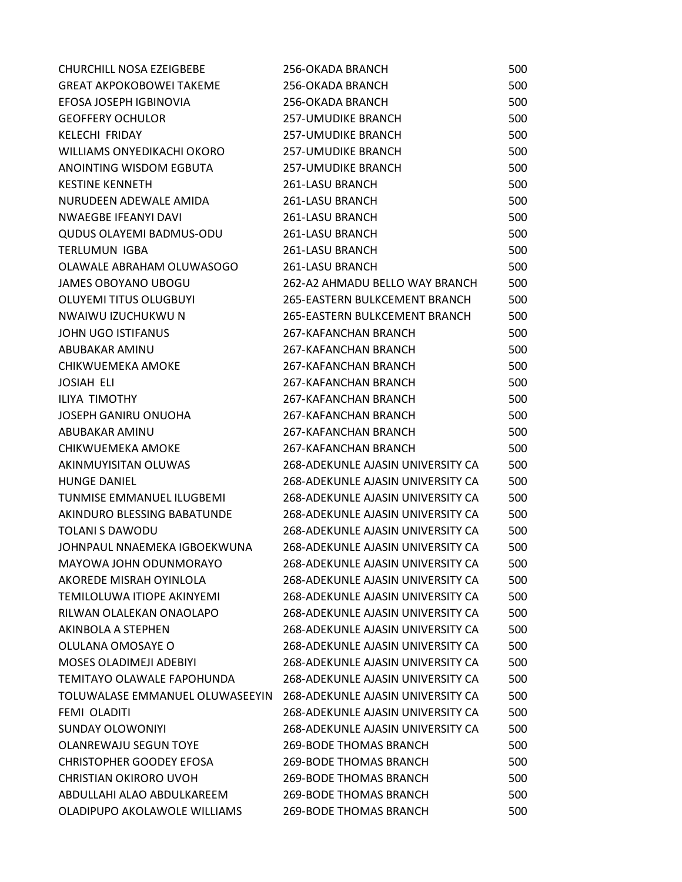| <b>CHURCHILL NOSA EZEIGBEBE</b>  | 256-OKADA BRANCH                     | 500 |
|----------------------------------|--------------------------------------|-----|
| GREAT AKPOKOBOWEI TAKEME         | 256-OKADA BRANCH                     | 500 |
| EFOSA JOSEPH IGBINOVIA           | 256-OKADA BRANCH                     | 500 |
| <b>GEOFFERY OCHULOR</b>          | <b>257-UMUDIKE BRANCH</b>            | 500 |
| KELECHI FRIDAY                   | <b>257-UMUDIKE BRANCH</b>            | 500 |
| WILLIAMS ONYEDIKACHI OKORO       | <b>257-UMUDIKE BRANCH</b>            | 500 |
| ANOINTING WISDOM EGBUTA          | <b>257-UMUDIKE BRANCH</b>            | 500 |
| <b>KESTINE KENNETH</b>           | 261-LASU BRANCH                      | 500 |
| NURUDEEN ADEWALE AMIDA           | 261-LASU BRANCH                      | 500 |
| <b>NWAEGBE IFEANYI DAVI</b>      | 261-LASU BRANCH                      | 500 |
| <b>QUDUS OLAYEMI BADMUS-ODU</b>  | 261-LASU BRANCH                      | 500 |
| <b>TERLUMUN IGBA</b>             | 261-LASU BRANCH                      | 500 |
| OLAWALE ABRAHAM OLUWASOGO        | <b>261-LASU BRANCH</b>               | 500 |
| <b>JAMES OBOYANO UBOGU</b>       | 262-A2 AHMADU BELLO WAY BRANCH       | 500 |
| OLUYEMI TITUS OLUGBUYI           | <b>265-EASTERN BULKCEMENT BRANCH</b> | 500 |
| NWAIWU IZUCHUKWU N               | <b>265-EASTERN BULKCEMENT BRANCH</b> | 500 |
| JOHN UGO ISTIFANUS               | 267-KAFANCHAN BRANCH                 | 500 |
| ABUBAKAR AMINU                   | 267-KAFANCHAN BRANCH                 | 500 |
| CHIKWUEMEKA AMOKE                | 267-KAFANCHAN BRANCH                 | 500 |
| JOSIAH ELI                       | 267-KAFANCHAN BRANCH                 | 500 |
| ILIYA TIMOTHY                    | 267-KAFANCHAN BRANCH                 | 500 |
| JOSEPH GANIRU ONUOHA             | 267-KAFANCHAN BRANCH                 | 500 |
| ABUBAKAR AMINU                   | 267-KAFANCHAN BRANCH                 | 500 |
| CHIKWUEMEKA AMOKE                | 267-KAFANCHAN BRANCH                 | 500 |
| AKINMUYISITAN OLUWAS             | 268-ADEKUNLE AJASIN UNIVERSITY CA    | 500 |
| <b>HUNGE DANIEL</b>              | 268-ADEKUNLE AJASIN UNIVERSITY CA    | 500 |
| <b>TUNMISE EMMANUEL ILUGBEMI</b> | 268-ADEKUNLE AJASIN UNIVERSITY CA    | 500 |
| AKINDURO BLESSING BABATUNDE      | 268-ADEKUNLE AJASIN UNIVERSITY CA    | 500 |
| <b>TOLANI S DAWODU</b>           | 268-ADEKUNLE AJASIN UNIVERSITY CA    | 500 |
| JOHNPAUL NNAEMEKA IGBOEKWUNA     | 268-ADEKUNLE AJASIN UNIVERSITY CA    | 500 |
| MAYOWA JOHN ODUNMORAYO           | 268-ADEKUNLE AJASIN UNIVERSITY CA    | 500 |
| AKOREDE MISRAH OYINLOLA          | 268-ADEKUNLE AJASIN UNIVERSITY CA    | 500 |
| TEMILOLUWA ITIOPE AKINYEMI       | 268-ADEKUNLE AJASIN UNIVERSITY CA    | 500 |
| RILWAN OLALEKAN ONAOLAPO         | 268-ADEKUNLE AJASIN UNIVERSITY CA    | 500 |
| AKINBOLA A STEPHEN               | 268-ADEKUNLE AJASIN UNIVERSITY CA    | 500 |
| OLULANA OMOSAYE O                | 268-ADEKUNLE AJASIN UNIVERSITY CA    | 500 |
| <b>MOSES OLADIMEJI ADEBIYI</b>   | 268-ADEKUNLE AJASIN UNIVERSITY CA    | 500 |
| TEMITAYO OLAWALE FAPOHUNDA       | 268-ADEKUNLE AJASIN UNIVERSITY CA    | 500 |
| TOLUWALASE EMMANUEL OLUWASEEYIN  | 268-ADEKUNLE AJASIN UNIVERSITY CA    | 500 |
| FEMI OLADITI                     | 268-ADEKUNLE AJASIN UNIVERSITY CA    | 500 |
| <b>SUNDAY OLOWONIYI</b>          | 268-ADEKUNLE AJASIN UNIVERSITY CA    | 500 |
| <b>OLANREWAJU SEGUN TOYE</b>     | <b>269-BODE THOMAS BRANCH</b>        | 500 |
| <b>CHRISTOPHER GOODEY EFOSA</b>  | <b>269-BODE THOMAS BRANCH</b>        | 500 |
| <b>CHRISTIAN OKIRORO UVOH</b>    | <b>269-BODE THOMAS BRANCH</b>        | 500 |
| ABDULLAHI ALAO ABDULKAREEM       | <b>269-BODE THOMAS BRANCH</b>        | 500 |
| OLADIPUPO AKOLAWOLE WILLIAMS     | 269-BODE THOMAS BRANCH               | 500 |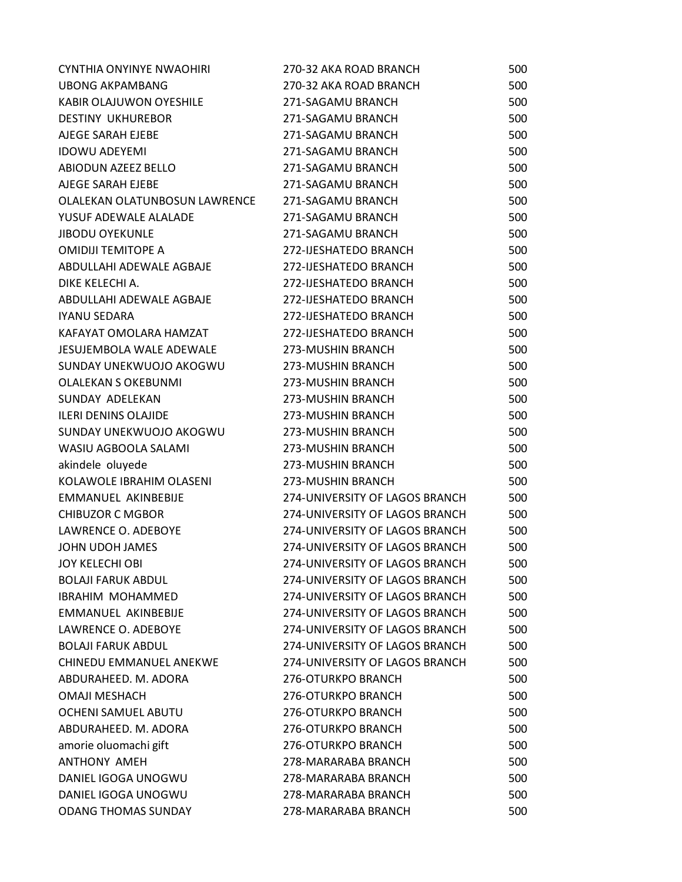| <b>CYNTHIA ONYINYE NWAOHIRI</b> | 270-32 AKA ROAD BRANCH         | 500 |
|---------------------------------|--------------------------------|-----|
| <b>UBONG AKPAMBANG</b>          | 270-32 AKA ROAD BRANCH         | 500 |
| KABIR OLAJUWON OYESHILE         | 271-SAGAMU BRANCH              | 500 |
| <b>DESTINY UKHUREBOR</b>        | 271-SAGAMU BRANCH              | 500 |
| AJEGE SARAH EJEBE               | 271-SAGAMU BRANCH              | 500 |
| <b>IDOWU ADEYEMI</b>            | 271-SAGAMU BRANCH              | 500 |
| ABIODUN AZEEZ BELLO             | 271-SAGAMU BRANCH              | 500 |
| AJEGE SARAH EJEBE               | 271-SAGAMU BRANCH              | 500 |
| OLALEKAN OLATUNBOSUN LAWRENCE   | 271-SAGAMU BRANCH              | 500 |
| YUSUF ADEWALE ALALADE           | 271-SAGAMU BRANCH              | 500 |
| <b>JIBODU OYEKUNLE</b>          | 271-SAGAMU BRANCH              | 500 |
| <b>OMIDIJI TEMITOPE A</b>       | 272-IJESHATEDO BRANCH          | 500 |
| ABDULLAHI ADEWALE AGBAJE        | 272-IJESHATEDO BRANCH          | 500 |
| DIKE KELECHI A.                 | 272-IJESHATEDO BRANCH          | 500 |
| ABDULLAHI ADEWALE AGBAJE        | 272-IJESHATEDO BRANCH          | 500 |
| <b>IYANU SEDARA</b>             | 272-IJESHATEDO BRANCH          | 500 |
| KAFAYAT OMOLARA HAMZAT          | 272-IJESHATEDO BRANCH          | 500 |
| <b>JESUJEMBOLA WALE ADEWALE</b> | 273-MUSHIN BRANCH              | 500 |
| SUNDAY UNEKWUOJO AKOGWU         | 273-MUSHIN BRANCH              | 500 |
| <b>OLALEKAN S OKEBUNMI</b>      | 273-MUSHIN BRANCH              | 500 |
| SUNDAY ADELEKAN                 | 273-MUSHIN BRANCH              | 500 |
| <b>ILERI DENINS OLAJIDE</b>     | 273-MUSHIN BRANCH              | 500 |
| SUNDAY UNEKWUOJO AKOGWU         | 273-MUSHIN BRANCH              | 500 |
| WASIU AGBOOLA SALAMI            | 273-MUSHIN BRANCH              | 500 |
| akindele oluyede                | 273-MUSHIN BRANCH              | 500 |
| KOLAWOLE IBRAHIM OLASENI        | 273-MUSHIN BRANCH              | 500 |
| EMMANUEL AKINBEBIJE             | 274-UNIVERSITY OF LAGOS BRANCH | 500 |
| <b>CHIBUZOR C MGBOR</b>         | 274-UNIVERSITY OF LAGOS BRANCH | 500 |
| LAWRENCE O. ADEBOYE             | 274-UNIVERSITY OF LAGOS BRANCH | 500 |
| JOHN UDOH JAMES                 | 274-UNIVERSITY OF LAGOS BRANCH | 500 |
| <b>JOY KELECHI OBI</b>          | 274-UNIVERSITY OF LAGOS BRANCH | 500 |
| <b>BOLAJI FARUK ABDUL</b>       | 274-UNIVERSITY OF LAGOS BRANCH | 500 |
| <b>IBRAHIM MOHAMMED</b>         | 274-UNIVERSITY OF LAGOS BRANCH | 500 |
| EMMANUEL AKINBEBIJE             | 274-UNIVERSITY OF LAGOS BRANCH | 500 |
| LAWRENCE O. ADEBOYE             | 274-UNIVERSITY OF LAGOS BRANCH | 500 |
| <b>BOLAJI FARUK ABDUL</b>       | 274-UNIVERSITY OF LAGOS BRANCH | 500 |
| <b>CHINEDU EMMANUEL ANEKWE</b>  | 274-UNIVERSITY OF LAGOS BRANCH | 500 |
| ABDURAHEED. M. ADORA            | 276-OTURKPO BRANCH             | 500 |
| <b>OMAJI MESHACH</b>            | 276-OTURKPO BRANCH             | 500 |
| OCHENI SAMUEL ABUTU             | 276-OTURKPO BRANCH             | 500 |
| ABDURAHEED. M. ADORA            | 276-OTURKPO BRANCH             | 500 |
| amorie oluomachi gift           | 276-OTURKPO BRANCH             | 500 |
| <b>ANTHONY AMEH</b>             | 278-MARARABA BRANCH            | 500 |
| DANIEL IGOGA UNOGWU             | 278-MARARABA BRANCH            | 500 |
| DANIEL IGOGA UNOGWU             | 278-MARARABA BRANCH            | 500 |
| <b>ODANG THOMAS SUNDAY</b>      | 278-MARARABA BRANCH            | 500 |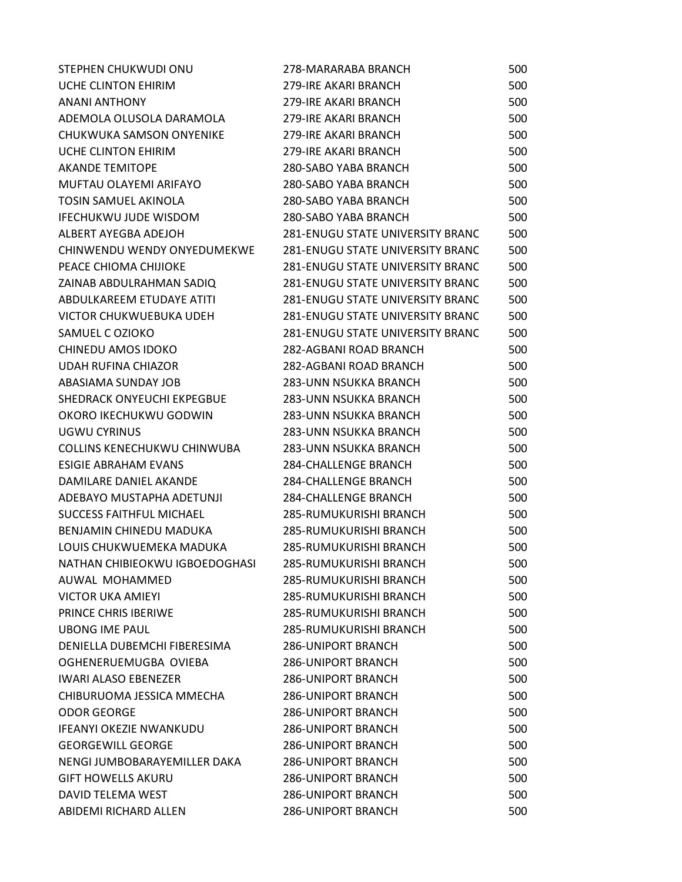| STEPHEN CHUKWUDI ONU            | 278-MARARABA BRANCH                     | 500 |
|---------------------------------|-----------------------------------------|-----|
| UCHE CLINTON EHIRIM             | 279-IRE AKARI BRANCH                    | 500 |
| <b>ANANI ANTHONY</b>            | 279-IRE AKARI BRANCH                    | 500 |
| ADEMOLA OLUSOLA DARAMOLA        | 279-IRE AKARI BRANCH                    | 500 |
| CHUKWUKA SAMSON ONYENIKE        | 279-IRE AKARI BRANCH                    | 500 |
| UCHE CLINTON EHIRIM             | 279-IRE AKARI BRANCH                    | 500 |
| <b>AKANDE TEMITOPE</b>          | 280-SABO YABA BRANCH                    | 500 |
| MUFTAU OLAYEMI ARIFAYO          | 280-SABO YABA BRANCH                    | 500 |
| TOSIN SAMUEL AKINOLA            | 280-SABO YABA BRANCH                    | 500 |
| <b>IFECHUKWU JUDE WISDOM</b>    | 280-SABO YABA BRANCH                    | 500 |
| ALBERT AYEGBA ADEJOH            | 281-ENUGU STATE UNIVERSITY BRANC        | 500 |
| CHINWENDU WENDY ONYEDUMEKWE     | <b>281-ENUGU STATE UNIVERSITY BRANC</b> | 500 |
| PEACE CHIOMA CHIJIOKE           | <b>281-ENUGU STATE UNIVERSITY BRANC</b> | 500 |
| ZAINAB ABDULRAHMAN SADIQ        | <b>281-ENUGU STATE UNIVERSITY BRANC</b> | 500 |
| ABDULKAREEM ETUDAYE ATITI       | <b>281-ENUGU STATE UNIVERSITY BRANC</b> | 500 |
| VICTOR CHUKWUEBUKA UDEH         | <b>281-ENUGU STATE UNIVERSITY BRANC</b> | 500 |
| SAMUEL C OZIOKO                 | <b>281-ENUGU STATE UNIVERSITY BRANC</b> | 500 |
| CHINEDU AMOS IDOKO              | 282-AGBANI ROAD BRANCH                  | 500 |
| <b>UDAH RUFINA CHIAZOR</b>      | 282-AGBANI ROAD BRANCH                  | 500 |
| ABASIAMA SUNDAY JOB             | 283-UNN NSUKKA BRANCH                   | 500 |
| SHEDRACK ONYEUCHI EKPEGBUE      | 283-UNN NSUKKA BRANCH                   | 500 |
| OKORO IKECHUKWU GODWIN          | 283-UNN NSUKKA BRANCH                   | 500 |
| UGWU CYRINUS                    | 283-UNN NSUKKA BRANCH                   | 500 |
| COLLINS KENECHUKWU CHINWUBA     | 283-UNN NSUKKA BRANCH                   | 500 |
| <b>ESIGIE ABRAHAM EVANS</b>     | <b>284-CHALLENGE BRANCH</b>             | 500 |
| DAMILARE DANIEL AKANDE          | <b>284-CHALLENGE BRANCH</b>             | 500 |
| ADEBAYO MUSTAPHA ADETUNJI       | <b>284-CHALLENGE BRANCH</b>             | 500 |
| <b>SUCCESS FAITHFUL MICHAEL</b> | 285-RUMUKURISHI BRANCH                  | 500 |
| BENJAMIN CHINEDU MADUKA         | 285-RUMUKURISHI BRANCH                  | 500 |
| LOUIS CHUKWUEMEKA MADUKA        | 285-RUMUKURISHI BRANCH                  | 500 |
| NATHAN CHIBIEOKWU IGBOEDOGHASI  | 285-RUMUKURISHI BRANCH                  | 500 |
| AUWAL MOHAMMED                  | 285-RUMUKURISHI BRANCH                  | 500 |
| <b>VICTOR UKA AMIEYI</b>        | 285-RUMUKURISHI BRANCH                  | 500 |
| <b>PRINCE CHRIS IBERIWE</b>     | 285-RUMUKURISHI BRANCH                  | 500 |
| <b>UBONG IME PAUL</b>           | 285-RUMUKURISHI BRANCH                  | 500 |
| DENIELLA DUBEMCHI FIBERESIMA    | <b>286-UNIPORT BRANCH</b>               | 500 |
| OGHENERUEMUGBA OVIEBA           | <b>286-UNIPORT BRANCH</b>               | 500 |
| <b>IWARI ALASO EBENEZER</b>     | <b>286-UNIPORT BRANCH</b>               | 500 |
| CHIBURUOMA JESSICA MMECHA       | <b>286-UNIPORT BRANCH</b>               | 500 |
| <b>ODOR GEORGE</b>              | <b>286-UNIPORT BRANCH</b>               | 500 |
| <b>IFEANYI OKEZIE NWANKUDU</b>  | <b>286-UNIPORT BRANCH</b>               | 500 |
| <b>GEORGEWILL GEORGE</b>        | <b>286-UNIPORT BRANCH</b>               | 500 |
| NENGI JUMBOBARAYEMILLER DAKA    | <b>286-UNIPORT BRANCH</b>               | 500 |
| <b>GIFT HOWELLS AKURU</b>       | <b>286-UNIPORT BRANCH</b>               | 500 |
| DAVID TELEMA WEST               | <b>286-UNIPORT BRANCH</b>               | 500 |
| ABIDEMI RICHARD ALLEN           | <b>286-UNIPORT BRANCH</b>               | 500 |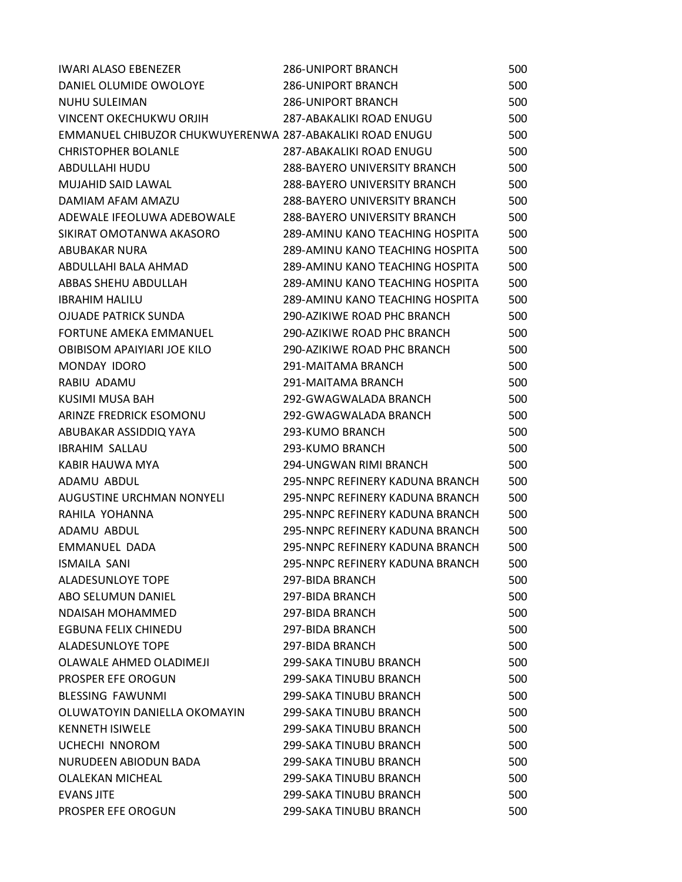| <b>IWARI ALASO EBENEZER</b>                              | <b>286-UNIPORT BRANCH</b>           | 500 |
|----------------------------------------------------------|-------------------------------------|-----|
| DANIEL OLUMIDE OWOLOYE                                   | <b>286-UNIPORT BRANCH</b>           | 500 |
| <b>NUHU SULEIMAN</b>                                     | <b>286-UNIPORT BRANCH</b>           | 500 |
| VINCENT OKECHUKWU ORJIH                                  | 287-ABAKALIKI ROAD ENUGU            | 500 |
| EMMANUEL CHIBUZOR CHUKWUYERENWA 287-ABAKALIKI ROAD ENUGU |                                     | 500 |
| <b>CHRISTOPHER BOLANLE</b>                               | 287-ABAKALIKI ROAD ENUGU            | 500 |
| ABDULLAHI HUDU                                           | <b>288-BAYERO UNIVERSITY BRANCH</b> | 500 |
| <b>MUJAHID SAID LAWAL</b>                                | <b>288-BAYERO UNIVERSITY BRANCH</b> | 500 |
| DAMIAM AFAM AMAZU                                        | <b>288-BAYERO UNIVERSITY BRANCH</b> | 500 |
| ADEWALE IFEOLUWA ADEBOWALE                               | <b>288-BAYERO UNIVERSITY BRANCH</b> | 500 |
| SIKIRAT OMOTANWA AKASORO                                 | 289-AMINU KANO TEACHING HOSPITA     | 500 |
| <b>ABUBAKAR NURA</b>                                     | 289-AMINU KANO TEACHING HOSPITA     | 500 |
| ABDULLAHI BALA AHMAD                                     | 289-AMINU KANO TEACHING HOSPITA     | 500 |
| ABBAS SHEHU ABDULLAH                                     | 289-AMINU KANO TEACHING HOSPITA     | 500 |
| <b>IBRAHIM HALILU</b>                                    | 289-AMINU KANO TEACHING HOSPITA     | 500 |
| <b>OJUADE PATRICK SUNDA</b>                              | 290-AZIKIWE ROAD PHC BRANCH         | 500 |
| <b>FORTUNE AMEKA EMMANUEL</b>                            | 290-AZIKIWE ROAD PHC BRANCH         | 500 |
| OBIBISOM APAIYIARI JOE KILO                              | 290-AZIKIWE ROAD PHC BRANCH         | 500 |
| MONDAY IDORO                                             | 291-MAITAMA BRANCH                  | 500 |
| RABIU ADAMU                                              | 291-MAITAMA BRANCH                  | 500 |
| KUSIMI MUSA BAH                                          | 292-GWAGWALADA BRANCH               | 500 |
| ARINZE FREDRICK ESOMONU                                  | 292-GWAGWALADA BRANCH               | 500 |
| ABUBAKAR ASSIDDIQ YAYA                                   | 293-KUMO BRANCH                     | 500 |
| <b>IBRAHIM SALLAU</b>                                    | 293-KUMO BRANCH                     | 500 |
| KABIR HAUWA MYA                                          | 294-UNGWAN RIMI BRANCH              | 500 |
| ADAMU ABDUL                                              | 295-NNPC REFINERY KADUNA BRANCH     | 500 |
| AUGUSTINE URCHMAN NONYELI                                | 295-NNPC REFINERY KADUNA BRANCH     | 500 |
| RAHILA YOHANNA                                           | 295-NNPC REFINERY KADUNA BRANCH     | 500 |
| ADAMU ABDUL                                              | 295-NNPC REFINERY KADUNA BRANCH     | 500 |
| <b>EMMANUEL DADA</b>                                     | 295-NNPC REFINERY KADUNA BRANCH     | 500 |
| <b>ISMAILA SANI</b>                                      | 295-NNPC REFINERY KADUNA BRANCH     | 500 |
| <b>ALADESUNLOYE TOPE</b>                                 | 297-BIDA BRANCH                     | 500 |
| ABO SELUMUN DANIEL                                       | 297-BIDA BRANCH                     | 500 |
| NDAISAH MOHAMMED                                         | 297-BIDA BRANCH                     | 500 |
| EGBUNA FELIX CHINEDU                                     | 297-BIDA BRANCH                     | 500 |
| <b>ALADESUNLOYE TOPE</b>                                 | 297-BIDA BRANCH                     | 500 |
| OLAWALE AHMED OLADIMEJI                                  | 299-SAKA TINUBU BRANCH              | 500 |
| PROSPER EFE OROGUN                                       | 299-SAKA TINUBU BRANCH              | 500 |
| <b>BLESSING FAWUNMI</b>                                  | 299-SAKA TINUBU BRANCH              | 500 |
| OLUWATOYIN DANIELLA OKOMAYIN                             | 299-SAKA TINUBU BRANCH              | 500 |
| <b>KENNETH ISIWELE</b>                                   | 299-SAKA TINUBU BRANCH              | 500 |
| <b>UCHECHI NNOROM</b>                                    | 299-SAKA TINUBU BRANCH              | 500 |
| NURUDEEN ABIODUN BADA                                    | 299-SAKA TINUBU BRANCH              | 500 |
| <b>OLALEKAN MICHEAL</b>                                  | 299-SAKA TINUBU BRANCH              | 500 |
| <b>EVANS JITE</b>                                        | 299-SAKA TINUBU BRANCH              | 500 |
| PROSPER EFE OROGUN                                       | 299-SAKA TINUBU BRANCH              | 500 |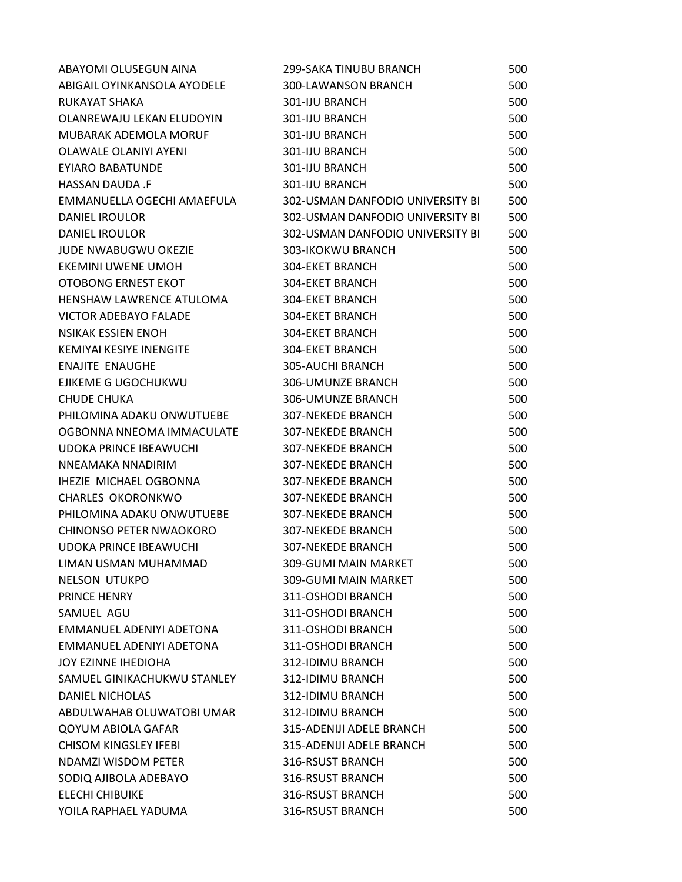| ABAYOMI OLUSEGUN AINA          | 299-SAKA TINUBU BRANCH           | 500 |
|--------------------------------|----------------------------------|-----|
| ABIGAIL OYINKANSOLA AYODELE    | 300-LAWANSON BRANCH              | 500 |
| RUKAYAT SHAKA                  | 301-IJU BRANCH                   | 500 |
| OLANREWAJU LEKAN ELUDOYIN      | 301-IJU BRANCH                   | 500 |
| MUBARAK ADEMOLA MORUF          | 301-IJU BRANCH                   | 500 |
| <b>OLAWALE OLANIYI AYENI</b>   | 301-IJU BRANCH                   | 500 |
| <b>EYIARO BABATUNDE</b>        | 301-IJU BRANCH                   | 500 |
| HASSAN DAUDA .F                | 301-IJU BRANCH                   | 500 |
| EMMANUELLA OGECHI AMAEFULA     | 302-USMAN DANFODIO UNIVERSITY BI | 500 |
| <b>DANIEL IROULOR</b>          | 302-USMAN DANFODIO UNIVERSITY BI | 500 |
| <b>DANIEL IROULOR</b>          | 302-USMAN DANFODIO UNIVERSITY BI | 500 |
| JUDE NWABUGWU OKEZIE           | 303-IKOKWU BRANCH                | 500 |
| <b>EKEMINI UWENE UMOH</b>      | 304-EKET BRANCH                  | 500 |
| OTOBONG ERNEST EKOT            | 304-EKET BRANCH                  | 500 |
| HENSHAW LAWRENCE ATULOMA       | <b>304-EKET BRANCH</b>           | 500 |
| <b>VICTOR ADEBAYO FALADE</b>   | <b>304-EKET BRANCH</b>           | 500 |
| <b>NSIKAK ESSIEN ENOH</b>      | 304-EKET BRANCH                  | 500 |
| <b>KEMIYAI KESIYE INENGITE</b> | 304-EKET BRANCH                  | 500 |
| <b>ENAJITE ENAUGHE</b>         | 305-AUCHI BRANCH                 | 500 |
| EJIKEME G UGOCHUKWU            | <b>306-UMUNZE BRANCH</b>         | 500 |
| <b>CHUDE CHUKA</b>             | 306-UMUNZE BRANCH                | 500 |
| PHILOMINA ADAKU ONWUTUEBE      | <b>307-NEKEDE BRANCH</b>         | 500 |
| OGBONNA NNEOMA IMMACULATE      | <b>307-NEKEDE BRANCH</b>         | 500 |
| <b>UDOKA PRINCE IBEAWUCHI</b>  | <b>307-NEKEDE BRANCH</b>         | 500 |
| NNEAMAKA NNADIRIM              | <b>307-NEKEDE BRANCH</b>         | 500 |
| <b>IHEZIE MICHAEL OGBONNA</b>  | <b>307-NEKEDE BRANCH</b>         | 500 |
| <b>CHARLES OKORONKWO</b>       | <b>307-NEKEDE BRANCH</b>         | 500 |
| PHILOMINA ADAKU ONWUTUEBE      | <b>307-NEKEDE BRANCH</b>         | 500 |
| CHINONSO PETER NWAOKORO        | <b>307-NEKEDE BRANCH</b>         | 500 |
| <b>UDOKA PRINCE IBEAWUCHI</b>  | <b>307-NEKEDE BRANCH</b>         | 500 |
| LIMAN USMAN MUHAMMAD           | 309-GUMI MAIN MARKET             | 500 |
| NELSON UTUKPO                  | 309-GUMI MAIN MARKET             | 500 |
| <b>PRINCE HENRY</b>            | 311-OSHODI BRANCH                | 500 |
| SAMUEL AGU                     | 311-OSHODI BRANCH                | 500 |
| EMMANUEL ADENIYI ADETONA       | 311-OSHODI BRANCH                | 500 |
| EMMANUEL ADENIYI ADETONA       | 311-OSHODI BRANCH                | 500 |
| JOY EZINNE IHEDIOHA            | 312-IDIMU BRANCH                 | 500 |
| SAMUEL GINIKACHUKWU STANLEY    | 312-IDIMU BRANCH                 | 500 |
| DANIEL NICHOLAS                | 312-IDIMU BRANCH                 | 500 |
| ABDULWAHAB OLUWATOBI UMAR      | 312-IDIMU BRANCH                 | 500 |
| <b>QOYUM ABIOLA GAFAR</b>      | 315-ADENIJI ADELE BRANCH         | 500 |
| <b>CHISOM KINGSLEY IFEBI</b>   | 315-ADENIJI ADELE BRANCH         | 500 |
| NDAMZI WISDOM PETER            | 316-RSUST BRANCH                 | 500 |
| SODIQ AJIBOLA ADEBAYO          | 316-RSUST BRANCH                 | 500 |
| <b>ELECHI CHIBUIKE</b>         | 316-RSUST BRANCH                 | 500 |
| YOILA RAPHAEL YADUMA           | 316-RSUST BRANCH                 | 500 |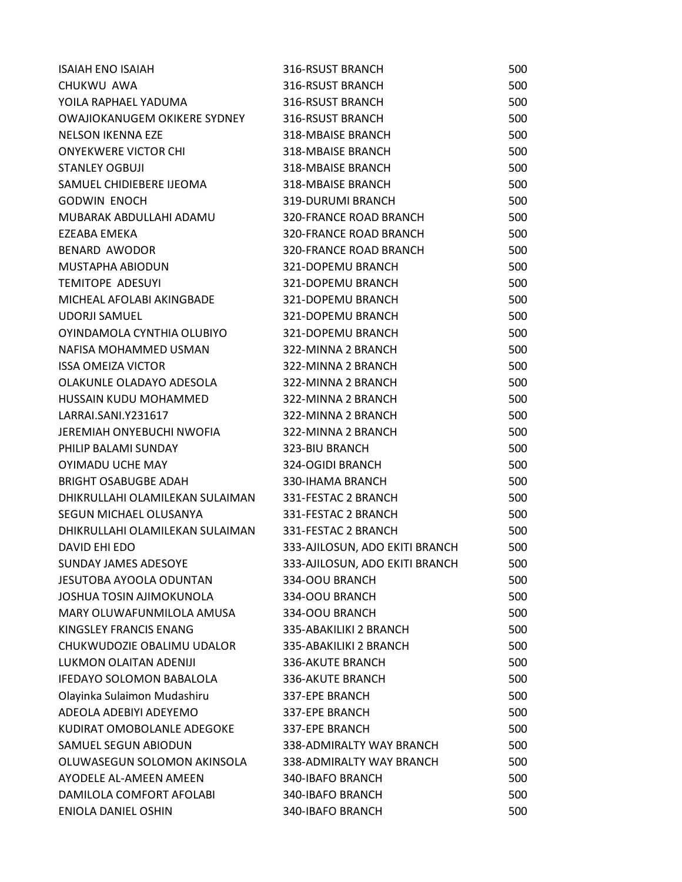| <b>ISAIAH ENO ISAIAH</b>            | 316-RSUST BRANCH               | 500 |
|-------------------------------------|--------------------------------|-----|
| CHUKWU AWA                          | 316-RSUST BRANCH               | 500 |
| YOILA RAPHAEL YADUMA                | 316-RSUST BRANCH               | 500 |
| <b>OWAJIOKANUGEM OKIKERE SYDNEY</b> | 316-RSUST BRANCH               | 500 |
| <b>NELSON IKENNA EZE</b>            | <b>318-MBAISE BRANCH</b>       | 500 |
| <b>ONYEKWERE VICTOR CHI</b>         | <b>318-MBAISE BRANCH</b>       | 500 |
| <b>STANLEY OGBUJI</b>               | <b>318-MBAISE BRANCH</b>       | 500 |
| SAMUEL CHIDIEBERE IJEOMA            | 318-MBAISE BRANCH              | 500 |
| <b>GODWIN ENOCH</b>                 | 319-DURUMI BRANCH              | 500 |
| MUBARAK ABDULLAHI ADAMU             | 320-FRANCE ROAD BRANCH         | 500 |
| EZEABA EMEKA                        | <b>320-FRANCE ROAD BRANCH</b>  | 500 |
| <b>BENARD AWODOR</b>                | <b>320-FRANCE ROAD BRANCH</b>  | 500 |
| MUSTAPHA ABIODUN                    | 321-DOPEMU BRANCH              | 500 |
| <b>TEMITOPE ADESUYI</b>             | 321-DOPEMU BRANCH              | 500 |
| MICHEAL AFOLABI AKINGBADE           | 321-DOPEMU BRANCH              | 500 |
| <b>UDORJI SAMUEL</b>                | 321-DOPEMU BRANCH              | 500 |
| OYINDAMOLA CYNTHIA OLUBIYO          | 321-DOPEMU BRANCH              | 500 |
| NAFISA MOHAMMED USMAN               | 322-MINNA 2 BRANCH             | 500 |
| <b>ISSA OMEIZA VICTOR</b>           | 322-MINNA 2 BRANCH             | 500 |
| OLAKUNLE OLADAYO ADESOLA            | 322-MINNA 2 BRANCH             | 500 |
| HUSSAIN KUDU MOHAMMED               | 322-MINNA 2 BRANCH             | 500 |
| LARRAI.SANI.Y231617                 | 322-MINNA 2 BRANCH             | 500 |
| JEREMIAH ONYEBUCHI NWOFIA           | 322-MINNA 2 BRANCH             | 500 |
| PHILIP BALAMI SUNDAY                | 323-BIU BRANCH                 | 500 |
| <b>OYIMADU UCHE MAY</b>             | 324-OGIDI BRANCH               | 500 |
| <b>BRIGHT OSABUGBE ADAH</b>         | 330-IHAMA BRANCH               | 500 |
| DHIKRULLAHI OLAMILEKAN SULAIMAN     | 331-FESTAC 2 BRANCH            | 500 |
| SEGUN MICHAEL OLUSANYA              | 331-FESTAC 2 BRANCH            | 500 |
| DHIKRULLAHI OLAMILEKAN SULAIMAN     | 331-FESTAC 2 BRANCH            | 500 |
| DAVID EHI EDO                       | 333-AJILOSUN, ADO EKITI BRANCH | 500 |
| <b>SUNDAY JAMES ADESOYE</b>         | 333-AJILOSUN, ADO EKITI BRANCH | 500 |
| JESUTOBA AYOOLA ODUNTAN             | 334-OOU BRANCH                 | 500 |
| JOSHUA TOSIN AJIMOKUNOLA            | 334-OOU BRANCH                 | 500 |
| MARY OLUWAFUNMILOLA AMUSA           | 334-OOU BRANCH                 | 500 |
| KINGSLEY FRANCIS ENANG              | 335-ABAKILIKI 2 BRANCH         | 500 |
| CHUKWUDOZIE OBALIMU UDALOR          | 335-ABAKILIKI 2 BRANCH         | 500 |
| LUKMON OLAITAN ADENIJI              | 336-AKUTE BRANCH               | 500 |
| <b>IFEDAYO SOLOMON BABALOLA</b>     | <b>336-AKUTE BRANCH</b>        | 500 |
| Olayinka Sulaimon Mudashiru         | 337-EPE BRANCH                 | 500 |
| ADEOLA ADEBIYI ADEYEMO              | 337-EPE BRANCH                 | 500 |
| KUDIRAT OMOBOLANLE ADEGOKE          | 337-EPE BRANCH                 | 500 |
| SAMUEL SEGUN ABIODUN                | 338-ADMIRALTY WAY BRANCH       | 500 |
| OLUWASEGUN SOLOMON AKINSOLA         | 338-ADMIRALTY WAY BRANCH       | 500 |
| AYODELE AL-AMEEN AMEEN              | 340-IBAFO BRANCH               | 500 |
| DAMILOLA COMFORT AFOLABI            | 340-IBAFO BRANCH               | 500 |
| <b>ENIOLA DANIEL OSHIN</b>          | 340-IBAFO BRANCH               | 500 |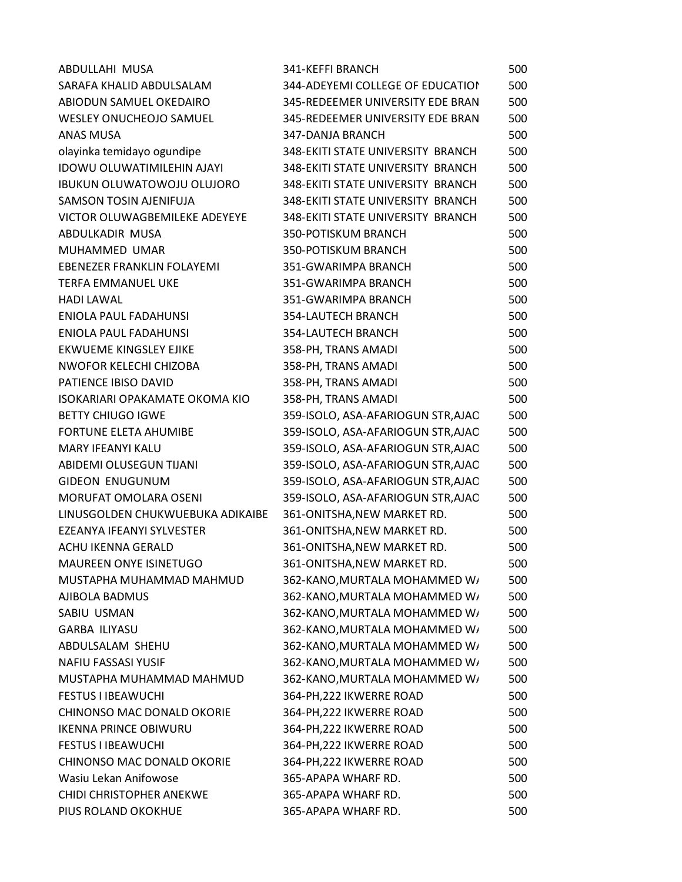| ABDULLAHI MUSA                        | 341-KEFFI BRANCH                   | 500 |
|---------------------------------------|------------------------------------|-----|
| SARAFA KHALID ABDULSALAM              | 344-ADEYEMI COLLEGE OF EDUCATION   | 500 |
| ABIODUN SAMUEL OKEDAIRO               | 345-REDEEMER UNIVERSITY EDE BRAN   | 500 |
| WESLEY ONUCHEOJO SAMUEL               | 345-REDEEMER UNIVERSITY EDE BRAN   | 500 |
| ANAS MUSA                             | 347-DANJA BRANCH                   | 500 |
| olayinka temidayo ogundipe            | 348-EKITI STATE UNIVERSITY BRANCH  | 500 |
| <b>IDOWU OLUWATIMILEHIN AJAYI</b>     | 348-EKITI STATE UNIVERSITY BRANCH  | 500 |
| <b>IBUKUN OLUWATOWOJU OLUJORO</b>     | 348-EKITI STATE UNIVERSITY BRANCH  | 500 |
| <b>SAMSON TOSIN AJENIFUJA</b>         | 348-EKITI STATE UNIVERSITY BRANCH  | 500 |
| <b>VICTOR OLUWAGBEMILEKE ADEYEYE</b>  | 348-EKITI STATE UNIVERSITY BRANCH  | 500 |
| ABDULKADIR MUSA                       | 350-POTISKUM BRANCH                | 500 |
| MUHAMMED UMAR                         | 350-POTISKUM BRANCH                | 500 |
| <b>EBENEZER FRANKLIN FOLAYEMI</b>     | 351-GWARIMPA BRANCH                | 500 |
| <b>TERFA EMMANUEL UKE</b>             | 351-GWARIMPA BRANCH                | 500 |
| <b>HADI LAWAL</b>                     | 351-GWARIMPA BRANCH                | 500 |
| ENIOLA PAUL FADAHUNSI                 | <b>354-LAUTECH BRANCH</b>          | 500 |
| ENIOLA PAUL FADAHUNSI                 | 354-LAUTECH BRANCH                 | 500 |
| <b>EKWUEME KINGSLEY EJIKE</b>         | 358-PH, TRANS AMADI                | 500 |
| NWOFOR KELECHI CHIZOBA                | 358-PH, TRANS AMADI                | 500 |
| PATIENCE IBISO DAVID                  | 358-PH, TRANS AMADI                | 500 |
| <b>ISOKARIARI OPAKAMATE OKOMA KIO</b> | 358-PH, TRANS AMADI                | 500 |
| <b>BETTY CHIUGO IGWE</b>              | 359-ISOLO, ASA-AFARIOGUN STR, AJAC | 500 |
| <b>FORTUNE ELETA AHUMIBE</b>          | 359-ISOLO, ASA-AFARIOGUN STR, AJAC | 500 |
| <b>MARY IFEANYI KALU</b>              | 359-ISOLO, ASA-AFARIOGUN STR, AJAC | 500 |
| ABIDEMI OLUSEGUN TIJANI               | 359-ISOLO, ASA-AFARIOGUN STR, AJAC | 500 |
| <b>GIDEON ENUGUNUM</b>                | 359-ISOLO, ASA-AFARIOGUN STR, AJAC | 500 |
| MORUFAT OMOLARA OSENI                 | 359-ISOLO, ASA-AFARIOGUN STR, AJAC | 500 |
| LINUSGOLDEN CHUKWUEBUKA ADIKAIBE      | 361-ONITSHA, NEW MARKET RD.        | 500 |
| EZEANYA IFEANYI SYLVESTER             | 361-ONITSHA, NEW MARKET RD.        | 500 |
| <b>ACHU IKENNA GERALD</b>             | 361-ONITSHA, NEW MARKET RD.        | 500 |
| MAUREEN ONYE ISINETUGO                | 361-ONITSHA, NEW MARKET RD.        | 500 |
| MUSTAPHA MUHAMMAD MAHMUD              | 362-KANO, MURTALA MOHAMMED W/      | 500 |
| AJIBOLA BADMUS                        | 362-KANO, MURTALA MOHAMMED W/      | 500 |
| SABIU USMAN                           | 362-KANO, MURTALA MOHAMMED W/      | 500 |
| <b>GARBA ILIYASU</b>                  | 362-KANO, MURTALA MOHAMMED W/      | 500 |
| ABDULSALAM SHEHU                      | 362-KANO, MURTALA MOHAMMED W/      | 500 |
| <b>NAFIU FASSASI YUSIF</b>            | 362-KANO, MURTALA MOHAMMED W/      | 500 |
| MUSTAPHA MUHAMMAD MAHMUD              | 362-KANO, MURTALA MOHAMMED W/      | 500 |
| <b>FESTUS I IBEAWUCHI</b>             | 364-PH, 222 IKWERRE ROAD           | 500 |
| CHINONSO MAC DONALD OKORIE            | 364-PH, 222 IKWERRE ROAD           | 500 |
| <b>IKENNA PRINCE OBIWURU</b>          | 364-PH, 222 IKWERRE ROAD           | 500 |
| <b>FESTUS I IBEAWUCHI</b>             | 364-PH, 222 IKWERRE ROAD           | 500 |
| CHINONSO MAC DONALD OKORIE            | 364-PH, 222 IKWERRE ROAD           | 500 |
| Wasiu Lekan Anifowose                 | 365-APAPA WHARF RD.                | 500 |
| CHIDI CHRISTOPHER ANEKWE              | 365-APAPA WHARF RD.                | 500 |
| PIUS ROLAND OKOKHUE                   | 365-APAPA WHARF RD.                | 500 |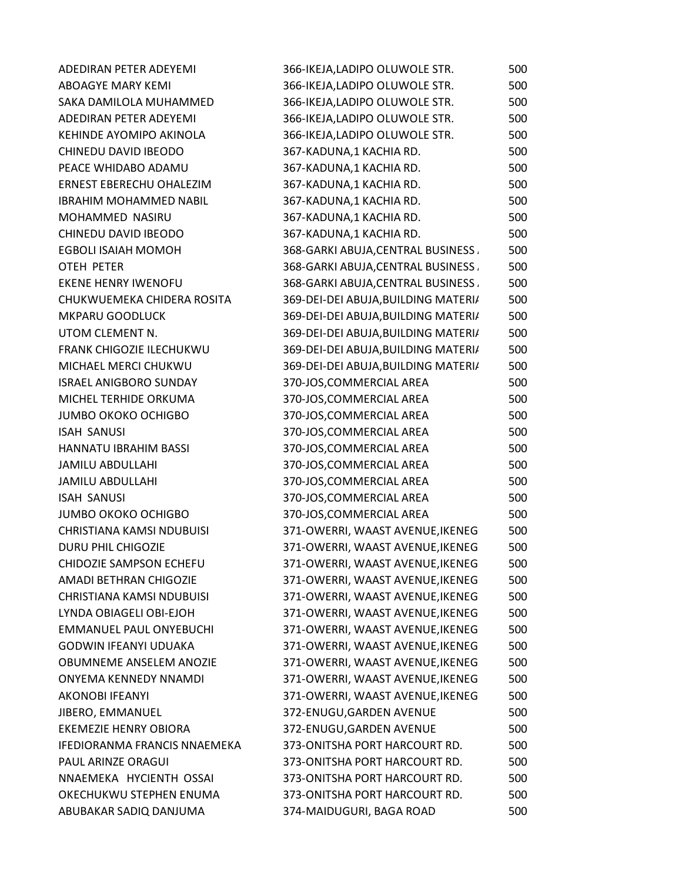| <b>ADEDIRAN PETER ADEYEMI</b>       | 366-IKEJA,LADIPO OLUWOLE STR.       | 500 |
|-------------------------------------|-------------------------------------|-----|
| ABOAGYE MARY KEMI                   | 366-IKEJA,LADIPO OLUWOLE STR.       | 500 |
| SAKA DAMILOLA MUHAMMED              | 366-IKEJA,LADIPO OLUWOLE STR.       | 500 |
| ADEDIRAN PETER ADEYEMI              | 366-IKEJA, LADIPO OLUWOLE STR.      | 500 |
| KEHINDE AYOMIPO AKINOLA             | 366-IKEJA,LADIPO OLUWOLE STR.       | 500 |
| CHINEDU DAVID IBEODO                | 367-KADUNA,1 KACHIA RD.             | 500 |
| PEACE WHIDABO ADAMU                 | 367-KADUNA,1 KACHIA RD.             | 500 |
| ERNEST EBERECHU OHALEZIM            | 367-KADUNA,1 KACHIA RD.             | 500 |
| <b>IBRAHIM MOHAMMED NABIL</b>       | 367-KADUNA,1 KACHIA RD.             | 500 |
| MOHAMMED NASIRU                     | 367-KADUNA,1 KACHIA RD.             | 500 |
| CHINEDU DAVID IBEODO                | 367-KADUNA,1 KACHIA RD.             | 500 |
| <b>EGBOLI ISAIAH MOMOH</b>          | 368-GARKI ABUJA, CENTRAL BUSINESS.  | 500 |
| OTEH PETER                          | 368-GARKI ABUJA, CENTRAL BUSINESS.  | 500 |
| <b>EKENE HENRY IWENOFU</b>          | 368-GARKI ABUJA, CENTRAL BUSINESS.  | 500 |
| CHUKWUEMEKA CHIDERA ROSITA          | 369-DEI-DEI ABUJA, BUILDING MATERI/ | 500 |
| <b>MKPARU GOODLUCK</b>              | 369-DEI-DEI ABUJA, BUILDING MATERI/ | 500 |
| UTOM CLEMENT N.                     | 369-DEI-DEI ABUJA, BUILDING MATERI/ | 500 |
| FRANK CHIGOZIE ILECHUKWU            | 369-DEI-DEI ABUJA, BUILDING MATERI/ | 500 |
| MICHAEL MERCI CHUKWU                | 369-DEI-DEI ABUJA, BUILDING MATERI/ | 500 |
| <b>ISRAEL ANIGBORO SUNDAY</b>       | 370-JOS, COMMERCIAL AREA            | 500 |
| MICHEL TERHIDE ORKUMA               | 370-JOS, COMMERCIAL AREA            | 500 |
| <b>JUMBO OKOKO OCHIGBO</b>          | 370-JOS, COMMERCIAL AREA            | 500 |
| <b>ISAH SANUSI</b>                  | 370-JOS, COMMERCIAL AREA            | 500 |
| HANNATU IBRAHIM BASSI               | 370-JOS, COMMERCIAL AREA            | 500 |
| <b>JAMILU ABDULLAHI</b>             | 370-JOS, COMMERCIAL AREA            | 500 |
| <b>JAMILU ABDULLAHI</b>             | 370-JOS, COMMERCIAL AREA            | 500 |
| <b>ISAH SANUSI</b>                  | 370-JOS, COMMERCIAL AREA            | 500 |
| <b>JUMBO OKOKO OCHIGBO</b>          | 370-JOS, COMMERCIAL AREA            | 500 |
| CHRISTIANA KAMSI NDUBUISI           | 371-OWERRI, WAAST AVENUE, IKENEG    | 500 |
| <b>DURU PHIL CHIGOZIE</b>           | 371-OWERRI, WAAST AVENUE, IKENEG    | 500 |
| CHIDOZIE SAMPSON ECHEFU             | 371-OWERRI, WAAST AVENUE, IKENEG    | 500 |
| AMADI BETHRAN CHIGOZIE              | 371-OWERRI, WAAST AVENUE, IKENEG    | 500 |
| <b>CHRISTIANA KAMSI NDUBUISI</b>    | 371-OWERRI, WAAST AVENUE, IKENEG    | 500 |
| LYNDA OBIAGELI OBI-EJOH             | 371-OWERRI, WAAST AVENUE, IKENEG    | 500 |
| <b>EMMANUEL PAUL ONYEBUCHI</b>      | 371-OWERRI, WAAST AVENUE, IKENEG    | 500 |
| <b>GODWIN IFEANYI UDUAKA</b>        | 371-OWERRI, WAAST AVENUE, IKENEG    | 500 |
| <b>OBUMNEME ANSELEM ANOZIE</b>      | 371-OWERRI, WAAST AVENUE, IKENEG    | 500 |
| <b>ONYEMA KENNEDY NNAMDI</b>        | 371-OWERRI, WAAST AVENUE, IKENEG    | 500 |
| <b>AKONOBI IFEANYI</b>              | 371-OWERRI, WAAST AVENUE, IKENEG    | 500 |
| JIBERO, EMMANUEL                    | 372-ENUGU, GARDEN AVENUE            | 500 |
| <b>EKEMEZIE HENRY OBIORA</b>        | 372-ENUGU, GARDEN AVENUE            | 500 |
| <b>IFEDIORANMA FRANCIS NNAEMEKA</b> | 373-ONITSHA PORT HARCOURT RD.       | 500 |
| PAUL ARINZE ORAGUI                  | 373-ONITSHA PORT HARCOURT RD.       | 500 |
| NNAEMEKA HYCIENTH OSSAI             | 373-ONITSHA PORT HARCOURT RD.       | 500 |
| OKECHUKWU STEPHEN ENUMA             | 373-ONITSHA PORT HARCOURT RD.       | 500 |
| ABUBAKAR SADIQ DANJUMA              | 374-MAIDUGURI, BAGA ROAD            | 500 |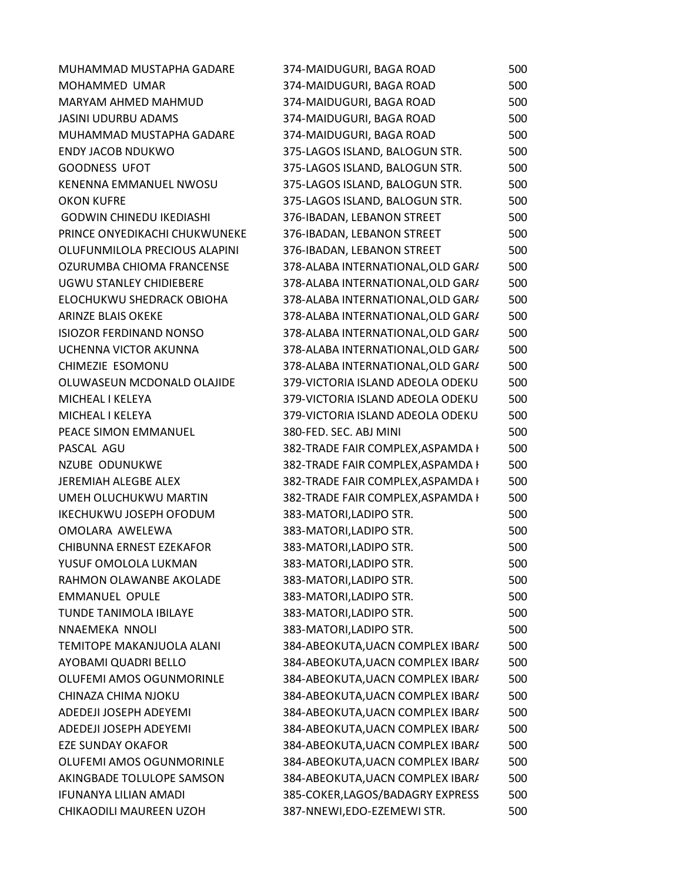| MUHAMMAD MUSTAPHA GADARE        | 374-MAIDUGURI, BAGA ROAD          | 500 |
|---------------------------------|-----------------------------------|-----|
| MOHAMMED UMAR                   | 374-MAIDUGURI, BAGA ROAD          | 500 |
| MARYAM AHMED MAHMUD             | 374-MAIDUGURI, BAGA ROAD          | 500 |
| <b>JASINI UDURBU ADAMS</b>      | 374-MAIDUGURI, BAGA ROAD          | 500 |
| MUHAMMAD MUSTAPHA GADARE        | 374-MAIDUGURI, BAGA ROAD          | 500 |
| <b>ENDY JACOB NDUKWO</b>        | 375-LAGOS ISLAND, BALOGUN STR.    | 500 |
| <b>GOODNESS UFOT</b>            | 375-LAGOS ISLAND, BALOGUN STR.    | 500 |
| KENENNA EMMANUEL NWOSU          | 375-LAGOS ISLAND, BALOGUN STR.    | 500 |
| <b>OKON KUFRE</b>               | 375-LAGOS ISLAND, BALOGUN STR.    | 500 |
| <b>GODWIN CHINEDU IKEDIASHI</b> | 376-IBADAN, LEBANON STREET        | 500 |
| PRINCE ONYEDIKACHI CHUKWUNEKE   | 376-IBADAN, LEBANON STREET        | 500 |
| OLUFUNMILOLA PRECIOUS ALAPINI   | 376-IBADAN, LEBANON STREET        | 500 |
| OZURUMBA CHIOMA FRANCENSE       | 378-ALABA INTERNATIONAL, OLD GAR/ | 500 |
| <b>UGWU STANLEY CHIDIEBERE</b>  | 378-ALABA INTERNATIONAL, OLD GAR/ | 500 |
| ELOCHUKWU SHEDRACK OBIOHA       | 378-ALABA INTERNATIONAL, OLD GAR/ | 500 |
| <b>ARINZE BLAIS OKEKE</b>       | 378-ALABA INTERNATIONAL, OLD GAR/ | 500 |
| <b>ISIOZOR FERDINAND NONSO</b>  | 378-ALABA INTERNATIONAL, OLD GAR/ | 500 |
| UCHENNA VICTOR AKUNNA           | 378-ALABA INTERNATIONAL, OLD GAR/ | 500 |
| CHIMEZIE ESOMONU                | 378-ALABA INTERNATIONAL, OLD GAR/ | 500 |
| OLUWASEUN MCDONALD OLAJIDE      | 379-VICTORIA ISLAND ADEOLA ODEKU  | 500 |
| MICHEAL I KELEYA                | 379-VICTORIA ISLAND ADEOLA ODEKU  | 500 |
| MICHEAL I KELEYA                | 379-VICTORIA ISLAND ADEOLA ODEKU  | 500 |
| PEACE SIMON EMMANUEL            | 380-FED. SEC. ABJ MINI            | 500 |
| PASCAL AGU                      | 382-TRADE FAIR COMPLEX, ASPAMDA I | 500 |
| <b>NZUBE ODUNUKWE</b>           | 382-TRADE FAIR COMPLEX, ASPAMDA I | 500 |
| <b>JEREMIAH ALEGBE ALEX</b>     | 382-TRADE FAIR COMPLEX, ASPAMDA I | 500 |
| UMEH OLUCHUKWU MARTIN           | 382-TRADE FAIR COMPLEX, ASPAMDA I | 500 |
| <b>IKECHUKWU JOSEPH OFODUM</b>  | 383-MATORI, LADIPO STR.           | 500 |
| OMOLARA AWELEWA                 | 383-MATORI, LADIPO STR.           | 500 |
| CHIBUNNA ERNEST EZEKAFOR        | 383-MATORI, LADIPO STR.           | 500 |
| YUSUF OMOLOLA LUKMAN            | 383-MATORI, LADIPO STR.           | 500 |
| RAHMON OLAWANBE AKOLADE         | 383-MATORI,LADIPO STR.            | 500 |
| <b>EMMANUEL OPULE</b>           | 383-MATORI, LADIPO STR.           | 500 |
| <b>TUNDE TANIMOLA IBILAYE</b>   | 383-MATORI, LADIPO STR.           | 500 |
| NNAEMEKA NNOLI                  | 383-MATORI, LADIPO STR.           | 500 |
| TEMITOPE MAKANJUOLA ALANI       | 384-ABEOKUTA, UACN COMPLEX IBAR/  | 500 |
| AYOBAMI QUADRI BELLO            | 384-ABEOKUTA, UACN COMPLEX IBAR/  | 500 |
| <b>OLUFEMI AMOS OGUNMORINLE</b> | 384-ABEOKUTA, UACN COMPLEX IBAR/  | 500 |
| CHINAZA CHIMA NJOKU             | 384-ABEOKUTA, UACN COMPLEX IBAR/  | 500 |
| ADEDEJI JOSEPH ADEYEMI          | 384-ABEOKUTA, UACN COMPLEX IBAR/  | 500 |
| ADEDEJI JOSEPH ADEYEMI          | 384-ABEOKUTA, UACN COMPLEX IBAR/  | 500 |
| <b>EZE SUNDAY OKAFOR</b>        | 384-ABEOKUTA, UACN COMPLEX IBAR/  | 500 |
| OLUFEMI AMOS OGUNMORINLE        | 384-ABEOKUTA, UACN COMPLEX IBAR/  | 500 |
| AKINGBADE TOLULOPE SAMSON       | 384-ABEOKUTA, UACN COMPLEX IBAR/  | 500 |
| <b>IFUNANYA LILIAN AMADI</b>    | 385-COKER, LAGOS/BADAGRY EXPRESS  | 500 |
| CHIKAODILI MAUREEN UZOH         | 387-NNEWI, EDO-EZEMEWI STR.       | 500 |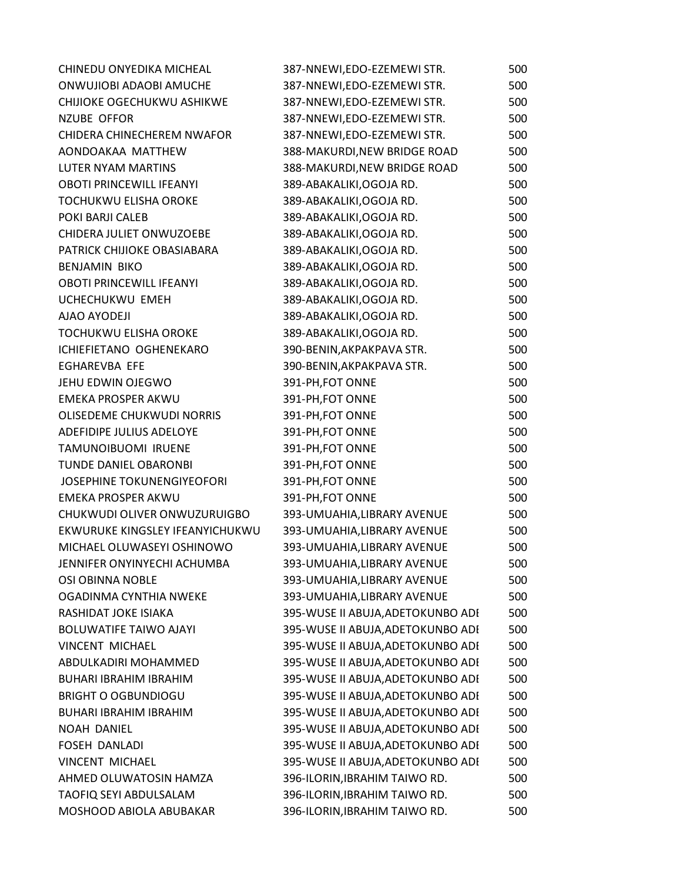| CHINEDU ONYEDIKA MICHEAL         | 387-NNEWI, EDO-EZEMEWI STR.       | 500 |
|----------------------------------|-----------------------------------|-----|
| ONWUJIOBI ADAOBI AMUCHE          | 387-NNEWI,EDO-EZEMEWI STR.        | 500 |
| CHIJIOKE OGECHUKWU ASHIKWE       | 387-NNEWI,EDO-EZEMEWI STR.        | 500 |
| <b>NZUBE OFFOR</b>               | 387-NNEWI, EDO-EZEMEWI STR.       | 500 |
| CHIDERA CHINECHEREM NWAFOR       | 387-NNEWI,EDO-EZEMEWI STR.        | 500 |
| AONDOAKAA MATTHEW                | 388-MAKURDI, NEW BRIDGE ROAD      | 500 |
| LUTER NYAM MARTINS               | 388-MAKURDI, NEW BRIDGE ROAD      | 500 |
| <b>OBOTI PRINCEWILL IFEANYI</b>  | 389-ABAKALIKI, OGOJA RD.          | 500 |
| TOCHUKWU ELISHA OROKE            | 389-ABAKALIKI, OGOJA RD.          | 500 |
| POKI BARJI CALEB                 | 389-ABAKALIKI, OGOJA RD.          | 500 |
| CHIDERA JULIET ONWUZOEBE         | 389-ABAKALIKI, OGOJA RD.          | 500 |
| PATRICK CHIJIOKE OBASIABARA      | 389-ABAKALIKI, OGOJA RD.          | 500 |
| <b>BENJAMIN BIKO</b>             | 389-ABAKALIKI, OGOJA RD.          | 500 |
| <b>OBOTI PRINCEWILL IFEANYI</b>  | 389-ABAKALIKI, OGOJA RD.          | 500 |
| UCHECHUKWU EMEH                  | 389-ABAKALIKI, OGOJA RD.          | 500 |
| AJAO AYODEJI                     | 389-ABAKALIKI, OGOJA RD.          | 500 |
| <b>TOCHUKWU ELISHA OROKE</b>     | 389-ABAKALIKI, OGOJA RD.          | 500 |
| ICHIEFIETANO OGHENEKARO          | 390-BENIN, AKPAKPAVA STR.         | 500 |
| <b>EGHAREVBA EFE</b>             | 390-BENIN, AKPAKPAVA STR.         | 500 |
| JEHU EDWIN OJEGWO                | 391-PH, FOT ONNE                  | 500 |
| <b>EMEKA PROSPER AKWU</b>        | 391-PH, FOT ONNE                  | 500 |
| <b>OLISEDEME CHUKWUDI NORRIS</b> | 391-PH, FOT ONNE                  | 500 |
| ADEFIDIPE JULIUS ADELOYE         | 391-PH, FOT ONNE                  | 500 |
| TAMUNOIBUOMI IRUENE              | 391-PH, FOT ONNE                  | 500 |
| <b>TUNDE DANIEL OBARONBI</b>     | 391-PH, FOT ONNE                  | 500 |
| JOSEPHINE TOKUNENGIYEOFORI       | 391-PH, FOT ONNE                  | 500 |
| <b>EMEKA PROSPER AKWU</b>        | 391-PH, FOT ONNE                  | 500 |
| CHUKWUDI OLIVER ONWUZURUIGBO     | 393-UMUAHIA, LIBRARY AVENUE       | 500 |
| EKWURUKE KINGSLEY IFEANYICHUKWU  | 393-UMUAHIA, LIBRARY AVENUE       | 500 |
| MICHAEL OLUWASEYI OSHINOWO       | 393-UMUAHIA, LIBRARY AVENUE       | 500 |
| JENNIFER ONYINYECHI ACHUMBA      | 393-UMUAHIA, LIBRARY AVENUE       | 500 |
| <b>OSI OBINNA NOBLE</b>          | 393-UMUAHIA, LIBRARY AVENUE       | 500 |
| OGADINMA CYNTHIA NWEKE           | 393-UMUAHIA, LIBRARY AVENUE       | 500 |
| <b>RASHIDAT JOKE ISIAKA</b>      | 395-WUSE II ABUJA, ADETOKUNBO ADI | 500 |
| <b>BOLUWATIFE TAIWO AJAYI</b>    | 395-WUSE II ABUJA, ADETOKUNBO ADI | 500 |
| <b>VINCENT MICHAEL</b>           | 395-WUSE II ABUJA, ADETOKUNBO ADI | 500 |
| ABDULKADIRI MOHAMMED             | 395-WUSE II ABUJA, ADETOKUNBO ADI | 500 |
| <b>BUHARI IBRAHIM IBRAHIM</b>    | 395-WUSE II ABUJA, ADETOKUNBO ADI | 500 |
| <b>BRIGHT O OGBUNDIOGU</b>       | 395-WUSE II ABUJA, ADETOKUNBO ADI | 500 |
| <b>BUHARI IBRAHIM IBRAHIM</b>    | 395-WUSE II ABUJA, ADETOKUNBO ADI | 500 |
| <b>NOAH DANIEL</b>               | 395-WUSE II ABUJA, ADETOKUNBO ADI | 500 |
| <b>FOSEH DANLADI</b>             | 395-WUSE II ABUJA, ADETOKUNBO ADI | 500 |
| <b>VINCENT MICHAEL</b>           | 395-WUSE II ABUJA, ADETOKUNBO ADI | 500 |
| AHMED OLUWATOSIN HAMZA           | 396-ILORIN, IBRAHIM TAIWO RD.     | 500 |
| TAOFIQ SEYI ABDULSALAM           | 396-ILORIN, IBRAHIM TAIWO RD.     | 500 |
| MOSHOOD ABIOLA ABUBAKAR          | 396-ILORIN, IBRAHIM TAIWO RD.     | 500 |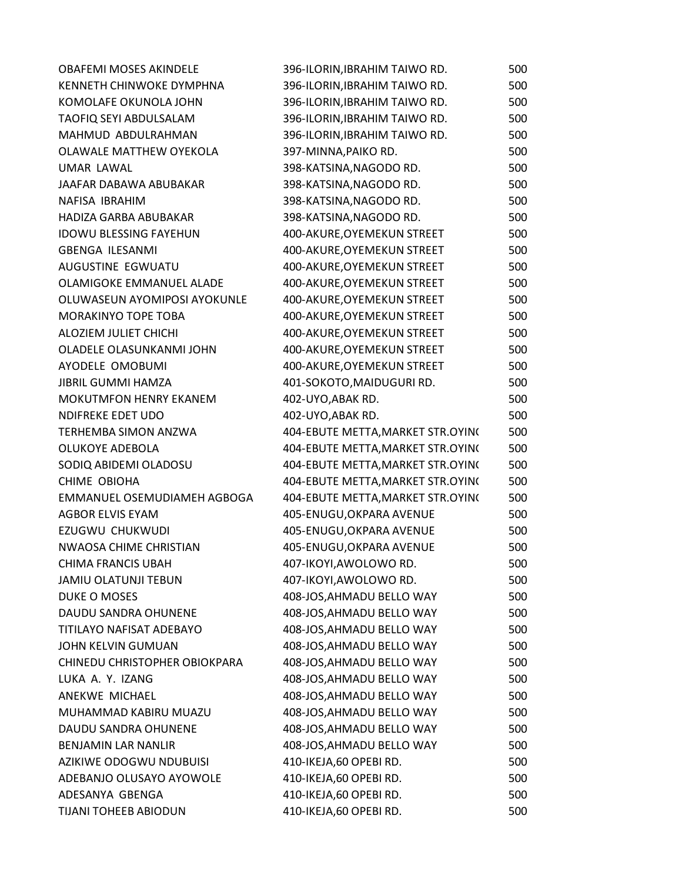| <b>OBAFEMI MOSES AKINDELE</b>   | 396-ILORIN, IBRAHIM TAIWO RD.     | 500 |
|---------------------------------|-----------------------------------|-----|
| <b>KENNETH CHINWOKE DYMPHNA</b> | 396-ILORIN, IBRAHIM TAIWO RD.     | 500 |
| KOMOLAFE OKUNOLA JOHN           | 396-ILORIN, IBRAHIM TAIWO RD.     | 500 |
| TAOFIQ SEYI ABDULSALAM          | 396-ILORIN, IBRAHIM TAIWO RD.     | 500 |
| MAHMUD ABDULRAHMAN              | 396-ILORIN, IBRAHIM TAIWO RD.     | 500 |
| OLAWALE MATTHEW OYEKOLA         | 397-MINNA, PAIKO RD.              | 500 |
| <b>UMAR LAWAL</b>               | 398-KATSINA, NAGODO RD.           | 500 |
| JAAFAR DABAWA ABUBAKAR          | 398-KATSINA, NAGODO RD.           | 500 |
| NAFISA IBRAHIM                  | 398-KATSINA, NAGODO RD.           | 500 |
| <b>HADIZA GARBA ABUBAKAR</b>    | 398-KATSINA, NAGODO RD.           | 500 |
| <b>IDOWU BLESSING FAYEHUN</b>   | 400-AKURE, OYEMEKUN STREET        | 500 |
| <b>GBENGA ILESANMI</b>          | 400-AKURE, OYEMEKUN STREET        | 500 |
| AUGUSTINE EGWUATU               | 400-AKURE, OYEMEKUN STREET        | 500 |
| OLAMIGOKE EMMANUEL ALADE        | 400-AKURE, OYEMEKUN STREET        | 500 |
| OLUWASEUN AYOMIPOSI AYOKUNLE    | 400-AKURE, OYEMEKUN STREET        | 500 |
| <b>MORAKINYO TOPE TOBA</b>      | 400-AKURE, OYEMEKUN STREET        | 500 |
| ALOZIEM JULIET CHICHI           | 400-AKURE, OYEMEKUN STREET        | 500 |
| OLADELE OLASUNKANMI JOHN        | 400-AKURE, OYEMEKUN STREET        | 500 |
| AYODELE OMOBUMI                 | 400-AKURE, OYEMEKUN STREET        | 500 |
| <b>JIBRIL GUMMI HAMZA</b>       | 401-SOKOTO, MAIDUGURI RD.         | 500 |
| <b>MOKUTMFON HENRY EKANEM</b>   | 402-UYO, ABAK RD.                 | 500 |
| NDIFREKE EDET UDO               | 402-UYO, ABAK RD.                 | 500 |
| <b>TERHEMBA SIMON ANZWA</b>     | 404-EBUTE METTA, MARKET STR.OYING | 500 |
| OLUKOYE ADEBOLA                 | 404-EBUTE METTA, MARKET STR.OYING | 500 |
| SODIQ ABIDEMI OLADOSU           | 404-EBUTE METTA, MARKET STR.OYING | 500 |
| CHIME OBIOHA                    | 404-EBUTE METTA, MARKET STR.OYING | 500 |
| EMMANUEL OSEMUDIAMEH AGBOGA     | 404-EBUTE METTA, MARKET STR.OYING | 500 |
| <b>AGBOR ELVIS EYAM</b>         | 405-ENUGU, OKPARA AVENUE          | 500 |
| EZUGWU CHUKWUDI                 | 405-ENUGU, OKPARA AVENUE          | 500 |
| NWAOSA CHIME CHRISTIAN          | 405-ENUGU, OKPARA AVENUE          | 500 |
| <b>CHIMA FRANCIS UBAH</b>       | 407-IKOYI, AWOLOWO RD.            | 500 |
| <b>JAMIU OLATUNJI TEBUN</b>     | 407-IKOYI, AWOLOWO RD.            | 500 |
| DUKE O MOSES                    | 408-JOS, AHMADU BELLO WAY         | 500 |
| DAUDU SANDRA OHUNENE            | 408-JOS, AHMADU BELLO WAY         | 500 |
| TITILAYO NAFISAT ADEBAYO        | 408-JOS, AHMADU BELLO WAY         | 500 |
| JOHN KELVIN GUMUAN              | 408-JOS, AHMADU BELLO WAY         | 500 |
| CHINEDU CHRISTOPHER OBIOKPARA   | 408-JOS, AHMADU BELLO WAY         | 500 |
| LUKA A. Y. IZANG                | 408-JOS, AHMADU BELLO WAY         | 500 |
| ANEKWE MICHAEL                  | 408-JOS, AHMADU BELLO WAY         | 500 |
| MUHAMMAD KABIRU MUAZU           | 408-JOS, AHMADU BELLO WAY         | 500 |
| DAUDU SANDRA OHUNENE            | 408-JOS, AHMADU BELLO WAY         | 500 |
| <b>BENJAMIN LAR NANLIR</b>      | 408-JOS, AHMADU BELLO WAY         | 500 |
| AZIKIWE ODOGWU NDUBUISI         | 410-IKEJA,60 OPEBIRD.             | 500 |
| ADEBANJO OLUSAYO AYOWOLE        | 410-IKEJA,60 OPEBIRD.             | 500 |
| ADESANYA GBENGA                 | 410-IKEJA,60 OPEBI RD.            | 500 |
| TIJANI TOHEEB ABIODUN           | 410-IKEJA,60 OPEBIRD.             | 500 |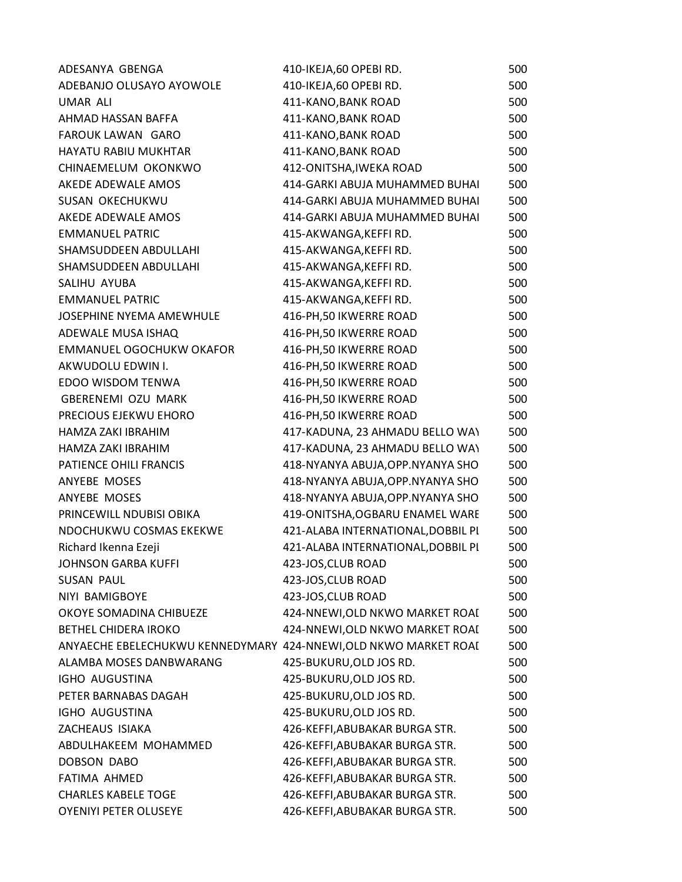| ADESANYA GBENGA                                                 | 410-IKEJA,60 OPEBIRD.              | 500 |
|-----------------------------------------------------------------|------------------------------------|-----|
| ADEBANJO OLUSAYO AYOWOLE                                        | 410-IKEJA,60 OPEBI RD.             | 500 |
| <b>UMAR ALI</b>                                                 | 411-KANO, BANK ROAD                | 500 |
| AHMAD HASSAN BAFFA                                              | 411-KANO, BANK ROAD                | 500 |
| <b>FAROUK LAWAN GARO</b>                                        | 411-KANO, BANK ROAD                | 500 |
| <b>HAYATU RABIU MUKHTAR</b>                                     | 411-KANO, BANK ROAD                | 500 |
| CHINAEMELUM OKONKWO                                             | 412-ONITSHA, IWEKA ROAD            | 500 |
| AKEDE ADEWALE AMOS                                              | 414-GARKI ABUJA MUHAMMED BUHAI     | 500 |
| <b>SUSAN OKECHUKWU</b>                                          | 414-GARKI ABUJA MUHAMMED BUHAI     | 500 |
| AKEDE ADEWALE AMOS                                              | 414-GARKI ABUJA MUHAMMED BUHAI     | 500 |
| <b>EMMANUEL PATRIC</b>                                          | 415-AKWANGA, KEFFIRD.              | 500 |
| SHAMSUDDEEN ABDULLAHI                                           | 415-AKWANGA, KEFFIRD.              | 500 |
| SHAMSUDDEEN ABDULLAHI                                           | 415-AKWANGA, KEFFIRD.              | 500 |
| SALIHU AYUBA                                                    | 415-AKWANGA, KEFFIRD.              | 500 |
| <b>EMMANUEL PATRIC</b>                                          | 415-AKWANGA, KEFFIRD.              | 500 |
| JOSEPHINE NYEMA AMEWHULE                                        | 416-PH, 50 IKWERRE ROAD            | 500 |
| ADEWALE MUSA ISHAQ                                              | 416-PH, 50 IKWERRE ROAD            | 500 |
| EMMANUEL OGOCHUKW OKAFOR                                        | 416-PH, 50 IKWERRE ROAD            | 500 |
| AKWUDOLU EDWIN I.                                               | 416-PH, 50 IKWERRE ROAD            | 500 |
| EDOO WISDOM TENWA                                               | 416-PH, 50 IKWERRE ROAD            | 500 |
| <b>GBERENEMI OZU MARK</b>                                       | 416-PH, 50 IKWERRE ROAD            | 500 |
| PRECIOUS EJEKWU EHORO                                           | 416-PH, 50 IKWERRE ROAD            | 500 |
| HAMZA ZAKI IBRAHIM                                              | 417-KADUNA, 23 AHMADU BELLO WAY    | 500 |
| HAMZA ZAKI IBRAHIM                                              | 417-KADUNA, 23 AHMADU BELLO WAY    | 500 |
| PATIENCE OHILI FRANCIS                                          | 418-NYANYA ABUJA, OPP. NYANYA SHO  | 500 |
| ANYEBE MOSES                                                    | 418-NYANYA ABUJA, OPP. NYANYA SHO  | 500 |
| ANYEBE MOSES                                                    | 418-NYANYA ABUJA, OPP. NYANYA SHO  | 500 |
| PRINCEWILL NDUBISI OBIKA                                        | 419-ONITSHA, OGBARU ENAMEL WARE    | 500 |
| NDOCHUKWU COSMAS EKEKWE                                         | 421-ALABA INTERNATIONAL, DOBBIL PI | 500 |
| Richard Ikenna Ezeji                                            | 421-ALABA INTERNATIONAL, DOBBIL PI | 500 |
| <b>JOHNSON GARBA KUFFI</b>                                      | 423-JOS, CLUB ROAD                 | 500 |
| <b>SUSAN PAUL</b>                                               | 423-JOS, CLUB ROAD                 | 500 |
| NIYI BAMIGBOYE                                                  | 423-JOS, CLUB ROAD                 | 500 |
| OKOYE SOMADINA CHIBUEZE                                         | 424-NNEWI, OLD NKWO MARKET ROAI    | 500 |
| <b>BETHEL CHIDERA IROKO</b>                                     | 424-NNEWI, OLD NKWO MARKET ROAI    | 500 |
| ANYAECHE EBELECHUKWU KENNEDYMARY 424-NNEWI,OLD NKWO MARKET ROAI |                                    | 500 |
| ALAMBA MOSES DANBWARANG                                         | 425-BUKURU, OLD JOS RD.            | 500 |
| IGHO AUGUSTINA                                                  | 425-BUKURU, OLD JOS RD.            | 500 |
| PETER BARNABAS DAGAH                                            | 425-BUKURU, OLD JOS RD.            | 500 |
| IGHO AUGUSTINA                                                  | 425-BUKURU, OLD JOS RD.            | 500 |
| ZACHEAUS ISIAKA                                                 | 426-KEFFI, ABUBAKAR BURGA STR.     | 500 |
| ABDULHAKEEM MOHAMMED                                            | 426-KEFFI, ABUBAKAR BURGA STR.     | 500 |
| <b>DOBSON DABO</b>                                              | 426-KEFFI, ABUBAKAR BURGA STR.     | 500 |
| FATIMA AHMED                                                    | 426-KEFFI, ABUBAKAR BURGA STR.     | 500 |
| <b>CHARLES KABELE TOGE</b>                                      | 426-KEFFI, ABUBAKAR BURGA STR.     | 500 |
| OYENIYI PETER OLUSEYE                                           | 426-KEFFI, ABUBAKAR BURGA STR.     | 500 |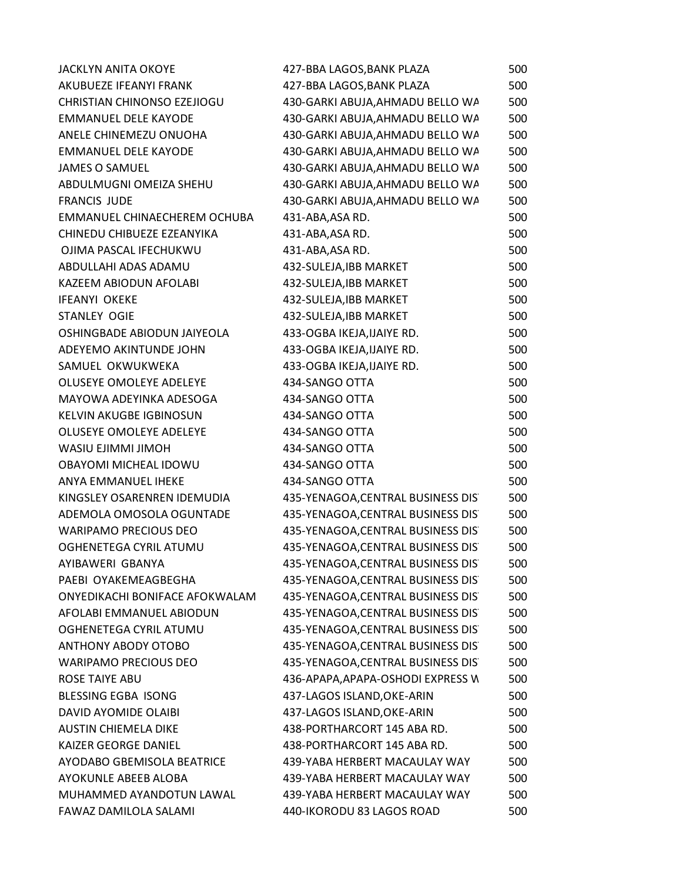| <b>JACKLYN ANITA OKOYE</b>         | 427-BBA LAGOS, BANK PLAZA          | 500 |
|------------------------------------|------------------------------------|-----|
| AKUBUEZE IFEANYI FRANK             | 427-BBA LAGOS, BANK PLAZA          | 500 |
| <b>CHRISTIAN CHINONSO EZEJIOGU</b> | 430-GARKI ABUJA, AHMADU BELLO WA   | 500 |
| <b>EMMANUEL DELE KAYODE</b>        | 430-GARKI ABUJA, AHMADU BELLO WA   | 500 |
| ANELE CHINEMEZU ONUOHA             | 430-GARKI ABUJA, AHMADU BELLO WA   | 500 |
| <b>EMMANUEL DELE KAYODE</b>        | 430-GARKI ABUJA, AHMADU BELLO WA   | 500 |
| <b>JAMES O SAMUEL</b>              | 430-GARKI ABUJA, AHMADU BELLO WA   | 500 |
| ABDULMUGNI OMEIZA SHEHU            | 430-GARKI ABUJA, AHMADU BELLO WA   | 500 |
| <b>FRANCIS JUDE</b>                | 430-GARKI ABUJA, AHMADU BELLO WA   | 500 |
| EMMANUEL CHINAECHEREM OCHUBA       | 431-ABA, ASA RD.                   | 500 |
| CHINEDU CHIBUEZE EZEANYIKA         | 431-ABA, ASA RD.                   | 500 |
| OJIMA PASCAL IFECHUKWU             | 431-ABA, ASA RD.                   | 500 |
| ABDULLAHI ADAS ADAMU               | 432-SULEJA, IBB MARKET             | 500 |
| KAZEEM ABIODUN AFOLABI             | 432-SULEJA, IBB MARKET             | 500 |
| <b>IFEANYI OKEKE</b>               | 432-SULEJA, IBB MARKET             | 500 |
| STANLEY OGIE                       | 432-SULEJA, IBB MARKET             | 500 |
| OSHINGBADE ABIODUN JAIYEOLA        | 433-OGBA IKEJA, IJAIYE RD.         | 500 |
| ADEYEMO AKINTUNDE JOHN             | 433-OGBA IKEJA, IJAIYE RD.         | 500 |
| SAMUEL OKWUKWEKA                   | 433-OGBA IKEJA, IJAIYE RD.         | 500 |
| OLUSEYE OMOLEYE ADELEYE            | 434-SANGO OTTA                     | 500 |
| MAYOWA ADEYINKA ADESOGA            | 434-SANGO OTTA                     | 500 |
| <b>KELVIN AKUGBE IGBINOSUN</b>     | 434-SANGO OTTA                     | 500 |
| <b>OLUSEYE OMOLEYE ADELEYE</b>     | 434-SANGO OTTA                     | 500 |
| WASIU EJIMMI JIMOH                 | 434-SANGO OTTA                     | 500 |
| OBAYOMI MICHEAL IDOWU              | 434-SANGO OTTA                     | 500 |
| ANYA EMMANUEL IHEKE                | 434-SANGO OTTA                     | 500 |
| KINGSLEY OSARENREN IDEMUDIA        | 435-YENAGOA, CENTRAL BUSINESS DIST | 500 |
| ADEMOLA OMOSOLA OGUNTADE           | 435-YENAGOA, CENTRAL BUSINESS DIST | 500 |
| <b>WARIPAMO PRECIOUS DEO</b>       | 435-YENAGOA, CENTRAL BUSINESS DIST | 500 |
| OGHENETEGA CYRIL ATUMU             | 435-YENAGOA, CENTRAL BUSINESS DIS  | 500 |
| AYIBAWERI GBANYA                   | 435-YENAGOA, CENTRAL BUSINESS DIS  | 500 |
| PAEBI OYAKEMEAGBEGHA               | 435-YENAGOA, CENTRAL BUSINESS DIST | 500 |
| ONYEDIKACHI BONIFACE AFOKWALAM     | 435-YENAGOA, CENTRAL BUSINESS DIST | 500 |
| AFOLABI EMMANUEL ABIODUN           | 435-YENAGOA, CENTRAL BUSINESS DIST | 500 |
| OGHENETEGA CYRIL ATUMU             | 435-YENAGOA, CENTRAL BUSINESS DIST | 500 |
| ANTHONY ABODY OTOBO                | 435-YENAGOA, CENTRAL BUSINESS DIST | 500 |
| <b>WARIPAMO PRECIOUS DEO</b>       | 435-YENAGOA, CENTRAL BUSINESS DIST | 500 |
| <b>ROSE TAIYE ABU</b>              | 436-APAPA, APAPA-OSHODI EXPRESS W  | 500 |
| BLESSING EGBA ISONG                | 437-LAGOS ISLAND, OKE-ARIN         | 500 |
| DAVID AYOMIDE OLAIBI               | 437-LAGOS ISLAND, OKE-ARIN         | 500 |
| <b>AUSTIN CHIEMELA DIKE</b>        | 438-PORTHARCORT 145 ABA RD.        | 500 |
| <b>KAIZER GEORGE DANIEL</b>        | 438-PORTHARCORT 145 ABA RD.        | 500 |
| AYODABO GBEMISOLA BEATRICE         | 439-YABA HERBERT MACAULAY WAY      | 500 |
| AYOKUNLE ABEEB ALOBA               | 439-YABA HERBERT MACAULAY WAY      | 500 |
| MUHAMMED AYANDOTUN LAWAL           | 439-YABA HERBERT MACAULAY WAY      | 500 |
| FAWAZ DAMILOLA SALAMI              | 440-IKORODU 83 LAGOS ROAD          | 500 |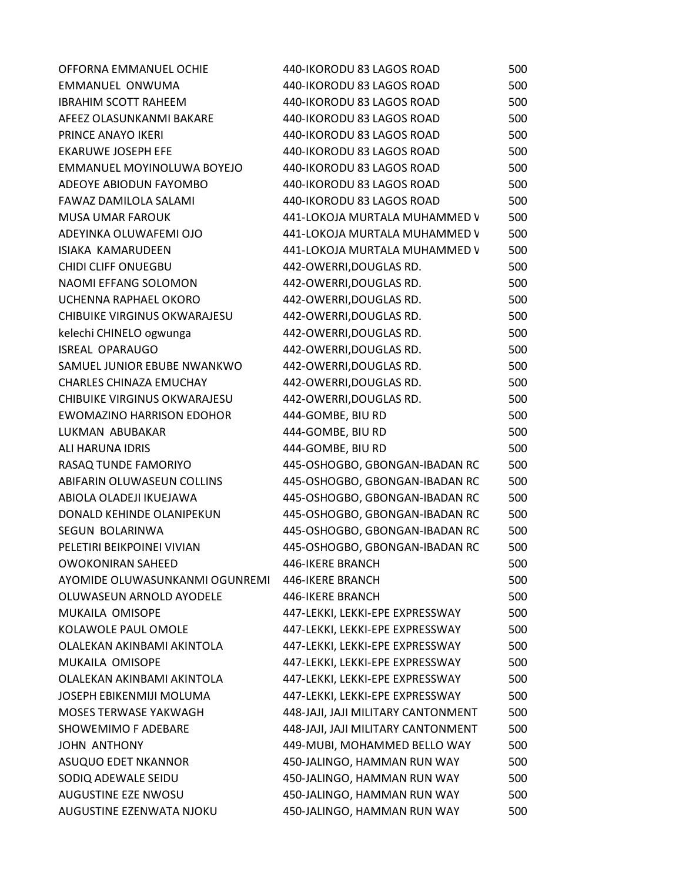| OFFORNA EMMANUEL OCHIE           | 440-IKORODU 83 LAGOS ROAD          | 500 |
|----------------------------------|------------------------------------|-----|
| EMMANUEL ONWUMA                  | 440-IKORODU 83 LAGOS ROAD          | 500 |
| <b>IBRAHIM SCOTT RAHEEM</b>      | 440-IKORODU 83 LAGOS ROAD          | 500 |
| AFEEZ OLASUNKANMI BAKARE         | 440-IKORODU 83 LAGOS ROAD          | 500 |
| PRINCE ANAYO IKERI               | 440-IKORODU 83 LAGOS ROAD          | 500 |
| <b>EKARUWE JOSEPH EFE</b>        | 440-IKORODU 83 LAGOS ROAD          | 500 |
| EMMANUEL MOYINOLUWA BOYEJO       | 440-IKORODU 83 LAGOS ROAD          | 500 |
| ADEOYE ABIODUN FAYOMBO           | 440-IKORODU 83 LAGOS ROAD          | 500 |
| FAWAZ DAMILOLA SALAMI            | 440-IKORODU 83 LAGOS ROAD          | 500 |
| <b>MUSA UMAR FAROUK</b>          | 441-LOKOJA MURTALA MUHAMMED V      | 500 |
| ADEYINKA OLUWAFEMI OJO           | 441-LOKOJA MURTALA MUHAMMED V      | 500 |
| <b>ISIAKA KAMARUDEEN</b>         | 441-LOKOJA MURTALA MUHAMMED V      | 500 |
| <b>CHIDI CLIFF ONUEGBU</b>       | 442-OWERRI, DOUGLAS RD.            | 500 |
| NAOMI EFFANG SOLOMON             | 442-OWERRI, DOUGLAS RD.            | 500 |
| UCHENNA RAPHAEL OKORO            | 442-OWERRI, DOUGLAS RD.            | 500 |
| CHIBUIKE VIRGINUS OKWARAJESU     | 442-OWERRI, DOUGLAS RD.            | 500 |
| kelechi CHINELO ogwunga          | 442-OWERRI, DOUGLAS RD.            | 500 |
| <b>ISREAL OPARAUGO</b>           | 442-OWERRI, DOUGLAS RD.            | 500 |
| SAMUEL JUNIOR EBUBE NWANKWO      | 442-OWERRI, DOUGLAS RD.            | 500 |
| <b>CHARLES CHINAZA EMUCHAY</b>   | 442-OWERRI, DOUGLAS RD.            | 500 |
| CHIBUIKE VIRGINUS OKWARAJESU     | 442-OWERRI, DOUGLAS RD.            | 500 |
| <b>EWOMAZINO HARRISON EDOHOR</b> | 444-GOMBE, BIU RD                  | 500 |
| LUKMAN ABUBAKAR                  | 444-GOMBE, BIU RD                  | 500 |
| ALI HARUNA IDRIS                 | 444-GOMBE, BIU RD                  | 500 |
| RASAQ TUNDE FAMORIYO             | 445-OSHOGBO, GBONGAN-IBADAN RC     | 500 |
| ABIFARIN OLUWASEUN COLLINS       | 445-OSHOGBO, GBONGAN-IBADAN RC     | 500 |
| ABIOLA OLADEJI IKUEJAWA          | 445-OSHOGBO, GBONGAN-IBADAN RC     | 500 |
| DONALD KEHINDE OLANIPEKUN        | 445-OSHOGBO, GBONGAN-IBADAN RC     | 500 |
| SEGUN BOLARINWA                  | 445-OSHOGBO, GBONGAN-IBADAN RC     | 500 |
| PELETIRI BEIKPOINEI VIVIAN       | 445-OSHOGBO, GBONGAN-IBADAN RC     | 500 |
| <b>OWOKONIRAN SAHEED</b>         | 446-IKERE BRANCH                   | 500 |
| AYOMIDE OLUWASUNKANMI OGUNREMI   | 446-IKERE BRANCH                   | 500 |
| OLUWASEUN ARNOLD AYODELE         | 446-IKERE BRANCH                   | 500 |
| MUKAILA OMISOPE                  | 447-LEKKI, LEKKI-EPE EXPRESSWAY    | 500 |
| KOLAWOLE PAUL OMOLE              | 447-LEKKI, LEKKI-EPE EXPRESSWAY    | 500 |
| OLALEKAN AKINBAMI AKINTOLA       | 447-LEKKI, LEKKI-EPE EXPRESSWAY    | 500 |
| MUKAILA OMISOPE                  | 447-LEKKI, LEKKI-EPE EXPRESSWAY    | 500 |
| OLALEKAN AKINBAMI AKINTOLA       | 447-LEKKI, LEKKI-EPE EXPRESSWAY    | 500 |
| <b>JOSEPH EBIKENMIJI MOLUMA</b>  | 447-LEKKI, LEKKI-EPE EXPRESSWAY    | 500 |
| MOSES TERWASE YAKWAGH            | 448-JAJI, JAJI MILITARY CANTONMENT | 500 |
| <b>SHOWEMIMO F ADEBARE</b>       | 448-JAJI, JAJI MILITARY CANTONMENT | 500 |
| <b>JOHN ANTHONY</b>              | 449-MUBI, MOHAMMED BELLO WAY       | 500 |
| ASUQUO EDET NKANNOR              | 450-JALINGO, HAMMAN RUN WAY        | 500 |
| SODIQ ADEWALE SEIDU              | 450-JALINGO, HAMMAN RUN WAY        | 500 |
| AUGUSTINE EZE NWOSU              | 450-JALINGO, HAMMAN RUN WAY        | 500 |
| AUGUSTINE EZENWATA NJOKU         | 450-JALINGO, HAMMAN RUN WAY        | 500 |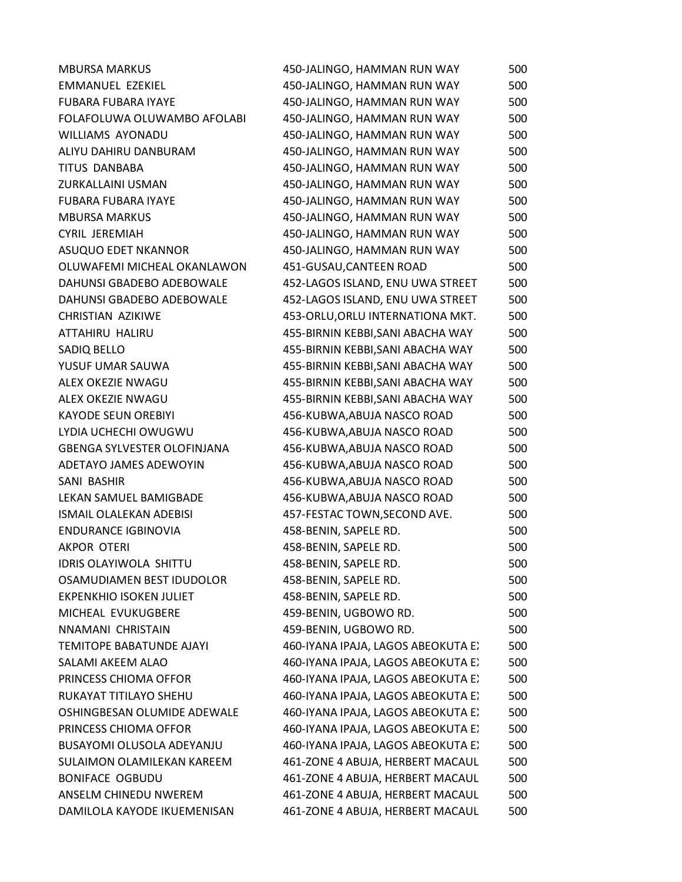| <b>MBURSA MARKUS</b>               | 450-JALINGO, HAMMAN RUN WAY        | 500 |
|------------------------------------|------------------------------------|-----|
| <b>EMMANUEL EZEKIEL</b>            | 450-JALINGO, HAMMAN RUN WAY        | 500 |
| <b>FUBARA FUBARA IYAYE</b>         | 450-JALINGO, HAMMAN RUN WAY        | 500 |
| FOLAFOLUWA OLUWAMBO AFOLABI        | 450-JALINGO, HAMMAN RUN WAY        | 500 |
| <b>WILLIAMS AYONADU</b>            | 450-JALINGO, HAMMAN RUN WAY        | 500 |
| ALIYU DAHIRU DANBURAM              | 450-JALINGO, HAMMAN RUN WAY        | 500 |
| TITUS DANBABA                      | 450-JALINGO, HAMMAN RUN WAY        | 500 |
| ZURKALLAINI USMAN                  | 450-JALINGO, HAMMAN RUN WAY        | 500 |
| <b>FUBARA FUBARA IYAYE</b>         | 450-JALINGO, HAMMAN RUN WAY        | 500 |
| <b>MBURSA MARKUS</b>               | 450-JALINGO, HAMMAN RUN WAY        | 500 |
| <b>CYRIL JEREMIAH</b>              | 450-JALINGO, HAMMAN RUN WAY        | 500 |
| ASUQUO EDET NKANNOR                | 450-JALINGO, HAMMAN RUN WAY        | 500 |
| OLUWAFEMI MICHEAL OKANLAWON        | 451-GUSAU, CANTEEN ROAD            | 500 |
| DAHUNSI GBADEBO ADEBOWALE          | 452-LAGOS ISLAND, ENU UWA STREET   | 500 |
| DAHUNSI GBADEBO ADEBOWALE          | 452-LAGOS ISLAND, ENU UWA STREET   | 500 |
| CHRISTIAN AZIKIWE                  | 453-ORLU, ORLU INTERNATIONA MKT.   | 500 |
| ATTAHIRU HALIRU                    | 455-BIRNIN KEBBI, SANI ABACHA WAY  | 500 |
| SADIQ BELLO                        | 455-BIRNIN KEBBI, SANI ABACHA WAY  | 500 |
| YUSUF UMAR SAUWA                   | 455-BIRNIN KEBBI, SANI ABACHA WAY  | 500 |
| ALEX OKEZIE NWAGU                  | 455-BIRNIN KEBBI, SANI ABACHA WAY  | 500 |
| ALEX OKEZIE NWAGU                  | 455-BIRNIN KEBBI, SANI ABACHA WAY  | 500 |
| <b>KAYODE SEUN OREBIYI</b>         | 456-KUBWA, ABUJA NASCO ROAD        | 500 |
| LYDIA UCHECHI OWUGWU               | 456-KUBWA, ABUJA NASCO ROAD        | 500 |
| <b>GBENGA SYLVESTER OLOFINJANA</b> | 456-KUBWA, ABUJA NASCO ROAD        | 500 |
| ADETAYO JAMES ADEWOYIN             | 456-KUBWA, ABUJA NASCO ROAD        | 500 |
| SANI BASHIR                        | 456-KUBWA, ABUJA NASCO ROAD        | 500 |
| LEKAN SAMUEL BAMIGBADE             | 456-KUBWA, ABUJA NASCO ROAD        | 500 |
| <b>ISMAIL OLALEKAN ADEBISI</b>     | 457-FESTAC TOWN, SECOND AVE.       | 500 |
| <b>ENDURANCE IGBINOVIA</b>         | 458-BENIN, SAPELE RD.              | 500 |
| <b>AKPOR OTERI</b>                 | 458-BENIN, SAPELE RD.              | 500 |
| <b>IDRIS OLAYIWOLA SHITTU</b>      | 458-BENIN, SAPELE RD.              | 500 |
| OSAMUDIAMEN BEST IDUDOLOR          | 458-BENIN, SAPELE RD.              | 500 |
| <b>EKPENKHIO ISOKEN JULIET</b>     | 458-BENIN, SAPELE RD.              | 500 |
| MICHEAL EVUKUGBERE                 | 459-BENIN, UGBOWO RD.              | 500 |
| NNAMANI CHRISTAIN                  | 459-BENIN, UGBOWO RD.              | 500 |
| <b>TEMITOPE BABATUNDE AJAYI</b>    | 460-IYANA IPAJA, LAGOS ABEOKUTA EX | 500 |
| SALAMI AKEEM ALAO                  | 460-IYANA IPAJA, LAGOS ABEOKUTA EX | 500 |
| PRINCESS CHIOMA OFFOR              | 460-IYANA IPAJA, LAGOS ABEOKUTA EX | 500 |
| RUKAYAT TITILAYO SHEHU             | 460-IYANA IPAJA, LAGOS ABEOKUTA EX | 500 |
| OSHINGBESAN OLUMIDE ADEWALE        | 460-IYANA IPAJA, LAGOS ABEOKUTA EX | 500 |
| PRINCESS CHIOMA OFFOR              | 460-IYANA IPAJA, LAGOS ABEOKUTA EX | 500 |
| BUSAYOMI OLUSOLA ADEYANJU          | 460-IYANA IPAJA, LAGOS ABEOKUTA EX | 500 |
| SULAIMON OLAMILEKAN KAREEM         | 461-ZONE 4 ABUJA, HERBERT MACAUL   | 500 |
| <b>BONIFACE OGBUDU</b>             | 461-ZONE 4 ABUJA, HERBERT MACAUL   | 500 |
| ANSELM CHINEDU NWEREM              | 461-ZONE 4 ABUJA, HERBERT MACAUL   | 500 |
| DAMILOLA KAYODE IKUEMENISAN        | 461-ZONE 4 ABUJA, HERBERT MACAUL   | 500 |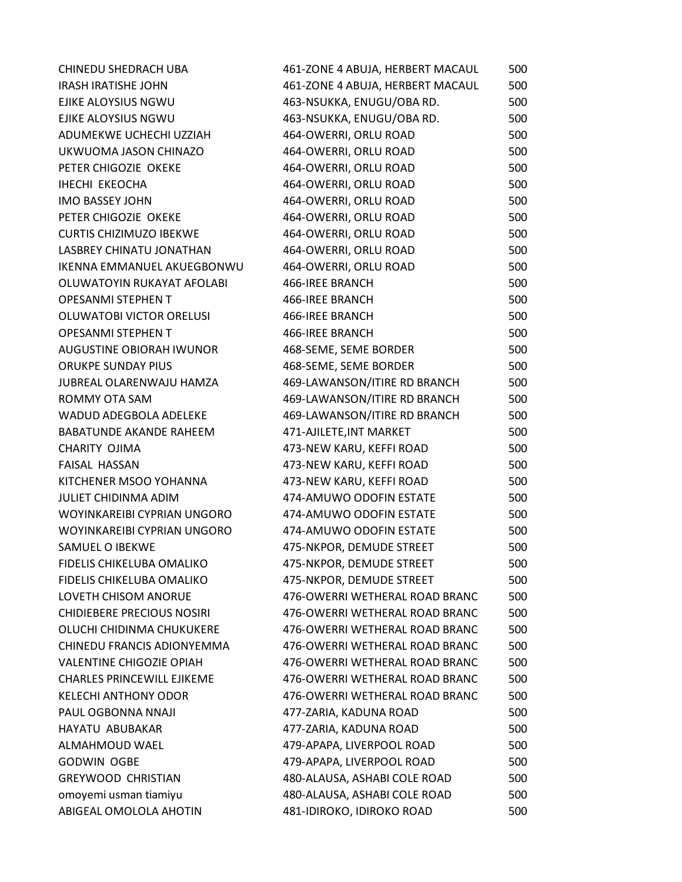| CHINEDU SHEDRACH UBA              | 461-ZONE 4 ABUJA, HERBERT MACAUL | 500 |
|-----------------------------------|----------------------------------|-----|
| <b>IRASH IRATISHE JOHN</b>        | 461-ZONE 4 ABUJA, HERBERT MACAUL | 500 |
| EJIKE ALOYSIUS NGWU               | 463-NSUKKA, ENUGU/OBA RD.        | 500 |
| EJIKE ALOYSIUS NGWU               | 463-NSUKKA, ENUGU/OBA RD.        | 500 |
| ADUMEKWE UCHECHI UZZIAH           | 464-OWERRI, ORLU ROAD            | 500 |
| UKWUOMA JASON CHINAZO             | 464-OWERRI, ORLU ROAD            | 500 |
| PETER CHIGOZIE OKEKE              | 464-OWERRI, ORLU ROAD            | 500 |
| <b>IHECHI EKEOCHA</b>             | 464-OWERRI, ORLU ROAD            | 500 |
| <b>IMO BASSEY JOHN</b>            | 464-OWERRI, ORLU ROAD            | 500 |
| PETER CHIGOZIE OKEKE              | 464-OWERRI, ORLU ROAD            | 500 |
| <b>CURTIS CHIZIMUZO IBEKWE</b>    | 464-OWERRI, ORLU ROAD            | 500 |
| LASBREY CHINATU JONATHAN          | 464-OWERRI, ORLU ROAD            | 500 |
| <b>IKENNA EMMANUEL AKUEGBONWU</b> | 464-OWERRI, ORLU ROAD            | 500 |
| OLUWATOYIN RUKAYAT AFOLABI        | 466-IREE BRANCH                  | 500 |
| <b>OPESANMI STEPHEN T</b>         | 466-IREE BRANCH                  | 500 |
| OLUWATOBI VICTOR ORELUSI          | 466-IREE BRANCH                  | 500 |
| <b>OPESANMI STEPHEN T</b>         | 466-IREE BRANCH                  | 500 |
| AUGUSTINE OBIORAH IWUNOR          | 468-SEME, SEME BORDER            | 500 |
| <b>ORUKPE SUNDAY PIUS</b>         | 468-SEME, SEME BORDER            | 500 |
| JUBREAL OLARENWAJU HAMZA          | 469-LAWANSON/ITIRE RD BRANCH     | 500 |
| ROMMY OTA SAM                     | 469-LAWANSON/ITIRE RD BRANCH     | 500 |
| WADUD ADEGBOLA ADELEKE            | 469-LAWANSON/ITIRE RD BRANCH     | 500 |
| <b>BABATUNDE AKANDE RAHEEM</b>    | 471-AJILETE, INT MARKET          | 500 |
| CHARITY OJIMA                     | 473-NEW KARU, KEFFI ROAD         | 500 |
| <b>FAISAL HASSAN</b>              | 473-NEW KARU, KEFFI ROAD         | 500 |
| KITCHENER MSOO YOHANNA            | 473-NEW KARU, KEFFI ROAD         | 500 |
| <b>JULIET CHIDINMA ADIM</b>       | 474-AMUWO ODOFIN ESTATE          | 500 |
| WOYINKAREIBI CYPRIAN UNGORO       | 474-AMUWO ODOFIN ESTATE          | 500 |
| WOYINKAREIBI CYPRIAN UNGORO       | 474-AMUWO ODOFIN ESTATE          | 500 |
| SAMUEL O IBEKWE                   | 475-NKPOR, DEMUDE STREET         | 500 |
| FIDELIS CHIKELUBA OMALIKO         | 475-NKPOR, DEMUDE STREET         | 500 |
| FIDELIS CHIKELUBA OMALIKO         | 475-NKPOR, DEMUDE STREET         | 500 |
| LOVETH CHISOM ANORUE              | 476-OWERRI WETHERAL ROAD BRANC   | 500 |
| <b>CHIDIEBERE PRECIOUS NOSIRI</b> | 476-OWERRI WETHERAL ROAD BRANC   | 500 |
| OLUCHI CHIDINMA CHUKUKERE         | 476-OWERRI WETHERAL ROAD BRANC   | 500 |
| CHINEDU FRANCIS ADIONYEMMA        | 476-OWERRI WETHERAL ROAD BRANC   | 500 |
| <b>VALENTINE CHIGOZIE OPIAH</b>   | 476-OWERRI WETHERAL ROAD BRANC   | 500 |
| <b>CHARLES PRINCEWILL EJIKEME</b> | 476-OWERRI WETHERAL ROAD BRANC   | 500 |
| <b>KELECHI ANTHONY ODOR</b>       | 476-OWERRI WETHERAL ROAD BRANC   | 500 |
| PAUL OGBONNA NNAJI                | 477-ZARIA, KADUNA ROAD           | 500 |
| HAYATU ABUBAKAR                   | 477-ZARIA, KADUNA ROAD           | 500 |
| ALMAHMOUD WAEL                    | 479-APAPA, LIVERPOOL ROAD        | 500 |
| <b>GODWIN OGBE</b>                | 479-APAPA, LIVERPOOL ROAD        | 500 |
| <b>GREYWOOD CHRISTIAN</b>         | 480-ALAUSA, ASHABI COLE ROAD     | 500 |
| omoyemi usman tiamiyu             | 480-ALAUSA, ASHABI COLE ROAD     | 500 |
| ABIGEAL OMOLOLA AHOTIN            | 481-IDIROKO, IDIROKO ROAD        | 500 |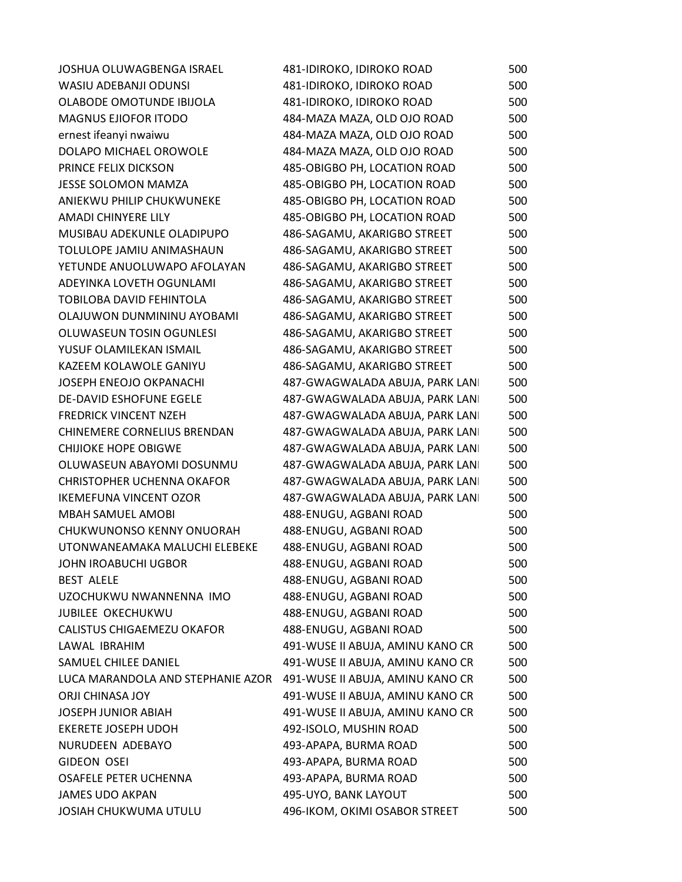| JOSHUA OLUWAGBENGA ISRAEL          | 481-IDIROKO, IDIROKO ROAD        | 500 |
|------------------------------------|----------------------------------|-----|
| WASIU ADEBANJI ODUNSI              | 481-IDIROKO, IDIROKO ROAD        | 500 |
| OLABODE OMOTUNDE IBIJOLA           | 481-IDIROKO, IDIROKO ROAD        | 500 |
| <b>MAGNUS EJIOFOR ITODO</b>        | 484-MAZA MAZA, OLD OJO ROAD      | 500 |
| ernest ifeanyi nwaiwu              | 484-MAZA MAZA, OLD OJO ROAD      | 500 |
| DOLAPO MICHAEL OROWOLE             | 484-MAZA MAZA, OLD OJO ROAD      | 500 |
| PRINCE FELIX DICKSON               | 485-OBIGBO PH, LOCATION ROAD     | 500 |
| <b>JESSE SOLOMON MAMZA</b>         | 485-OBIGBO PH, LOCATION ROAD     | 500 |
| ANIEKWU PHILIP CHUKWUNEKE          | 485-OBIGBO PH, LOCATION ROAD     | 500 |
| AMADI CHINYERE LILY                | 485-OBIGBO PH, LOCATION ROAD     | 500 |
| MUSIBAU ADEKUNLE OLADIPUPO         | 486-SAGAMU, AKARIGBO STREET      | 500 |
| TOLULOPE JAMIU ANIMASHAUN          | 486-SAGAMU, AKARIGBO STREET      | 500 |
| YETUNDE ANUOLUWAPO AFOLAYAN        | 486-SAGAMU, AKARIGBO STREET      | 500 |
| ADEYINKA LOVETH OGUNLAMI           | 486-SAGAMU, AKARIGBO STREET      | 500 |
| <b>TOBILOBA DAVID FEHINTOLA</b>    | 486-SAGAMU, AKARIGBO STREET      | 500 |
| OLAJUWON DUNMININU AYOBAMI         | 486-SAGAMU, AKARIGBO STREET      | 500 |
| OLUWASEUN TOSIN OGUNLESI           | 486-SAGAMU, AKARIGBO STREET      | 500 |
| YUSUF OLAMILEKAN ISMAIL            | 486-SAGAMU, AKARIGBO STREET      | 500 |
| KAZEEM KOLAWOLE GANIYU             | 486-SAGAMU, AKARIGBO STREET      | 500 |
| JOSEPH ENEOJO OKPANACHI            | 487-GWAGWALADA ABUJA, PARK LANI  | 500 |
| <b>DE-DAVID ESHOFUNE EGELE</b>     | 487-GWAGWALADA ABUJA, PARK LANI  | 500 |
| <b>FREDRICK VINCENT NZEH</b>       | 487-GWAGWALADA ABUJA, PARK LANI  | 500 |
| <b>CHINEMERE CORNELIUS BRENDAN</b> | 487-GWAGWALADA ABUJA, PARK LANI  | 500 |
| <b>CHIJIOKE HOPE OBIGWE</b>        | 487-GWAGWALADA ABUJA, PARK LANI  | 500 |
| OLUWASEUN ABAYOMI DOSUNMU          | 487-GWAGWALADA ABUJA, PARK LANI  | 500 |
| <b>CHRISTOPHER UCHENNA OKAFOR</b>  | 487-GWAGWALADA ABUJA, PARK LANI  | 500 |
| <b>IKEMEFUNA VINCENT OZOR</b>      | 487-GWAGWALADA ABUJA, PARK LANI  | 500 |
| MBAH SAMUEL AMOBI                  | 488-ENUGU, AGBANI ROAD           | 500 |
| CHUKWUNONSO KENNY ONUORAH          | 488-ENUGU, AGBANI ROAD           | 500 |
| UTONWANEAMAKA MALUCHI ELEBEKE      | 488-ENUGU, AGBANI ROAD           | 500 |
| JOHN IROABUCHI UGBOR               | 488-ENUGU, AGBANI ROAD           | 500 |
| <b>BEST ALELE</b>                  | 488-ENUGU, AGBANI ROAD           | 500 |
| UZOCHUKWU NWANNENNA IMO            | 488-ENUGU, AGBANI ROAD           | 500 |
| <b>JUBILEE OKECHUKWU</b>           | 488-ENUGU, AGBANI ROAD           | 500 |
| CALISTUS CHIGAEMEZU OKAFOR         | 488-ENUGU, AGBANI ROAD           | 500 |
| LAWAL IBRAHIM                      | 491-WUSE II ABUJA, AMINU KANO CR | 500 |
| SAMUEL CHILEE DANIEL               | 491-WUSE II ABUJA, AMINU KANO CR | 500 |
| LUCA MARANDOLA AND STEPHANIE AZOR  | 491-WUSE II ABUJA, AMINU KANO CR | 500 |
| <b>ORJI CHINASA JOY</b>            | 491-WUSE II ABUJA, AMINU KANO CR | 500 |
| <b>JOSEPH JUNIOR ABIAH</b>         | 491-WUSE II ABUJA, AMINU KANO CR | 500 |
| <b>EKERETE JOSEPH UDOH</b>         | 492-ISOLO, MUSHIN ROAD           | 500 |
| NURUDEEN ADEBAYO                   | 493-APAPA, BURMA ROAD            | 500 |
| GIDEON OSEI                        | 493-APAPA, BURMA ROAD            | 500 |
| OSAFELE PETER UCHENNA              | 493-APAPA, BURMA ROAD            | 500 |
| <b>JAMES UDO AKPAN</b>             | 495-UYO, BANK LAYOUT             | 500 |
| JOSIAH CHUKWUMA UTULU              | 496-IKOM, OKIMI OSABOR STREET    | 500 |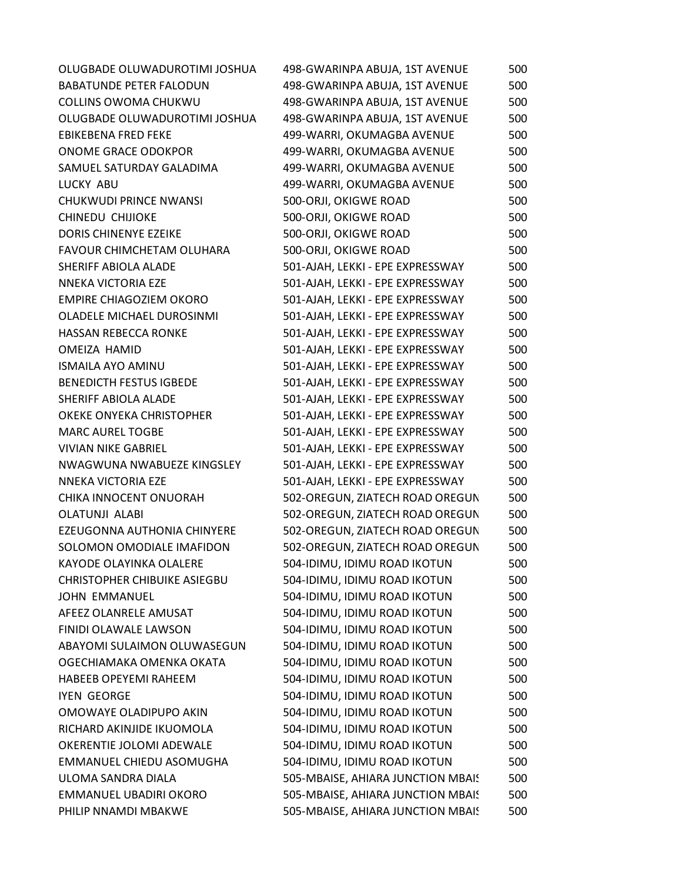| OLUGBADE OLUWADUROTIMI JOSHUA       | 498-GWARINPA ABUJA, 1ST AVENUE    | 500 |
|-------------------------------------|-----------------------------------|-----|
| <b>BABATUNDE PETER FALODUN</b>      | 498-GWARINPA ABUJA, 1ST AVENUE    | 500 |
| COLLINS OWOMA CHUKWU                | 498-GWARINPA ABUJA, 1ST AVENUE    | 500 |
| OLUGBADE OLUWADUROTIMI JOSHUA       | 498-GWARINPA ABUJA, 1ST AVENUE    | 500 |
| <b>EBIKEBENA FRED FEKE</b>          | 499-WARRI, OKUMAGBA AVENUE        | 500 |
| <b>ONOME GRACE ODOKPOR</b>          | 499-WARRI, OKUMAGBA AVENUE        | 500 |
| SAMUEL SATURDAY GALADIMA            | 499-WARRI, OKUMAGBA AVENUE        | 500 |
| LUCKY ABU                           | 499-WARRI, OKUMAGBA AVENUE        | 500 |
| <b>CHUKWUDI PRINCE NWANSI</b>       | 500-ORJI, OKIGWE ROAD             | 500 |
| <b>CHINEDU CHIJIOKE</b>             | 500-ORJI, OKIGWE ROAD             | 500 |
| DORIS CHINENYE EZEIKE               | 500-ORJI, OKIGWE ROAD             | 500 |
| FAVOUR CHIMCHETAM OLUHARA           | 500-ORJI, OKIGWE ROAD             | 500 |
| SHERIFF ABIOLA ALADE                | 501-AJAH, LEKKI - EPE EXPRESSWAY  | 500 |
| NNEKA VICTORIA EZE                  | 501-AJAH, LEKKI - EPE EXPRESSWAY  | 500 |
| <b>EMPIRE CHIAGOZIEM OKORO</b>      | 501-AJAH, LEKKI - EPE EXPRESSWAY  | 500 |
| OLADELE MICHAEL DUROSINMI           | 501-AJAH, LEKKI - EPE EXPRESSWAY  | 500 |
| HASSAN REBECCA RONKE                | 501-AJAH, LEKKI - EPE EXPRESSWAY  | 500 |
| OMEIZA HAMID                        | 501-AJAH, LEKKI - EPE EXPRESSWAY  | 500 |
| <b>ISMAILA AYO AMINU</b>            | 501-AJAH, LEKKI - EPE EXPRESSWAY  | 500 |
| <b>BENEDICTH FESTUS IGBEDE</b>      | 501-AJAH, LEKKI - EPE EXPRESSWAY  | 500 |
| SHERIFF ABIOLA ALADE                | 501-AJAH, LEKKI - EPE EXPRESSWAY  | 500 |
| OKEKE ONYEKA CHRISTOPHER            | 501-AJAH, LEKKI - EPE EXPRESSWAY  | 500 |
| <b>MARC AUREL TOGBE</b>             | 501-AJAH, LEKKI - EPE EXPRESSWAY  | 500 |
| <b>VIVIAN NIKE GABRIEL</b>          | 501-AJAH, LEKKI - EPE EXPRESSWAY  | 500 |
| NWAGWUNA NWABUEZE KINGSLEY          | 501-AJAH, LEKKI - EPE EXPRESSWAY  | 500 |
| NNEKA VICTORIA EZE                  | 501-AJAH, LEKKI - EPE EXPRESSWAY  | 500 |
| CHIKA INNOCENT ONUORAH              | 502-OREGUN, ZIATECH ROAD OREGUN   | 500 |
| <b>OLATUNJI ALABI</b>               | 502-OREGUN, ZIATECH ROAD OREGUN   | 500 |
| EZEUGONNA AUTHONIA CHINYERE         | 502-OREGUN, ZIATECH ROAD OREGUN   | 500 |
| SOLOMON OMODIALE IMAFIDON           | 502-OREGUN, ZIATECH ROAD OREGUN   | 500 |
| KAYODE OLAYINKA OLALERE             | 504-IDIMU, IDIMU ROAD IKOTUN      | 500 |
| <b>CHRISTOPHER CHIBUIKE ASIEGBU</b> | 504-IDIMU, IDIMU ROAD IKOTUN      | 500 |
| <b>JOHN EMMANUEL</b>                | 504-IDIMU, IDIMU ROAD IKOTUN      | 500 |
| AFEEZ OLANRELE AMUSAT               | 504-IDIMU, IDIMU ROAD IKOTUN      | 500 |
| FINIDI OLAWALE LAWSON               | 504-IDIMU, IDIMU ROAD IKOTUN      | 500 |
| ABAYOMI SULAIMON OLUWASEGUN         | 504-IDIMU, IDIMU ROAD IKOTUN      | 500 |
| OGECHIAMAKA OMENKA OKATA            | 504-IDIMU, IDIMU ROAD IKOTUN      | 500 |
| <b>HABEEB OPEYEMI RAHEEM</b>        | 504-IDIMU, IDIMU ROAD IKOTUN      | 500 |
| <b>IYEN GEORGE</b>                  | 504-IDIMU, IDIMU ROAD IKOTUN      | 500 |
| OMOWAYE OLADIPUPO AKIN              | 504-IDIMU, IDIMU ROAD IKOTUN      | 500 |
| RICHARD AKINJIDE IKUOMOLA           | 504-IDIMU, IDIMU ROAD IKOTUN      | 500 |
| OKERENTIE JOLOMI ADEWALE            | 504-IDIMU, IDIMU ROAD IKOTUN      | 500 |
| EMMANUEL CHIEDU ASOMUGHA            | 504-IDIMU, IDIMU ROAD IKOTUN      | 500 |
| ULOMA SANDRA DIALA                  | 505-MBAISE, AHIARA JUNCTION MBAIS | 500 |
| EMMANUEL UBADIRI OKORO              | 505-MBAISE, AHIARA JUNCTION MBAIS | 500 |
| PHILIP NNAMDI MBAKWE                | 505-MBAISE, AHIARA JUNCTION MBAIS | 500 |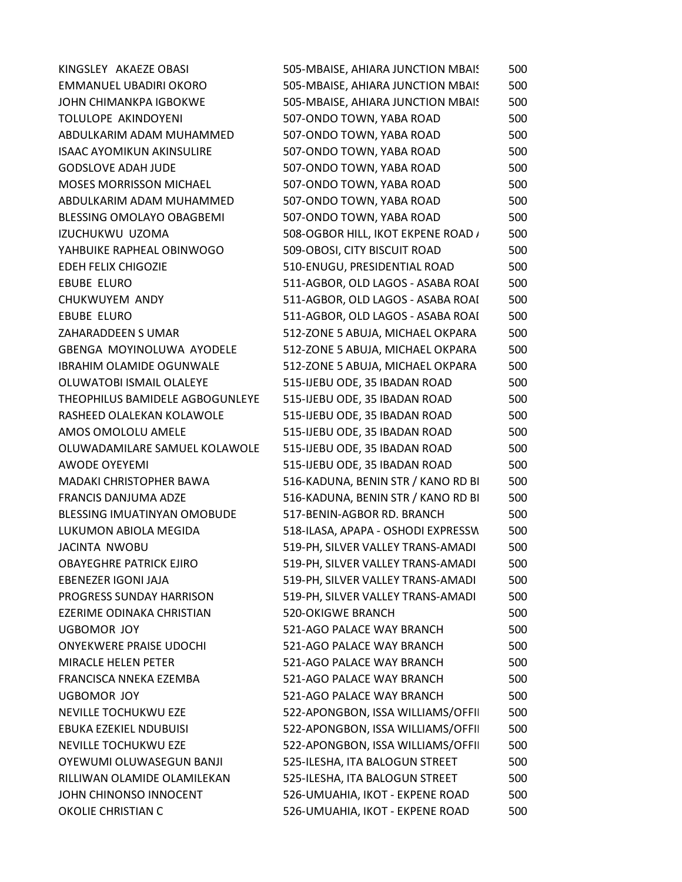| KINGSLEY AKAEZE OBASI            | 505-MBAISE, AHIARA JUNCTION MBAIS  | 500 |
|----------------------------------|------------------------------------|-----|
| EMMANUEL UBADIRI OKORO           | 505-MBAISE, AHIARA JUNCTION MBAIS  | 500 |
| JOHN CHIMANKPA IGBOKWE           | 505-MBAISE, AHIARA JUNCTION MBAIS  | 500 |
| TOLULOPE AKINDOYENI              | 507-ONDO TOWN, YABA ROAD           | 500 |
| ABDULKARIM ADAM MUHAMMED         | 507-ONDO TOWN, YABA ROAD           | 500 |
| <b>ISAAC AYOMIKUN AKINSULIRE</b> | 507-ONDO TOWN, YABA ROAD           | 500 |
| <b>GODSLOVE ADAH JUDE</b>        | 507-ONDO TOWN, YABA ROAD           | 500 |
| <b>MOSES MORRISSON MICHAEL</b>   | 507-ONDO TOWN, YABA ROAD           | 500 |
| ABDULKARIM ADAM MUHAMMED         | 507-ONDO TOWN, YABA ROAD           | 500 |
| BLESSING OMOLAYO OBAGBEMI        | 507-ONDO TOWN, YABA ROAD           | 500 |
| IZUCHUKWU UZOMA                  | 508-OGBOR HILL, IKOT EKPENE ROAD / | 500 |
| YAHBUIKE RAPHEAL OBINWOGO        | 509-OBOSI, CITY BISCUIT ROAD       | 500 |
| <b>EDEH FELIX CHIGOZIE</b>       | 510-ENUGU, PRESIDENTIAL ROAD       | 500 |
| <b>EBUBE ELURO</b>               | 511-AGBOR, OLD LAGOS - ASABA ROAI  | 500 |
| CHUKWUYEM ANDY                   | 511-AGBOR, OLD LAGOS - ASABA ROAI  | 500 |
| <b>EBUBE ELURO</b>               | 511-AGBOR, OLD LAGOS - ASABA ROAI  | 500 |
| ZAHARADDEEN S UMAR               | 512-ZONE 5 ABUJA, MICHAEL OKPARA   | 500 |
| <b>GBENGA MOYINOLUWA AYODELE</b> | 512-ZONE 5 ABUJA, MICHAEL OKPARA   | 500 |
| <b>IBRAHIM OLAMIDE OGUNWALE</b>  | 512-ZONE 5 ABUJA, MICHAEL OKPARA   | 500 |
| OLUWATOBI ISMAIL OLALEYE         | 515-IJEBU ODE, 35 IBADAN ROAD      | 500 |
| THEOPHILUS BAMIDELE AGBOGUNLEYE  | 515-IJEBU ODE, 35 IBADAN ROAD      | 500 |
| RASHEED OLALEKAN KOLAWOLE        | 515-IJEBU ODE, 35 IBADAN ROAD      | 500 |
| AMOS OMOLOLU AMELE               | 515-IJEBU ODE, 35 IBADAN ROAD      | 500 |
| OLUWADAMILARE SAMUEL KOLAWOLE    | 515-IJEBU ODE, 35 IBADAN ROAD      | 500 |
| <b>AWODE OYEYEMI</b>             | 515-IJEBU ODE, 35 IBADAN ROAD      | 500 |
| <b>MADAKI CHRISTOPHER BAWA</b>   | 516-KADUNA, BENIN STR / KANO RD BI | 500 |
| FRANCIS DANJUMA ADZE             | 516-KADUNA, BENIN STR / KANO RD BI | 500 |
| BLESSING IMUATINYAN OMOBUDE      | 517-BENIN-AGBOR RD. BRANCH         | 500 |
| LUKUMON ABIOLA MEGIDA            | 518-ILASA, APAPA - OSHODI EXPRESSW | 500 |
| JACINTA NWOBU                    | 519-PH, SILVER VALLEY TRANS-AMADI  | 500 |
| <b>OBAYEGHRE PATRICK EJIRO</b>   | 519-PH, SILVER VALLEY TRANS-AMADI  | 500 |
| EBENEZER IGONI JAJA              | 519-PH, SILVER VALLEY TRANS-AMADI  | 500 |
| PROGRESS SUNDAY HARRISON         | 519-PH, SILVER VALLEY TRANS-AMADI  | 500 |
| EZERIME ODINAKA CHRISTIAN        | <b>520-OKIGWE BRANCH</b>           | 500 |
| <b>UGBOMOR JOY</b>               | 521-AGO PALACE WAY BRANCH          | 500 |
| <b>ONYEKWERE PRAISE UDOCHI</b>   | 521-AGO PALACE WAY BRANCH          | 500 |
| MIRACLE HELEN PETER              | 521-AGO PALACE WAY BRANCH          | 500 |
| FRANCISCA NNEKA EZEMBA           | 521-AGO PALACE WAY BRANCH          | 500 |
| <b>UGBOMOR JOY</b>               | 521-AGO PALACE WAY BRANCH          | 500 |
| NEVILLE TOCHUKWU EZE             | 522-APONGBON, ISSA WILLIAMS/OFFII  | 500 |
| EBUKA EZEKIEL NDUBUISI           | 522-APONGBON, ISSA WILLIAMS/OFFII  | 500 |
| NEVILLE TOCHUKWU EZE             | 522-APONGBON, ISSA WILLIAMS/OFFII  | 500 |
| OYEWUMI OLUWASEGUN BANJI         | 525-ILESHA, ITA BALOGUN STREET     | 500 |
| RILLIWAN OLAMIDE OLAMILEKAN      | 525-ILESHA, ITA BALOGUN STREET     | 500 |
| JOHN CHINONSO INNOCENT           | 526-UMUAHIA, IKOT - EKPENE ROAD    | 500 |
| OKOLIE CHRISTIAN C               | 526-UMUAHIA, IKOT - EKPENE ROAD    | 500 |
|                                  |                                    |     |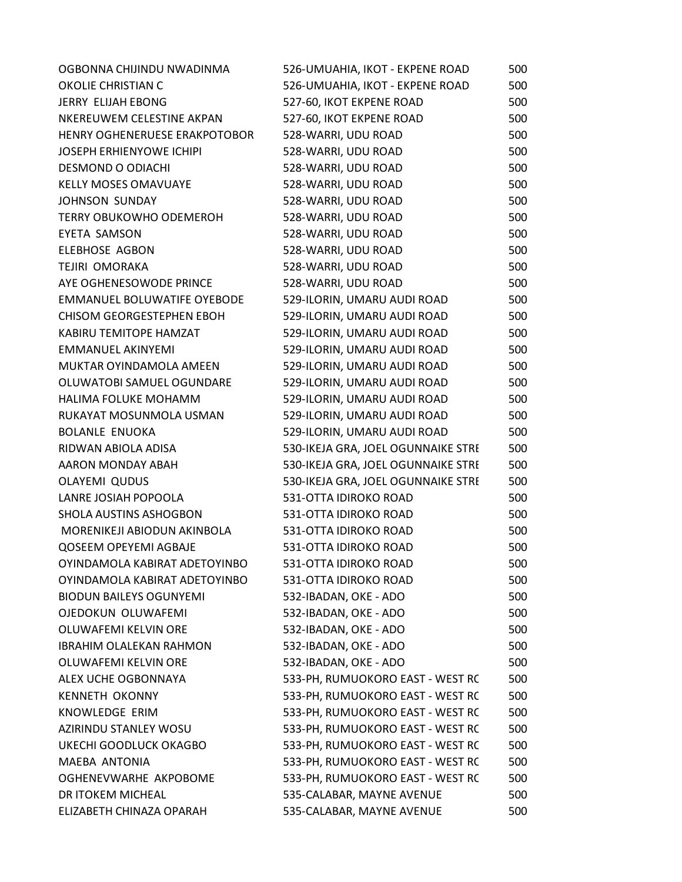| OGBONNA CHIJINDU NWADINMA       | 526-UMUAHIA, IKOT - EKPENE ROAD    | 500 |
|---------------------------------|------------------------------------|-----|
| OKOLIE CHRISTIAN C              | 526-UMUAHIA, IKOT - EKPENE ROAD    | 500 |
| JERRY ELIJAH EBONG              | 527-60, IKOT EKPENE ROAD           | 500 |
| NKEREUWEM CELESTINE AKPAN       | 527-60, IKOT EKPENE ROAD           | 500 |
| HENRY OGHENERUESE ERAKPOTOBOR   | 528-WARRI, UDU ROAD                | 500 |
| <b>JOSEPH ERHIENYOWE ICHIPI</b> | 528-WARRI, UDU ROAD                | 500 |
| <b>DESMOND O ODIACHI</b>        | 528-WARRI, UDU ROAD                | 500 |
| <b>KELLY MOSES OMAVUAYE</b>     | 528-WARRI, UDU ROAD                | 500 |
| <b>JOHNSON SUNDAY</b>           | 528-WARRI, UDU ROAD                | 500 |
| <b>TERRY OBUKOWHO ODEMEROH</b>  | 528-WARRI, UDU ROAD                | 500 |
| <b>EYETA SAMSON</b>             | 528-WARRI, UDU ROAD                | 500 |
| <b>ELEBHOSE AGBON</b>           | 528-WARRI, UDU ROAD                | 500 |
| TEJIRI OMORAKA                  | 528-WARRI, UDU ROAD                | 500 |
| AYE OGHENESOWODE PRINCE         | 528-WARRI, UDU ROAD                | 500 |
| EMMANUEL BOLUWATIFE OYEBODE     | 529-ILORIN, UMARU AUDI ROAD        | 500 |
| CHISOM GEORGESTEPHEN EBOH       | 529-ILORIN, UMARU AUDI ROAD        | 500 |
| KABIRU TEMITOPE HAMZAT          | 529-ILORIN, UMARU AUDI ROAD        | 500 |
| <b>EMMANUEL AKINYEMI</b>        | 529-ILORIN, UMARU AUDI ROAD        | 500 |
| MUKTAR OYINDAMOLA AMEEN         | 529-ILORIN, UMARU AUDI ROAD        | 500 |
| OLUWATOBI SAMUEL OGUNDARE       | 529-ILORIN, UMARU AUDI ROAD        | 500 |
| HALIMA FOLUKE MOHAMM            | 529-ILORIN, UMARU AUDI ROAD        | 500 |
| RUKAYAT MOSUNMOLA USMAN         | 529-ILORIN, UMARU AUDI ROAD        | 500 |
| <b>BOLANLE ENUOKA</b>           | 529-ILORIN, UMARU AUDI ROAD        | 500 |
| RIDWAN ABIOLA ADISA             | 530-IKEJA GRA, JOEL OGUNNAIKE STRE | 500 |
| AARON MONDAY ABAH               | 530-IKEJA GRA, JOEL OGUNNAIKE STRE | 500 |
| <b>OLAYEMI QUDUS</b>            | 530-IKEJA GRA, JOEL OGUNNAIKE STRE | 500 |
| LANRE JOSIAH POPOOLA            | 531-OTTA IDIROKO ROAD              | 500 |
| SHOLA AUSTINS ASHOGBON          | 531-OTTA IDIROKO ROAD              | 500 |
| MORENIKEJI ABIODUN AKINBOLA     | 531-OTTA IDIROKO ROAD              | 500 |
| QOSEEM OPEYEMI AGBAJE           | 531-OTTA IDIROKO ROAD              | 500 |
| OYINDAMOLA KABIRAT ADETOYINBO   | 531-OTTA IDIROKO ROAD              | 500 |
| OYINDAMOLA KABIRAT ADETOYINBO   | 531-OTTA IDIROKO ROAD              | 500 |
| <b>BIODUN BAILEYS OGUNYEMI</b>  | 532-IBADAN, OKE - ADO              | 500 |
| OJEDOKUN OLUWAFEMI              | 532-IBADAN, OKE - ADO              | 500 |
| OLUWAFEMI KELVIN ORE            | 532-IBADAN, OKE - ADO              | 500 |
| <b>IBRAHIM OLALEKAN RAHMON</b>  | 532-IBADAN, OKE - ADO              | 500 |
| OLUWAFEMI KELVIN ORE            | 532-IBADAN, OKE - ADO              | 500 |
| ALEX UCHE OGBONNAYA             | 533-PH, RUMUOKORO EAST - WEST RC   | 500 |
| <b>KENNETH OKONNY</b>           | 533-PH, RUMUOKORO EAST - WEST RC   | 500 |
| KNOWLEDGE ERIM                  | 533-PH, RUMUOKORO EAST - WEST RC   | 500 |
| AZIRINDU STANLEY WOSU           | 533-PH, RUMUOKORO EAST - WEST RC   | 500 |
| UKECHI GOODLUCK OKAGBO          | 533-PH, RUMUOKORO EAST - WEST RC   | 500 |
| MAEBA ANTONIA                   | 533-PH, RUMUOKORO EAST - WEST RC   | 500 |
| OGHENEVWARHE AKPOBOME           | 533-PH, RUMUOKORO EAST - WEST RC   | 500 |
| DR ITOKEM MICHEAL               | 535-CALABAR, MAYNE AVENUE          | 500 |
| ELIZABETH CHINAZA OPARAH        | 535-CALABAR, MAYNE AVENUE          | 500 |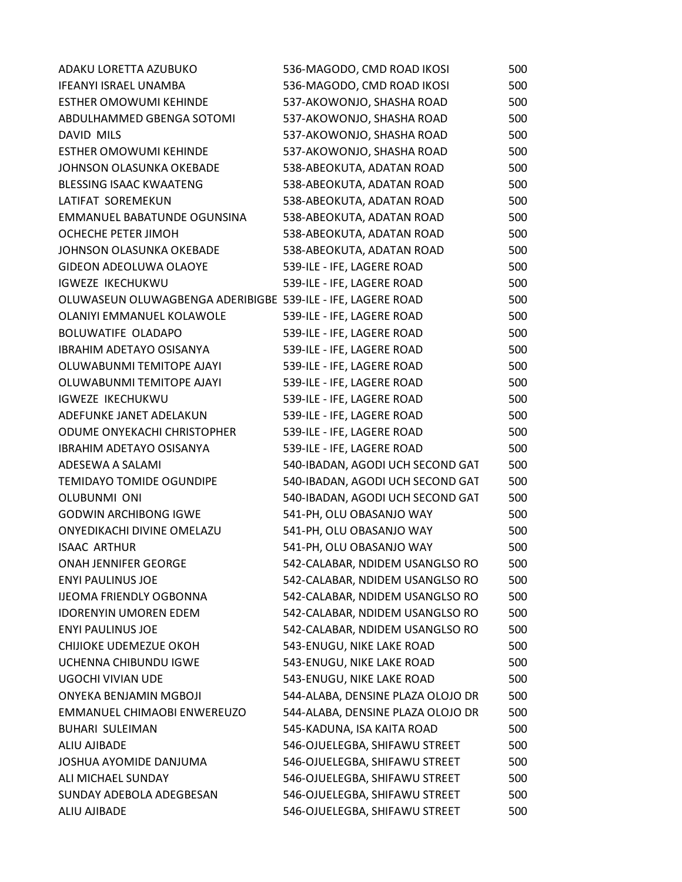| ADAKU LORETTA AZUBUKO                                       | 536-MAGODO, CMD ROAD IKOSI        | 500 |
|-------------------------------------------------------------|-----------------------------------|-----|
| <b>IFEANYI ISRAEL UNAMBA</b>                                | 536-MAGODO, CMD ROAD IKOSI        | 500 |
| <b>ESTHER OMOWUMI KEHINDE</b>                               | 537-AKOWONJO, SHASHA ROAD         | 500 |
| ABDULHAMMED GBENGA SOTOMI                                   | 537-AKOWONJO, SHASHA ROAD         | 500 |
| DAVID MILS                                                  | 537-AKOWONJO, SHASHA ROAD         | 500 |
| <b>ESTHER OMOWUMI KEHINDE</b>                               | 537-AKOWONJO, SHASHA ROAD         | 500 |
| JOHNSON OLASUNKA OKEBADE                                    | 538-ABEOKUTA, ADATAN ROAD         | 500 |
| <b>BLESSING ISAAC KWAATENG</b>                              | 538-ABEOKUTA, ADATAN ROAD         | 500 |
| LATIFAT SOREMEKUN                                           | 538-ABEOKUTA, ADATAN ROAD         | 500 |
| EMMANUEL BABATUNDE OGUNSINA                                 | 538-ABEOKUTA, ADATAN ROAD         | 500 |
| OCHECHE PETER JIMOH                                         | 538-ABEOKUTA, ADATAN ROAD         | 500 |
| JOHNSON OLASUNKA OKEBADE                                    | 538-ABEOKUTA, ADATAN ROAD         | 500 |
| <b>GIDEON ADEOLUWA OLAOYE</b>                               | 539-ILE - IFE, LAGERE ROAD        | 500 |
| <b>IGWEZE IKECHUKWU</b>                                     | 539-ILE - IFE, LAGERE ROAD        | 500 |
| OLUWASEUN OLUWAGBENGA ADERIBIGBE 539-ILE - IFE, LAGERE ROAD |                                   | 500 |
| OLANIYI EMMANUEL KOLAWOLE                                   | 539-ILE - IFE, LAGERE ROAD        | 500 |
| <b>BOLUWATIFE OLADAPO</b>                                   | 539-ILE - IFE, LAGERE ROAD        | 500 |
| <b>IBRAHIM ADETAYO OSISANYA</b>                             | 539-ILE - IFE, LAGERE ROAD        | 500 |
| OLUWABUNMI TEMITOPE AJAYI                                   | 539-ILE - IFE, LAGERE ROAD        | 500 |
| OLUWABUNMI TEMITOPE AJAYI                                   | 539-ILE - IFE, LAGERE ROAD        | 500 |
| <b>IGWEZE IKECHUKWU</b>                                     | 539-ILE - IFE, LAGERE ROAD        | 500 |
| ADEFUNKE JANET ADELAKUN                                     | 539-ILE - IFE, LAGERE ROAD        | 500 |
| ODUME ONYEKACHI CHRISTOPHER                                 | 539-ILE - IFE, LAGERE ROAD        | 500 |
| <b>IBRAHIM ADETAYO OSISANYA</b>                             | 539-ILE - IFE, LAGERE ROAD        | 500 |
| ADESEWA A SALAMI                                            | 540-IBADAN, AGODI UCH SECOND GAT  | 500 |
| <b>TEMIDAYO TOMIDE OGUNDIPE</b>                             | 540-IBADAN, AGODI UCH SECOND GAT  | 500 |
| <b>OLUBUNMI ONI</b>                                         | 540-IBADAN, AGODI UCH SECOND GAT  | 500 |
| <b>GODWIN ARCHIBONG IGWE</b>                                | 541-PH, OLU OBASANJO WAY          | 500 |
| ONYEDIKACHI DIVINE OMELAZU                                  | 541-PH, OLU OBASANJO WAY          | 500 |
| <b>ISAAC ARTHUR</b>                                         | 541-PH, OLU OBASANJO WAY          | 500 |
| ONAH JENNIFER GEORGE                                        | 542-CALABAR, NDIDEM USANGLSO RO   | 500 |
| <b>ENYI PAULINUS JOE</b>                                    | 542-CALABAR, NDIDEM USANGLSO RO   | 500 |
| <b>IJEOMA FRIENDLY OGBONNA</b>                              | 542-CALABAR, NDIDEM USANGLSO RO   | 500 |
| <b>IDORENYIN UMOREN EDEM</b>                                | 542-CALABAR, NDIDEM USANGLSO RO   | 500 |
| <b>ENYI PAULINUS JOE</b>                                    | 542-CALABAR, NDIDEM USANGLSO RO   | 500 |
| CHIJIOKE UDEMEZUE OKOH                                      | 543-ENUGU, NIKE LAKE ROAD         | 500 |
| UCHENNA CHIBUNDU IGWE                                       | 543-ENUGU, NIKE LAKE ROAD         | 500 |
| <b>UGOCHI VIVIAN UDE</b>                                    | 543-ENUGU, NIKE LAKE ROAD         | 500 |
| ONYEKA BENJAMIN MGBOJI                                      | 544-ALABA, DENSINE PLAZA OLOJO DR | 500 |
| EMMANUEL CHIMAOBI ENWEREUZO                                 | 544-ALABA, DENSINE PLAZA OLOJO DR | 500 |
| <b>BUHARI SULEIMAN</b>                                      | 545-KADUNA, ISA KAITA ROAD        | 500 |
| ALIU AJIBADE                                                | 546-OJUELEGBA, SHIFAWU STREET     | 500 |
| JOSHUA AYOMIDE DANJUMA                                      | 546-OJUELEGBA, SHIFAWU STREET     | 500 |
| ALI MICHAEL SUNDAY                                          | 546-OJUELEGBA, SHIFAWU STREET     | 500 |
| SUNDAY ADEBOLA ADEGBESAN                                    | 546-OJUELEGBA, SHIFAWU STREET     | 500 |
| ALIU AJIBADE                                                | 546-OJUELEGBA, SHIFAWU STREET     | 500 |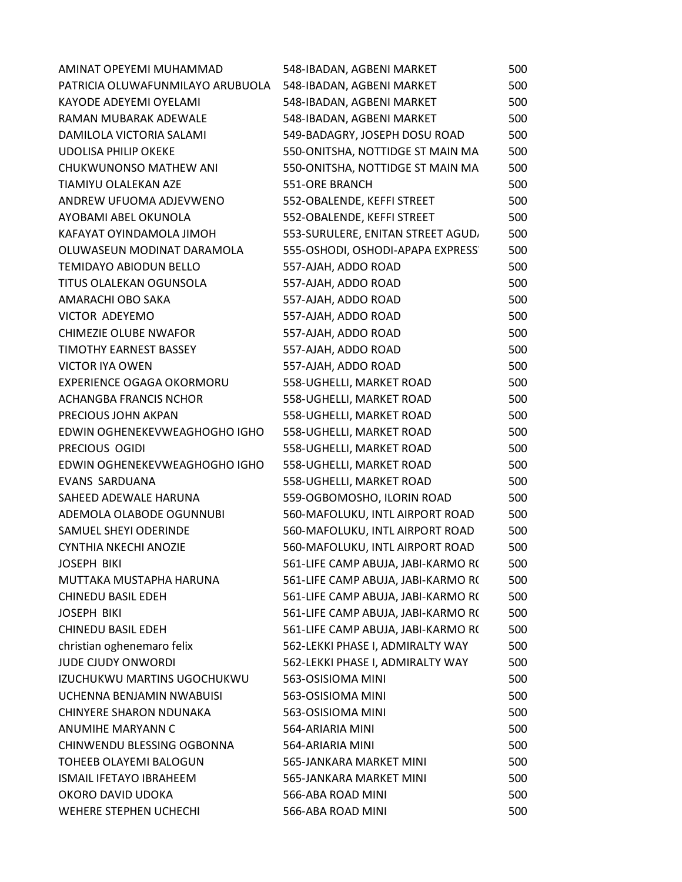| AMINAT OPEYEMI MUHAMMAD          | 548-IBADAN, AGBENI MARKET          | 500 |
|----------------------------------|------------------------------------|-----|
| PATRICIA OLUWAFUNMILAYO ARUBUOLA | 548-IBADAN, AGBENI MARKET          | 500 |
| KAYODE ADEYEMI OYELAMI           | 548-IBADAN, AGBENI MARKET          | 500 |
| RAMAN MUBARAK ADEWALE            | 548-IBADAN, AGBENI MARKET          | 500 |
| DAMILOLA VICTORIA SALAMI         | 549-BADAGRY, JOSEPH DOSU ROAD      | 500 |
| <b>UDOLISA PHILIP OKEKE</b>      | 550-ONITSHA, NOTTIDGE ST MAIN MA   | 500 |
| CHUKWUNONSO MATHEW ANI           | 550-ONITSHA, NOTTIDGE ST MAIN MA   | 500 |
| TIAMIYU OLALEKAN AZE             | <b>551-ORE BRANCH</b>              | 500 |
| ANDREW UFUOMA ADJEVWENO          | 552-OBALENDE, KEFFI STREET         | 500 |
| AYOBAMI ABEL OKUNOLA             | 552-OBALENDE, KEFFI STREET         | 500 |
| KAFAYAT OYINDAMOLA JIMOH         | 553-SURULERE, ENITAN STREET AGUD,  | 500 |
| OLUWASEUN MODINAT DARAMOLA       | 555-OSHODI, OSHODI-APAPA EXPRESS   | 500 |
| <b>TEMIDAYO ABIODUN BELLO</b>    | 557-AJAH, ADDO ROAD                | 500 |
| TITUS OLALEKAN OGUNSOLA          | 557-AJAH, ADDO ROAD                | 500 |
| AMARACHI OBO SAKA                | 557-AJAH, ADDO ROAD                | 500 |
| <b>VICTOR ADEYEMO</b>            | 557-AJAH, ADDO ROAD                | 500 |
| <b>CHIMEZIE OLUBE NWAFOR</b>     | 557-AJAH, ADDO ROAD                | 500 |
| <b>TIMOTHY EARNEST BASSEY</b>    | 557-AJAH, ADDO ROAD                | 500 |
| <b>VICTOR IYA OWEN</b>           | 557-AJAH, ADDO ROAD                | 500 |
| EXPERIENCE OGAGA OKORMORU        | 558-UGHELLI, MARKET ROAD           | 500 |
| ACHANGBA FRANCIS NCHOR           | 558-UGHELLI, MARKET ROAD           | 500 |
| PRECIOUS JOHN AKPAN              | 558-UGHELLI, MARKET ROAD           | 500 |
| EDWIN OGHENEKEVWEAGHOGHO IGHO    | 558-UGHELLI, MARKET ROAD           | 500 |
| PRECIOUS OGIDI                   | 558-UGHELLI, MARKET ROAD           | 500 |
| EDWIN OGHENEKEVWEAGHOGHO IGHO    | 558-UGHELLI, MARKET ROAD           | 500 |
| EVANS SARDUANA                   | 558-UGHELLI, MARKET ROAD           | 500 |
| SAHEED ADEWALE HARUNA            | 559-OGBOMOSHO, ILORIN ROAD         | 500 |
| ADEMOLA OLABODE OGUNNUBI         | 560-MAFOLUKU, INTL AIRPORT ROAD    | 500 |
| SAMUEL SHEYI ODERINDE            | 560-MAFOLUKU, INTL AIRPORT ROAD    | 500 |
| <b>CYNTHIA NKECHI ANOZIE</b>     | 560-MAFOLUKU, INTL AIRPORT ROAD    | 500 |
| <b>JOSEPH BIKI</b>               | 561-LIFE CAMP ABUJA, JABI-KARMO R( | 500 |
| MUTTAKA MUSTAPHA HARUNA          | 561-LIFE CAMP ABUJA, JABI-KARMO R( | 500 |
| CHINEDU BASIL EDEH               | 561-LIFE CAMP ABUJA, JABI-KARMO R( | 500 |
| <b>JOSEPH BIKI</b>               | 561-LIFE CAMP ABUJA, JABI-KARMO R( | 500 |
| <b>CHINEDU BASIL EDEH</b>        | 561-LIFE CAMP ABUJA, JABI-KARMO R( | 500 |
| christian oghenemaro felix       | 562-LEKKI PHASE I, ADMIRALTY WAY   | 500 |
| <b>JUDE CJUDY ONWORDI</b>        | 562-LEKKI PHASE I, ADMIRALTY WAY   | 500 |
| IZUCHUKWU MARTINS UGOCHUKWU      | 563-OSISIOMA MINI                  | 500 |
| UCHENNA BENJAMIN NWABUISI        | 563-OSISIOMA MINI                  | 500 |
| CHINYERE SHARON NDUNAKA          | 563-OSISIOMA MINI                  | 500 |
| ANUMIHE MARYANN C                | 564-ARIARIA MINI                   | 500 |
| CHINWENDU BLESSING OGBONNA       | 564-ARIARIA MINI                   | 500 |
| TOHEEB OLAYEMI BALOGUN           | 565-JANKARA MARKET MINI            | 500 |
| <b>ISMAIL IFETAYO IBRAHEEM</b>   | 565-JANKARA MARKET MINI            | 500 |
| OKORO DAVID UDOKA                | 566-ABA ROAD MINI                  | 500 |
| WEHERE STEPHEN UCHECHI           | 566-ABA ROAD MINI                  | 500 |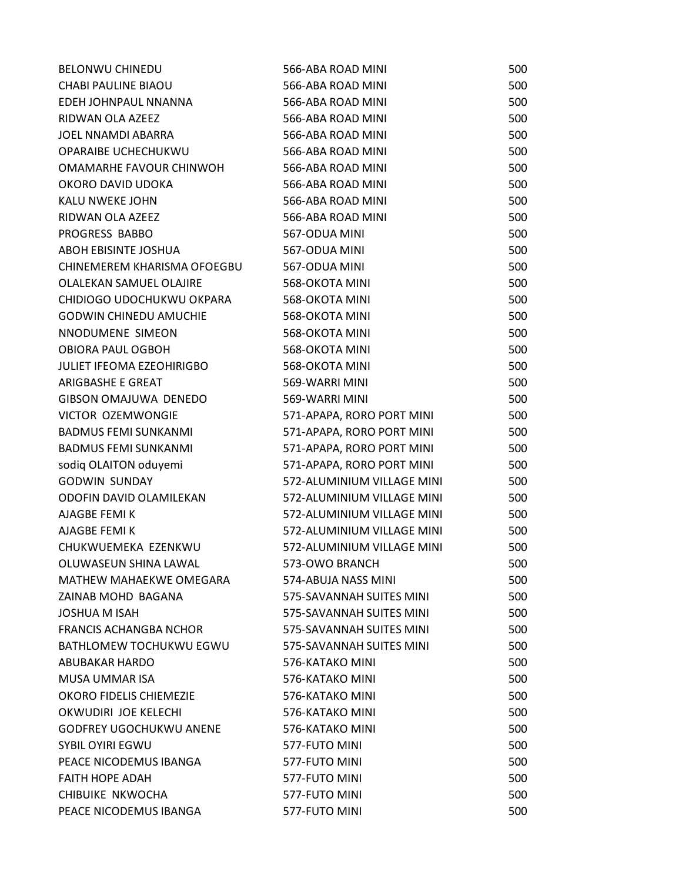| <b>BELONWU CHINEDU</b>           | 566-ABA ROAD MINI          | 500 |
|----------------------------------|----------------------------|-----|
| <b>CHABI PAULINE BIAOU</b>       | 566-ABA ROAD MINI          | 500 |
| EDEH JOHNPAUL NNANNA             | 566-ABA ROAD MINI          | 500 |
| RIDWAN OLA AZEEZ                 | 566-ABA ROAD MINI          | 500 |
| <b>JOEL NNAMDI ABARRA</b>        | 566-ABA ROAD MINI          | 500 |
| OPARAIBE UCHECHUKWU              | 566-ABA ROAD MINI          | 500 |
| OMAMARHE FAVOUR CHINWOH          | 566-ABA ROAD MINI          | 500 |
| OKORO DAVID UDOKA                | 566-ABA ROAD MINI          | 500 |
| KALU NWEKE JOHN                  | 566-ABA ROAD MINI          | 500 |
| RIDWAN OLA AZEEZ                 | 566-ABA ROAD MINI          | 500 |
| PROGRESS BABBO                   | 567-ODUA MINI              | 500 |
| ABOH EBISINTE JOSHUA             | 567-ODUA MINI              | 500 |
| CHINEMEREM KHARISMA OFOEGBU      | 567-ODUA MINI              | 500 |
| OLALEKAN SAMUEL OLAJIRE          | 568-OKOTA MINI             | 500 |
| CHIDIOGO UDOCHUKWU OKPARA        | 568-OKOTA MINI             | 500 |
| <b>GODWIN CHINEDU AMUCHIE</b>    | 568-OKOTA MINI             | 500 |
| NNODUMENE SIMEON                 | 568-OKOTA MINI             | 500 |
| <b>OBIORA PAUL OGBOH</b>         | 568-OKOTA MINI             | 500 |
| <b>JULIET IFEOMA EZEOHIRIGBO</b> | 568-OKOTA MINI             | 500 |
| ARIGBASHE E GREAT                | 569-WARRI MINI             | 500 |
| GIBSON OMAJUWA DENEDO            | 569-WARRI MINI             | 500 |
| VICTOR OZEMWONGIE                | 571-APAPA, RORO PORT MINI  | 500 |
| <b>BADMUS FEMI SUNKANMI</b>      | 571-APAPA, RORO PORT MINI  | 500 |
| <b>BADMUS FEMI SUNKANMI</b>      | 571-APAPA, RORO PORT MINI  | 500 |
| sodiq OLAITON oduyemi            | 571-APAPA, RORO PORT MINI  | 500 |
| <b>GODWIN SUNDAY</b>             | 572-ALUMINIUM VILLAGE MINI | 500 |
| ODOFIN DAVID OLAMILEKAN          | 572-ALUMINIUM VILLAGE MINI | 500 |
| AJAGBE FEMI K                    | 572-ALUMINIUM VILLAGE MINI | 500 |
| AJAGBE FEMI K                    | 572-ALUMINIUM VILLAGE MINI | 500 |
| CHUKWUEMEKA EZENKWU              | 572-ALUMINIUM VILLAGE MINI | 500 |
| OLUWASEUN SHINA LAWAL            | 573-OWO BRANCH             | 500 |
| MATHEW MAHAEKWE OMEGARA          | 574-ABUJA NASS MINI        | 500 |
| <b>ZAINAB MOHD BAGANA</b>        | 575-SAVANNAH SUITES MINI   | 500 |
| <b>JOSHUA M ISAH</b>             | 575-SAVANNAH SUITES MINI   | 500 |
| <b>FRANCIS ACHANGBA NCHOR</b>    | 575-SAVANNAH SUITES MINI   | 500 |
| BATHLOMEW TOCHUKWU EGWU          | 575-SAVANNAH SUITES MINI   | 500 |
| ABUBAKAR HARDO                   | 576-KATAKO MINI            | 500 |
| MUSA UMMAR ISA                   | 576-KATAKO MINI            | 500 |
| OKORO FIDELIS CHIEMEZIE          | 576-KATAKO MINI            | 500 |
| OKWUDIRI JOE KELECHI             | 576-KATAKO MINI            | 500 |
| <b>GODFREY UGOCHUKWU ANENE</b>   | 576-KATAKO MINI            | 500 |
| <b>SYBIL OYIRI EGWU</b>          | 577-FUTO MINI              | 500 |
| PEACE NICODEMUS IBANGA           | 577-FUTO MINI              | 500 |
| <b>FAITH HOPE ADAH</b>           | 577-FUTO MINI              | 500 |
| CHIBUIKE NKWOCHA                 | 577-FUTO MINI              | 500 |
| PEACE NICODEMUS IBANGA           | 577-FUTO MINI              | 500 |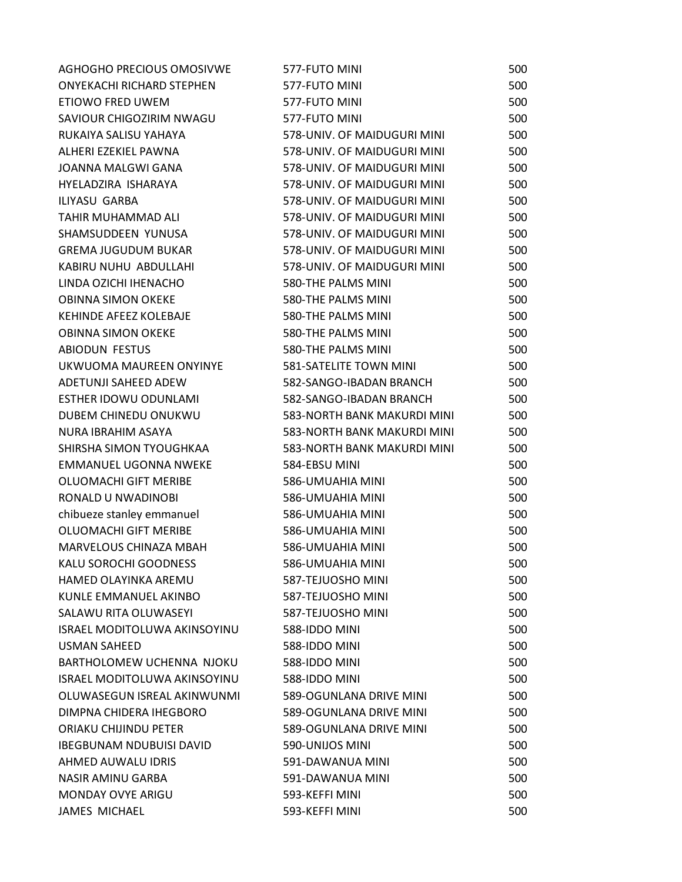| AGHOGHO PRECIOUS OMOSIVWE           | 577-FUTO MINI               | 500 |
|-------------------------------------|-----------------------------|-----|
| <b>ONYEKACHI RICHARD STEPHEN</b>    | 577-FUTO MINI               | 500 |
| ETIOWO FRED UWEM                    | 577-FUTO MINI               | 500 |
| SAVIOUR CHIGOZIRIM NWAGU            | 577-FUTO MINI               | 500 |
| RUKAIYA SALISU YAHAYA               | 578-UNIV. OF MAIDUGURI MINI | 500 |
| ALHERI EZEKIEL PAWNA                | 578-UNIV. OF MAIDUGURI MINI | 500 |
| JOANNA MALGWI GANA                  | 578-UNIV. OF MAIDUGURI MINI | 500 |
| HYELADZIRA ISHARAYA                 | 578-UNIV. OF MAIDUGURI MINI | 500 |
| <b>ILIYASU GARBA</b>                | 578-UNIV. OF MAIDUGURI MINI | 500 |
| TAHIR MUHAMMAD ALI                  | 578-UNIV. OF MAIDUGURI MINI | 500 |
| SHAMSUDDEEN YUNUSA                  | 578-UNIV. OF MAIDUGURI MINI | 500 |
| <b>GREMA JUGUDUM BUKAR</b>          | 578-UNIV. OF MAIDUGURI MINI | 500 |
| KABIRU NUHU ABDULLAHI               | 578-UNIV. OF MAIDUGURI MINI | 500 |
| LINDA OZICHI IHENACHO               | 580-THE PALMS MINI          | 500 |
| <b>OBINNA SIMON OKEKE</b>           | 580-THE PALMS MINI          | 500 |
| KEHINDE AFEEZ KOLEBAJE              | 580-THE PALMS MINI          | 500 |
| <b>OBINNA SIMON OKEKE</b>           | 580-THE PALMS MINI          | 500 |
| <b>ABIODUN FESTUS</b>               | 580-THE PALMS MINI          | 500 |
| UKWUOMA MAUREEN ONYINYE             | 581-SATELITE TOWN MINI      | 500 |
| ADETUNJI SAHEED ADEW                | 582-SANGO-IBADAN BRANCH     | 500 |
| ESTHER IDOWU ODUNLAMI               | 582-SANGO-IBADAN BRANCH     | 500 |
| DUBEM CHINEDU ONUKWU                | 583-NORTH BANK MAKURDI MINI | 500 |
| NURA IBRAHIM ASAYA                  | 583-NORTH BANK MAKURDI MINI | 500 |
| SHIRSHA SIMON TYOUGHKAA             | 583-NORTH BANK MAKURDI MINI | 500 |
| <b>EMMANUEL UGONNA NWEKE</b>        | 584-EBSU MINI               | 500 |
| <b>OLUOMACHI GIFT MERIBE</b>        | 586-UMUAHIA MINI            | 500 |
| RONALD U NWADINOBI                  | 586-UMUAHIA MINI            | 500 |
| chibueze stanley emmanuel           | 586-UMUAHIA MINI            | 500 |
| <b>OLUOMACHI GIFT MERIBE</b>        | 586-UMUAHIA MINI            | 500 |
| MARVELOUS CHINAZA MBAH              | 586-UMUAHIA MINI            | 500 |
| KALU SOROCHI GOODNESS               | 586-UMUAHIA MINI            | 500 |
| HAMED OLAYINKA AREMU                | 587-TEJUOSHO MINI           | 500 |
| KUNLE EMMANUEL AKINBO               | 587-TEJUOSHO MINI           | 500 |
| SALAWU RITA OLUWASEYI               | 587-TEJUOSHO MINI           | 500 |
| <b>ISRAEL MODITOLUWA AKINSOYINU</b> | 588-IDDO MINI               | 500 |
| <b>USMAN SAHEED</b>                 | 588-IDDO MINI               | 500 |
| BARTHOLOMEW UCHENNA NJOKU           | 588-IDDO MINI               | 500 |
| <b>ISRAEL MODITOLUWA AKINSOYINU</b> | 588-IDDO MINI               | 500 |
| OLUWASEGUN ISREAL AKINWUNMI         | 589-OGUNLANA DRIVE MINI     | 500 |
| DIMPNA CHIDERA IHEGBORO             | 589-OGUNLANA DRIVE MINI     | 500 |
| ORIAKU CHIJINDU PETER               | 589-OGUNLANA DRIVE MINI     | 500 |
| <b>IBEGBUNAM NDUBUISI DAVID</b>     | 590-UNIJOS MINI             | 500 |
| AHMED AUWALU IDRIS                  | 591-DAWANUA MINI            | 500 |
| NASIR AMINU GARBA                   | 591-DAWANUA MINI            | 500 |
| <b>MONDAY OVYE ARIGU</b>            | 593-KEFFI MINI              | 500 |
| <b>JAMES MICHAEL</b>                | 593-KEFFI MINI              | 500 |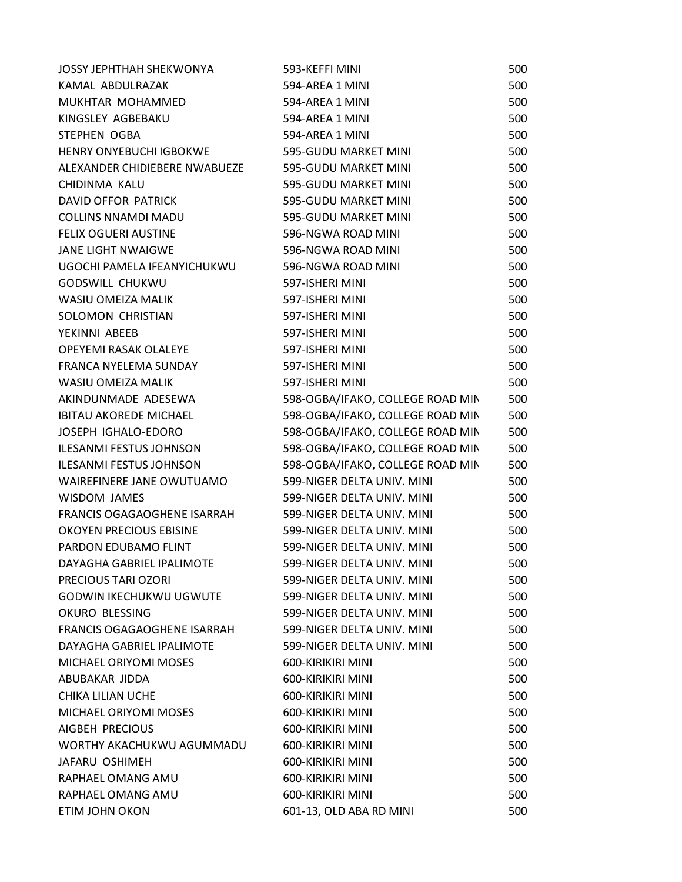| <b>JOSSY JEPHTHAH SHEKWONYA</b>    | 593-KEFFI MINI                   | 500 |
|------------------------------------|----------------------------------|-----|
| KAMAL ABDULRAZAK                   | 594-AREA 1 MINI                  | 500 |
| MUKHTAR MOHAMMED                   | 594-AREA 1 MINI                  | 500 |
| KINGSLEY AGBEBAKU                  | 594-AREA 1 MINI                  | 500 |
| <b>STEPHEN OGBA</b>                | 594-AREA 1 MINI                  | 500 |
| <b>HENRY ONYEBUCHI IGBOKWE</b>     | 595-GUDU MARKET MINI             | 500 |
| ALEXANDER CHIDIEBERE NWABUEZE      | 595-GUDU MARKET MINI             | 500 |
| CHIDINMA KALU                      | 595-GUDU MARKET MINI             | 500 |
| DAVID OFFOR PATRICK                | 595-GUDU MARKET MINI             | 500 |
| <b>COLLINS NNAMDI MADU</b>         | 595-GUDU MARKET MINI             | 500 |
| <b>FELIX OGUERI AUSTINE</b>        | 596-NGWA ROAD MINI               | 500 |
| <b>JANE LIGHT NWAIGWE</b>          | 596-NGWA ROAD MINI               | 500 |
| UGOCHI PAMELA IFEANYICHUKWU        | 596-NGWA ROAD MINI               | 500 |
| <b>GODSWILL CHUKWU</b>             | 597-ISHERI MINI                  | 500 |
| WASIU OMEIZA MALIK                 | 597-ISHERI MINI                  | 500 |
| SOLOMON CHRISTIAN                  | 597-ISHERI MINI                  | 500 |
| YEKINNI ABEEB                      | 597-ISHERI MINI                  | 500 |
| OPEYEMI RASAK OLALEYE              | 597-ISHERI MINI                  | 500 |
| FRANCA NYELEMA SUNDAY              | 597-ISHERI MINI                  | 500 |
| WASIU OMEIZA MALIK                 | 597-ISHERI MINI                  | 500 |
| AKINDUNMADE ADESEWA                | 598-OGBA/IFAKO, COLLEGE ROAD MIN | 500 |
| <b>IBITAU AKOREDE MICHAEL</b>      | 598-OGBA/IFAKO, COLLEGE ROAD MIN | 500 |
| JOSEPH IGHALO-EDORO                | 598-OGBA/IFAKO, COLLEGE ROAD MIN | 500 |
| <b>ILESANMI FESTUS JOHNSON</b>     | 598-OGBA/IFAKO, COLLEGE ROAD MIN | 500 |
| <b>ILESANMI FESTUS JOHNSON</b>     | 598-OGBA/IFAKO, COLLEGE ROAD MIN | 500 |
| WAIREFINERE JANE OWUTUAMO          | 599-NIGER DELTA UNIV. MINI       | 500 |
| <b>WISDOM JAMES</b>                | 599-NIGER DELTA UNIV. MINI       | 500 |
| FRANCIS OGAGAOGHENE ISARRAH        | 599-NIGER DELTA UNIV. MINI       | 500 |
| <b>OKOYEN PRECIOUS EBISINE</b>     | 599-NIGER DELTA UNIV. MINI       | 500 |
| PARDON EDUBAMO FLINT               | 599-NIGER DELTA UNIV. MINI       | 500 |
| DAYAGHA GABRIEL IPALIMOTE          | 599-NIGER DELTA UNIV. MINI       | 500 |
| PRECIOUS TARI OZORI                | 599-NIGER DELTA UNIV. MINI       | 500 |
| <b>GODWIN IKECHUKWU UGWUTE</b>     | 599-NIGER DELTA UNIV. MINI       | 500 |
| OKURO BLESSING                     | 599-NIGER DELTA UNIV. MINI       | 500 |
| <b>FRANCIS OGAGAOGHENE ISARRAH</b> | 599-NIGER DELTA UNIV. MINI       | 500 |
| DAYAGHA GABRIEL IPALIMOTE          | 599-NIGER DELTA UNIV. MINI       | 500 |
| <b>MICHAEL ORIYOMI MOSES</b>       | 600-KIRIKIRI MINI                | 500 |
| ABUBAKAR JIDDA                     | 600-KIRIKIRI MINI                | 500 |
| <b>CHIKA LILIAN UCHE</b>           | 600-KIRIKIRI MINI                | 500 |
| MICHAEL ORIYOMI MOSES              | 600-KIRIKIRI MINI                | 500 |
| AIGBEH PRECIOUS                    | 600-KIRIKIRI MINI                | 500 |
| WORTHY AKACHUKWU AGUMMADU          | 600-KIRIKIRI MINI                | 500 |
| JAFARU OSHIMEH                     | 600-KIRIKIRI MINI                | 500 |
| RAPHAEL OMANG AMU                  | 600-KIRIKIRI MINI                | 500 |
| RAPHAEL OMANG AMU                  | 600-KIRIKIRI MINI                | 500 |
| ETIM JOHN OKON                     | 601-13, OLD ABA RD MINI          | 500 |